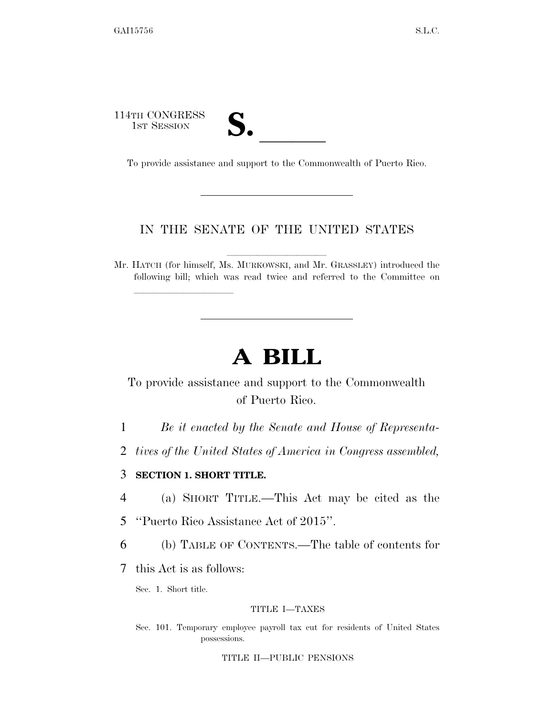114TH CONGRESS 1ST SESSION **S. S. A. S. ISS.** To provide assistance and support to the Commonwealth of Puerto Rico.

lla se a constituída a constituída a constituída a constituída a constituída a constituída a constituída a con

## IN THE SENATE OF THE UNITED STATES

Mr. HATCH (for himself, Ms. MURKOWSKI, and Mr. GRASSLEY) introduced the following bill; which was read twice and referred to the Committee on

# **A BILL**

# To provide assistance and support to the Commonwealth of Puerto Rico.

- 1 *Be it enacted by the Senate and House of Representa-*
- 2 *tives of the United States of America in Congress assembled,*

### 3 **SECTION 1. SHORT TITLE.**

- 4 (a) SHORT TITLE.—This Act may be cited as the
- 5 ''Puerto Rico Assistance Act of 2015''.
- 6 (b) TABLE OF CONTENTS.—The table of contents for
- 7 this Act is as follows:

Sec. 1. Short title.

#### TITLE I—TAXES

Sec. 101. Temporary employee payroll tax cut for residents of United States possessions.

TITLE II—PUBLIC PENSIONS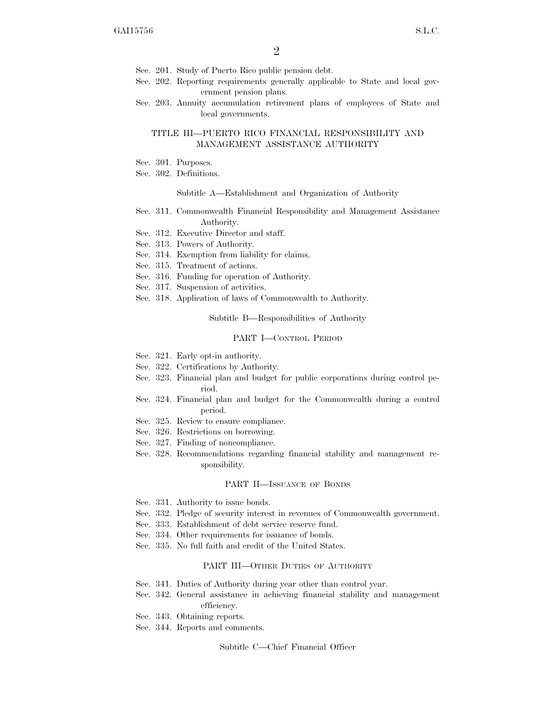- Sec. 201. Study of Puerto Rico public pension debt.
- Sec. 202. Reporting requirements generally applicable to State and local government pension plans.
- Sec. 203. Annuity accumulation retirement plans of employees of State and local governments.

#### TITLE III—PUERTO RICO FINANCIAL RESPONSIBILITY AND MANAGEMENT ASSISTANCE AUTHORITY

- Sec. 301. Purposes.
- Sec. 302. Definitions.

#### Subtitle A—Establishment and Organization of Authority

- Sec. 311. Commonwealth Financial Responsibility and Management Assistance Authority.
- Sec. 312. Executive Director and staff.
- Sec. 313. Powers of Authority.
- Sec. 314. Exemption from liability for claims.
- Sec. 315. Treatment of actions.
- Sec. 316. Funding for operation of Authority.
- Sec. 317. Suspension of activities.
- Sec. 318. Application of laws of Commonwealth to Authority.

Subtitle B—Responsibilities of Authority

#### PART I—CONTROL PERIOD

- Sec. 321. Early opt-in authority.
- Sec. 322. Certifications by Authority.
- Sec. 323. Financial plan and budget for public corporations during control period.
- Sec. 324. Financial plan and budget for the Commonwealth during a control period.
- Sec. 325. Review to ensure compliance.
- Sec. 326. Restrictions on borrowing.
- Sec. 327. Finding of noncompliance.
- Sec. 328. Recommendations regarding financial stability and management responsibility.

#### PART II—ISSUANCE OF BONDS

- Sec. 331. Authority to issue bonds.
- Sec. 332. Pledge of security interest in revenues of Commonwealth government.
- Sec. 333. Establishment of debt service reserve fund.
- Sec. 334. Other requirements for issuance of bonds.
- Sec. 335. No full faith and credit of the United States.

#### PART III—OTHER DUTIES OF AUTHORITY

- Sec. 341. Duties of Authority during year other than control year.
- Sec. 342. General assistance in achieving financial stability and management efficiency.
- Sec. 343. Obtaining reports.
- Sec. 344. Reports and comments.

Subtitle C—Chief Financial Officer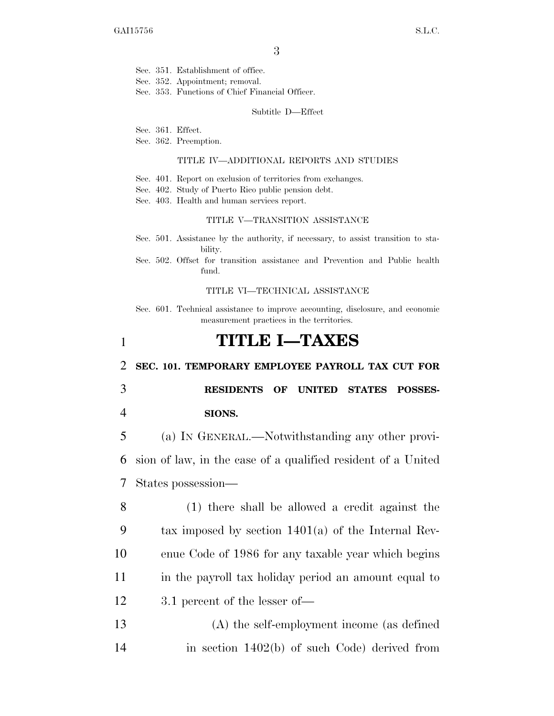- Sec. 351. Establishment of office.
- Sec. 352. Appointment; removal.
- Sec. 353. Functions of Chief Financial Officer.

Subtitle D—Effect

- Sec. 361. Effect.
- Sec. 362. Preemption.

#### TITLE IV—ADDITIONAL REPORTS AND STUDIES

- Sec. 401. Report on exclusion of territories from exchanges.
- Sec. 402. Study of Puerto Rico public pension debt.
- Sec. 403. Health and human services report.

#### TITLE V—TRANSITION ASSISTANCE

- Sec. 501. Assistance by the authority, if necessary, to assist transition to stability.
- Sec. 502. Offset for transition assistance and Prevention and Public health fund.

#### TITLE VI—TECHNICAL ASSISTANCE

Sec. 601. Technical assistance to improve accounting, disclosure, and economic measurement practices in the territories.

# 1 **TITLE I—TAXES**

#### 2 **SEC. 101. TEMPORARY EMPLOYEE PAYROLL TAX CUT FOR**

3 **RESIDENTS OF UNITED STATES POSSES-**4 **SIONS.** 

5 (a) IN GENERAL.—Notwithstanding any other provi-6 sion of law, in the case of a qualified resident of a United 7 States possession—

- 8 (1) there shall be allowed a credit against the 9 tax imposed by section 1401(a) of the Internal Rev-10 enue Code of 1986 for any taxable year which begins 11 in the payroll tax holiday period an amount equal to 12 3.1 percent of the lesser of—
- 13 (A) the self-employment income (as defined 14 in section 1402(b) of such Code) derived from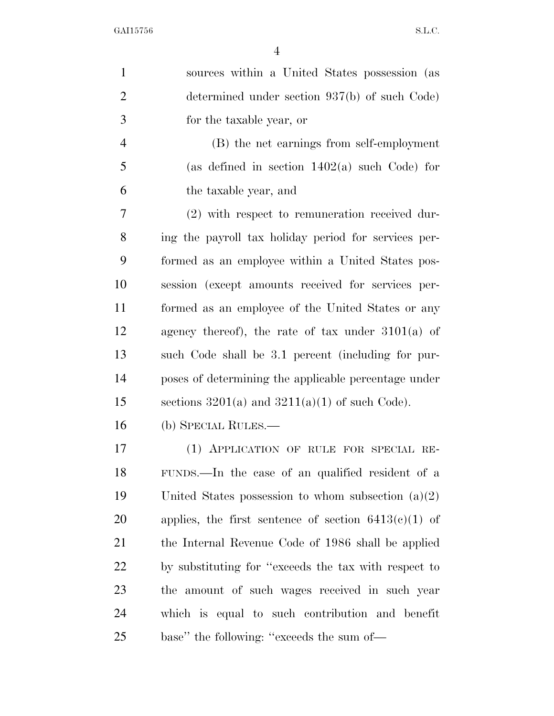| $\mathbf{1}$   | sources within a United States possession (as          |
|----------------|--------------------------------------------------------|
| $\overline{2}$ | determined under section $937(b)$ of such Code)        |
| 3              | for the taxable year, or                               |
| $\overline{4}$ | (B) the net earnings from self-employment              |
| 5              | (as defined in section $1402(a)$ such Code) for        |
| 6              | the taxable year, and                                  |
| 7              | $(2)$ with respect to remuneration received dur-       |
| 8              | ing the payroll tax holiday period for services per-   |
| 9              | formed as an employee within a United States pos-      |
| 10             | session (except amounts received for services per-     |
| 11             | formed as an employee of the United States or any      |
| 12             | agency thereof), the rate of tax under $3101(a)$ of    |
| 13             | such Code shall be 3.1 percent (including for pur-     |
| 14             | poses of determining the applicable percentage under   |
| 15             | sections $3201(a)$ and $3211(a)(1)$ of such Code).     |
| 16             | (b) SPECIAL RULES.—                                    |
| 17             | (1) APPLICATION OF RULE FOR SPECIAL RE-                |
| 18             | FUNDS.—In the case of an qualified resident of a       |
| 19             | United States possession to whom subsection $(a)(2)$   |
| 20             | applies, the first sentence of section $6413(c)(1)$ of |
| 21             | the Internal Revenue Code of 1986 shall be applied     |
| 22             | by substituting for "exceeds the tax with respect to   |
| 23             | the amount of such wages received in such year         |
| 24             | which is equal to such contribution and benefit        |
| 25             | base" the following: "exceeds the sum of-              |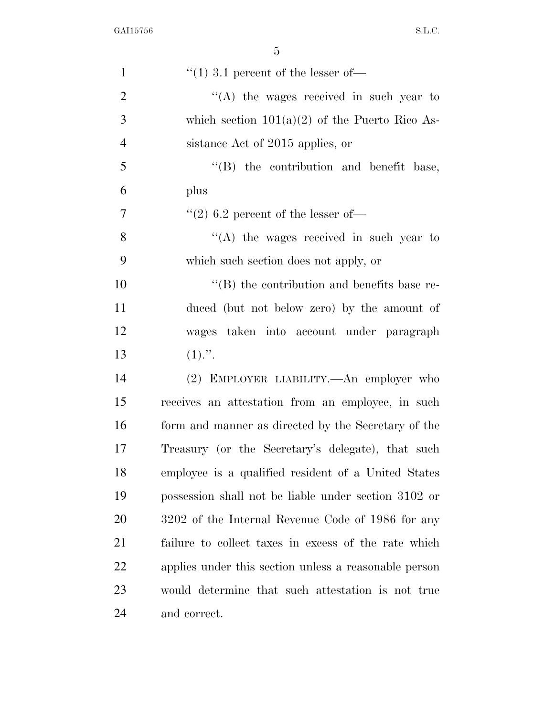| $\mathbf{1}$   | $\cdot$ (1) 3.1 percent of the lesser of —            |
|----------------|-------------------------------------------------------|
| $\overline{2}$ | $\lq\lq$ the wages received in such year to           |
| 3              | which section $101(a)(2)$ of the Puerto Rico As-      |
| $\overline{4}$ | sistance Act of 2015 applies, or                      |
| 5              | "(B) the contribution and benefit base,               |
| 6              | plus                                                  |
| 7              | $(2)$ 6.2 percent of the lesser of-                   |
| 8              | "(A) the wages received in such year to               |
| 9              | which such section does not apply, or                 |
| 10             | $\cdot$ (B) the contribution and benefits base re-    |
| 11             | duced (but not below zero) by the amount of           |
| 12             | wages taken into account under paragraph              |
| 13             | $(1)$ .".                                             |
| 14             | (2) EMPLOYER LIABILITY.—An employer who               |
| 15             | receives an attestation from an employee, in such     |
| 16             | form and manner as directed by the Secretary of the   |
| 17             | Treasury (or the Secretary's delegate), that such     |
| 18             | employee is a qualified resident of a United States   |
| 19             | possession shall not be liable under section 3102 or  |
| 20             | 3202 of the Internal Revenue Code of 1986 for any     |
| 21             | failure to collect taxes in excess of the rate which  |
| 22             | applies under this section unless a reasonable person |
| 23             | would determine that such attestation is not true     |
| 24             | and correct.                                          |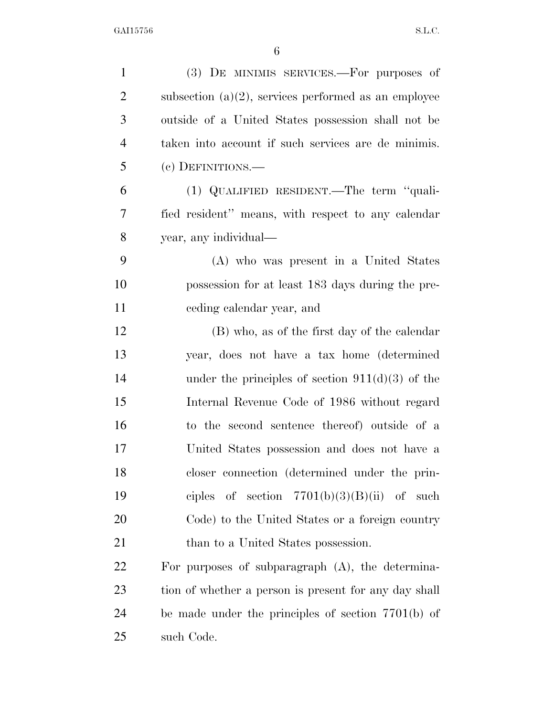| $\mathbf{1}$   | (3) DE MINIMIS SERVICES.—For purposes of                |
|----------------|---------------------------------------------------------|
| $\overline{2}$ | subsection $(a)(2)$ , services performed as an employee |
| 3              | outside of a United States possession shall not be      |
| $\overline{4}$ | taken into account if such services are de minimis.     |
| 5              | (c) DEFINITIONS.—                                       |
| 6              | (1) QUALIFIED RESIDENT.—The term "quali-                |
| 7              | fied resident" means, with respect to any calendar      |
| 8              | year, any individual—                                   |
| 9              | (A) who was present in a United States                  |
| 10             | possession for at least 183 days during the pre-        |
| 11             | ceding calendar year, and                               |
| 12             | (B) who, as of the first day of the calendar            |
| 13             | year, does not have a tax home (determined              |
| 14             | under the principles of section $911(d)(3)$ of the      |
| 15             | Internal Revenue Code of 1986 without regard            |
| 16             | to the second sentence thereof) outside of a            |
| 17             | United States possession and does not have a            |
| 18             | closer connection (determined under the prin-           |
| 19             | ciples of section $7701(b)(3)(B)(ii)$ of such           |
| 20             | Code) to the United States or a foreign country         |
| 21             | than to a United States possession.                     |
| 22             | For purposes of subparagraph $(A)$ , the determina-     |
| 23             | tion of whether a person is present for any day shall   |
| 24             | be made under the principles of section $7701(b)$ of    |
| 25             | such Code.                                              |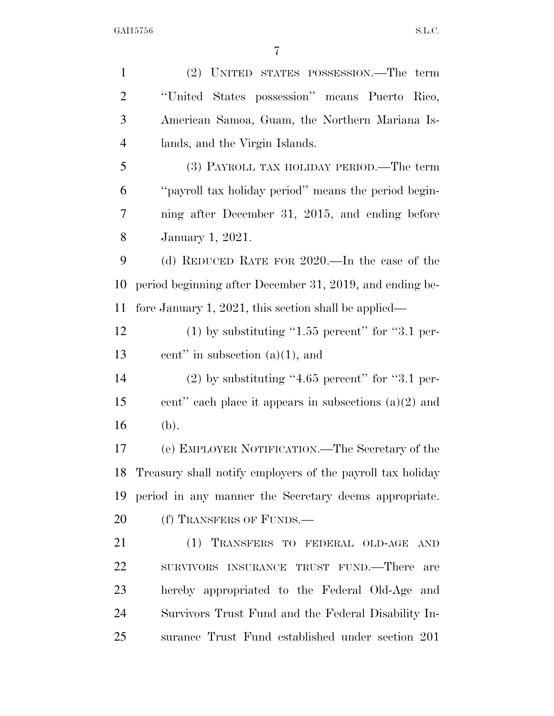(2) UNITED STATES POSSESSION.—The term ''United States possession'' means Puerto Rico, American Samoa, Guam, the Northern Mariana Is- lands, and the Virgin Islands. (3) PAYROLL TAX HOLIDAY PERIOD.—The term ''payroll tax holiday period'' means the period begin- ning after December 31, 2015, and ending before January 1, 2021. (d) REDUCED RATE FOR 2020.—In the case of the period beginning after December 31, 2019, and ending be- fore January 1, 2021, this section shall be applied— (1) by substituting ''1.55 percent'' for ''3.1 per- cent'' in subsection (a)(1), and (2) by substituting ''4.65 percent'' for ''3.1 per-15 cent" each place it appears in subsections  $(a)(2)$  and (b). (e) EMPLOYER NOTIFICATION.—The Secretary of the Treasury shall notify employers of the payroll tax holiday period in any manner the Secretary deems appropriate. 20 (f) TRANSFERS OF FUNDS.— (1) TRANSFERS TO FEDERAL OLD-AGE AND SURVIVORS INSURANCE TRUST FUND.—There are hereby appropriated to the Federal Old-Age and Survivors Trust Fund and the Federal Disability In-surance Trust Fund established under section 201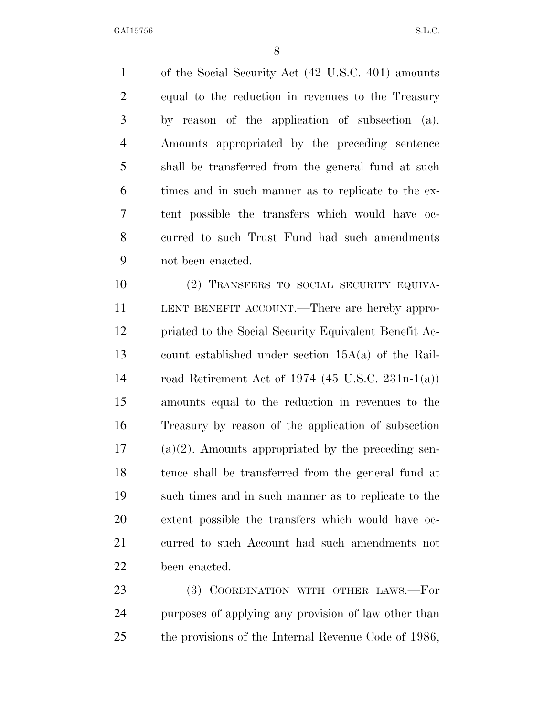of the Social Security Act (42 U.S.C. 401) amounts equal to the reduction in revenues to the Treasury by reason of the application of subsection (a). Amounts appropriated by the preceding sentence shall be transferred from the general fund at such times and in such manner as to replicate to the ex- tent possible the transfers which would have oc- curred to such Trust Fund had such amendments not been enacted.

 (2) TRANSFERS TO SOCIAL SECURITY EQUIVA- LENT BENEFIT ACCOUNT.—There are hereby appro- priated to the Social Security Equivalent Benefit Ac- count established under section 15A(a) of the Rail- road Retirement Act of 1974 (45 U.S.C. 231n-1(a)) amounts equal to the reduction in revenues to the Treasury by reason of the application of subsection (a)(2). Amounts appropriated by the preceding sen- tence shall be transferred from the general fund at such times and in such manner as to replicate to the extent possible the transfers which would have oc- curred to such Account had such amendments not been enacted.

23 (3) COORDINATION WITH OTHER LAWS.—For purposes of applying any provision of law other than the provisions of the Internal Revenue Code of 1986,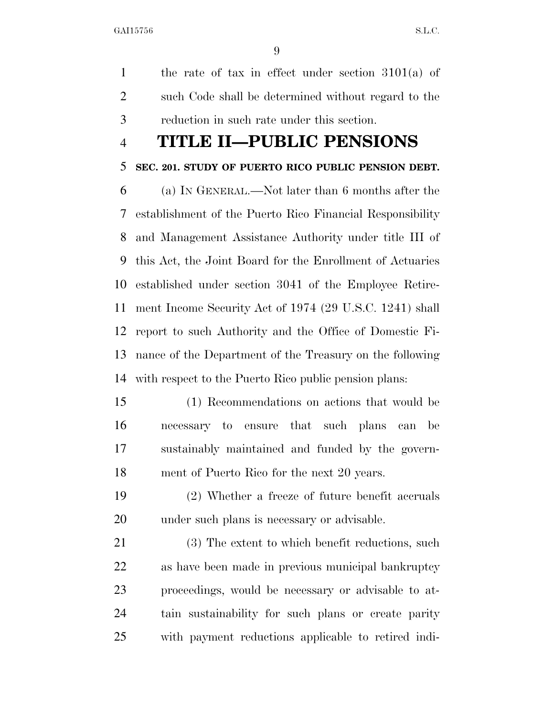the rate of tax in effect under section 3101(a) of such Code shall be determined without regard to the reduction in such rate under this section.

# **TITLE II—PUBLIC PENSIONS**

## **SEC. 201. STUDY OF PUERTO RICO PUBLIC PENSION DEBT.**

 (a) IN GENERAL.—Not later than 6 months after the establishment of the Puerto Rico Financial Responsibility and Management Assistance Authority under title III of this Act, the Joint Board for the Enrollment of Actuaries established under section 3041 of the Employee Retire- ment Income Security Act of 1974 (29 U.S.C. 1241) shall report to such Authority and the Office of Domestic Fi- nance of the Department of the Treasury on the following with respect to the Puerto Rico public pension plans:

- (1) Recommendations on actions that would be necessary to ensure that such plans can be sustainably maintained and funded by the govern-ment of Puerto Rico for the next 20 years.
- (2) Whether a freeze of future benefit accruals under such plans is necessary or advisable.
- (3) The extent to which benefit reductions, such as have been made in previous municipal bankruptcy proceedings, would be necessary or advisable to at- tain sustainability for such plans or create parity with payment reductions applicable to retired indi-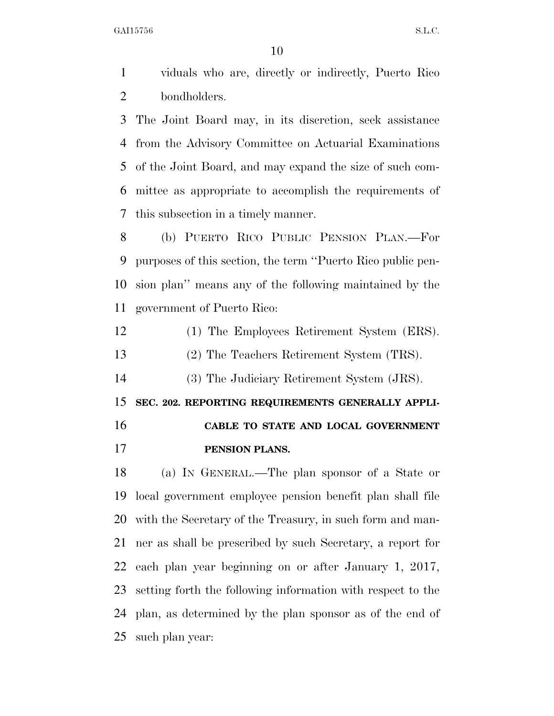viduals who are, directly or indirectly, Puerto Rico bondholders.

 The Joint Board may, in its discretion, seek assistance from the Advisory Committee on Actuarial Examinations of the Joint Board, and may expand the size of such com- mittee as appropriate to accomplish the requirements of this subsection in a timely manner.

 (b) PUERTO RICO PUBLIC PENSION PLAN.—For purposes of this section, the term ''Puerto Rico public pen- sion plan'' means any of the following maintained by the government of Puerto Rico:

- (1) The Employees Retirement System (ERS).
- (2) The Teachers Retirement System (TRS).

(3) The Judiciary Retirement System (JRS).

**SEC. 202. REPORTING REQUIREMENTS GENERALLY APPLI-**

# **CABLE TO STATE AND LOCAL GOVERNMENT PENSION PLANS.**

 (a) IN GENERAL.—The plan sponsor of a State or local government employee pension benefit plan shall file with the Secretary of the Treasury, in such form and man- ner as shall be prescribed by such Secretary, a report for each plan year beginning on or after January 1, 2017, setting forth the following information with respect to the plan, as determined by the plan sponsor as of the end of such plan year: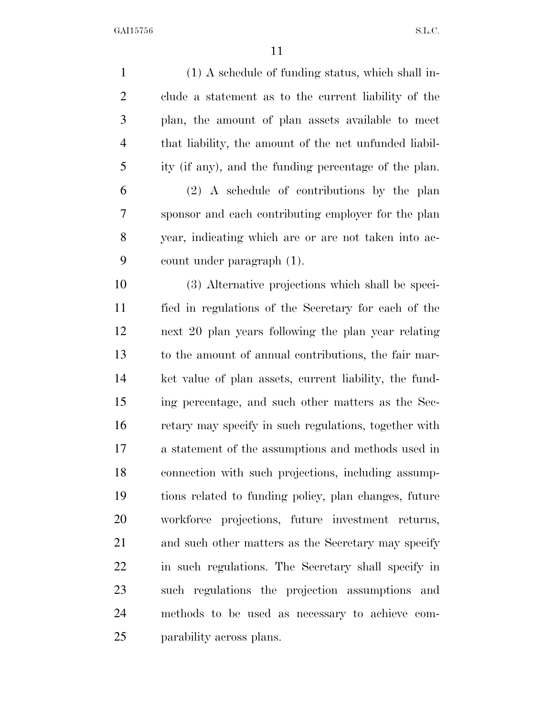(1) A schedule of funding status, which shall in- clude a statement as to the current liability of the plan, the amount of plan assets available to meet that liability, the amount of the net unfunded liabil- ity (if any), and the funding percentage of the plan. (2) A schedule of contributions by the plan sponsor and each contributing employer for the plan year, indicating which are or are not taken into ac- count under paragraph (1). (3) Alternative projections which shall be speci- fied in regulations of the Secretary for each of the next 20 plan years following the plan year relating to the amount of annual contributions, the fair mar- ket value of plan assets, current liability, the fund- ing percentage, and such other matters as the Sec- retary may specify in such regulations, together with a statement of the assumptions and methods used in connection with such projections, including assump- tions related to funding policy, plan changes, future workforce projections, future investment returns, and such other matters as the Secretary may specify in such regulations. The Secretary shall specify in such regulations the projection assumptions and methods to be used as necessary to achieve com-parability across plans.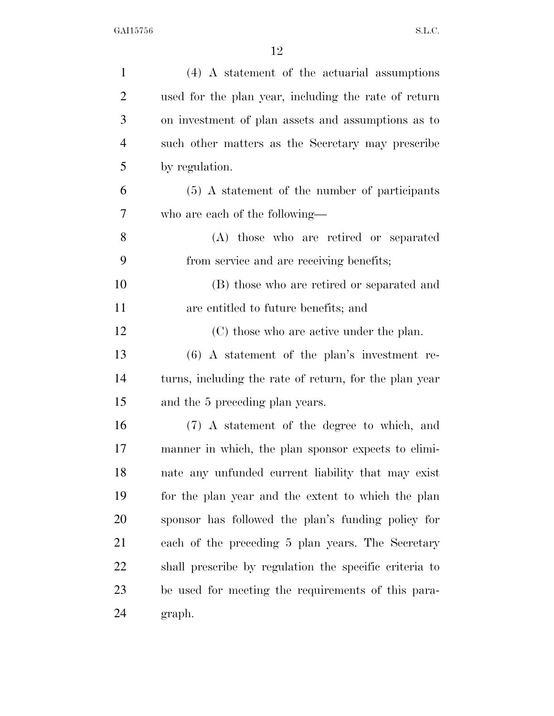| $\mathbf{1}$   | (4) A statement of the actuarial assumptions           |
|----------------|--------------------------------------------------------|
| $\overline{2}$ | used for the plan year, including the rate of return   |
| 3              | on investment of plan assets and assumptions as to     |
| $\overline{4}$ | such other matters as the Secretary may prescribe      |
| 5              | by regulation.                                         |
| 6              | $(5)$ A statement of the number of participants        |
| 7              | who are each of the following—                         |
| 8              | (A) those who are retired or separated                 |
| 9              | from service and are receiving benefits;               |
| 10             | (B) those who are retired or separated and             |
| 11             | are entitled to future benefits; and                   |
| 12             | (C) those who are active under the plan.               |
| 13             | $(6)$ A statement of the plan's investment re-         |
| 14             | turns, including the rate of return, for the plan year |
| 15             | and the 5 preceding plan years.                        |
| 16             | (7) A statement of the degree to which, and            |
| 17             | manner in which, the plan sponsor expects to elimi-    |
| 18             | nate any unfunded current liability that may exist     |
| 19             | for the plan year and the extent to which the plan     |
| 20             | sponsor has followed the plan's funding policy for     |
| 21             | each of the preceding 5 plan years. The Secretary      |
| 22             | shall prescribe by regulation the specific criteria to |
| 23             | be used for meeting the requirements of this para-     |
| 24             | graph.                                                 |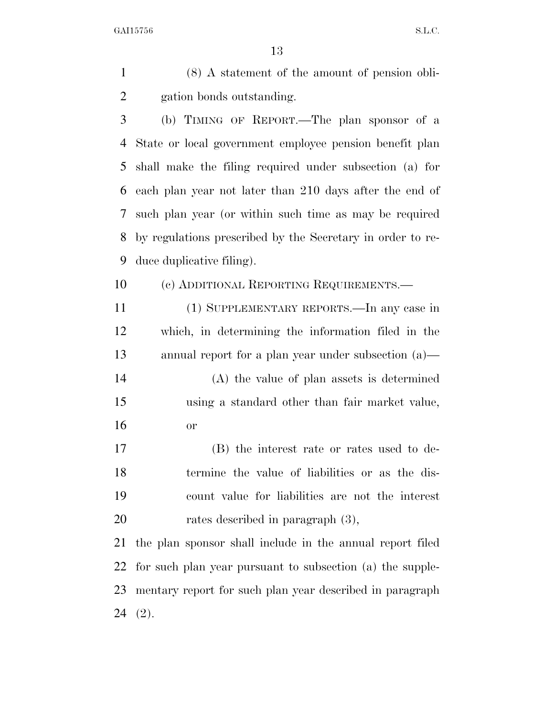(8) A statement of the amount of pension obli-gation bonds outstanding.

 (b) TIMING OF REPORT.—The plan sponsor of a State or local government employee pension benefit plan shall make the filing required under subsection (a) for each plan year not later than 210 days after the end of such plan year (or within such time as may be required by regulations prescribed by the Secretary in order to re-duce duplicative filing).

(c) ADDITIONAL REPORTING REQUIREMENTS.—

 (1) SUPPLEMENTARY REPORTS.—In any case in which, in determining the information filed in the annual report for a plan year under subsection (a)—

 (A) the value of plan assets is determined using a standard other than fair market value, or

 (B) the interest rate or rates used to de- termine the value of liabilities or as the dis- count value for liabilities are not the interest 20 rates described in paragraph  $(3)$ ,

 the plan sponsor shall include in the annual report filed for such plan year pursuant to subsection (a) the supple- mentary report for such plan year described in paragraph (2).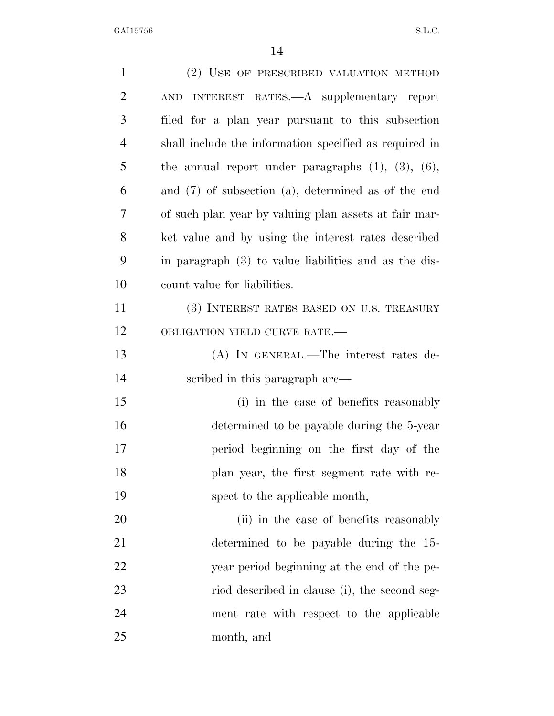| $\mathbf{1}$   | (2) USE OF PRESCRIBED VALUATION METHOD                     |
|----------------|------------------------------------------------------------|
| $\overline{2}$ | AND INTEREST RATES.—A supplementary report                 |
| 3              | filed for a plan year pursuant to this subsection          |
| $\overline{4}$ | shall include the information specified as required in     |
| 5              | the annual report under paragraphs $(1)$ , $(3)$ , $(6)$ , |
| 6              | and $(7)$ of subsection $(a)$ , determined as of the end   |
| 7              | of such plan year by valuing plan assets at fair mar-      |
| 8              | ket value and by using the interest rates described        |
| 9              | in paragraph (3) to value liabilities and as the dis-      |
| 10             | count value for liabilities.                               |
| 11             | (3) INTEREST RATES BASED ON U.S. TREASURY                  |
| 12             | OBLIGATION YIELD CURVE RATE.-                              |
| 13             | (A) IN GENERAL.—The interest rates de-                     |
| 14             | scribed in this paragraph are—                             |
| 15             | (i) in the case of benefits reasonably                     |
| 16             | determined to be payable during the 5-year                 |
| 17             | period beginning on the first day of the                   |
| 18             | plan year, the first segment rate with re-                 |
| 19             | spect to the applicable month,                             |
| 20             | (ii) in the case of benefits reasonably                    |
| 21             | determined to be payable during the 15-                    |
| 22             | year period beginning at the end of the pe-                |
| 23             | riod described in clause (i), the second seg-              |
| 24             | ment rate with respect to the applicable                   |
| 25             | month, and                                                 |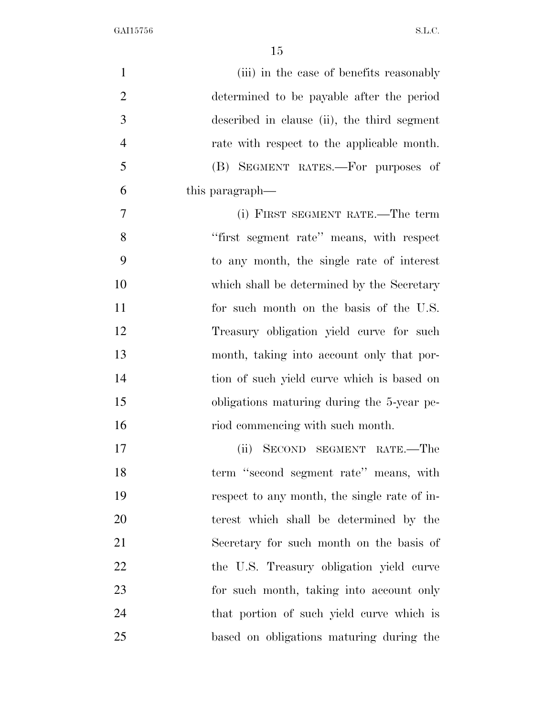| $\mathbf{1}$   | (iii) in the case of benefits reasonably     |
|----------------|----------------------------------------------|
| $\overline{2}$ | determined to be payable after the period    |
| 3              | described in clause (ii), the third segment  |
| $\overline{4}$ | rate with respect to the applicable month.   |
| 5              | (B) SEGMENT RATES.—For purposes of           |
| 6              | this paragraph—                              |
| 7              | (i) FIRST SEGMENT RATE.—The term             |
| 8              | "first segment rate" means, with respect     |
| 9              | to any month, the single rate of interest    |
| 10             | which shall be determined by the Secretary   |
| 11             | for such month on the basis of the U.S.      |
| 12             | Treasury obligation yield curve for such     |
| 13             | month, taking into account only that por-    |
| 14             | tion of such yield curve which is based on   |
| 15             | obligations maturing during the 5-year pe-   |
| 16             | riod commencing with such month.             |
| 17             | SECOND SEGMENT RATE.—The<br>(ii)             |
| 18             | term "second segment rate" means, with       |
| 19             | respect to any month, the single rate of in- |
| 20             | terest which shall be determined by the      |
| 21             | Secretary for such month on the basis of     |
| 22             | the U.S. Treasury obligation yield curve     |
| 23             | for such month, taking into account only     |
| 24             | that portion of such yield curve which is    |
| 25             | based on obligations maturing during the     |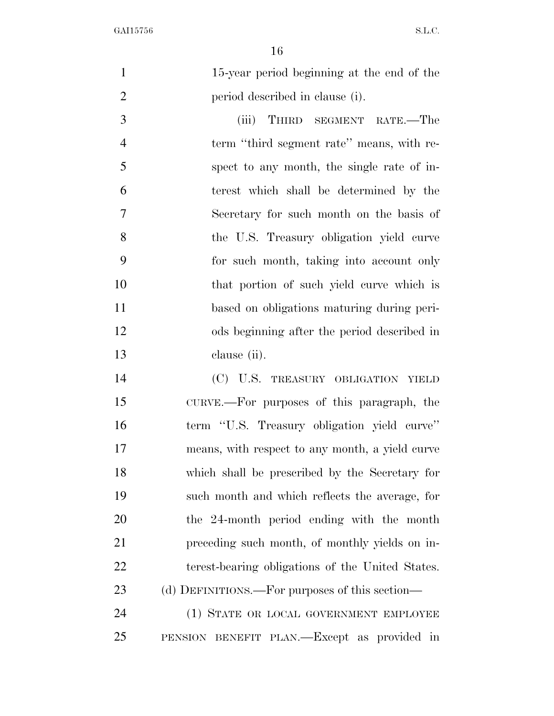15-year period beginning at the end of the period described in clause (i).

 (iii) THIRD SEGMENT RATE.—The term ''third segment rate'' means, with re- spect to any month, the single rate of in- terest which shall be determined by the Secretary for such month on the basis of the U.S. Treasury obligation yield curve for such month, taking into account only that portion of such yield curve which is based on obligations maturing during peri- ods beginning after the period described in clause (ii).

 (C) U.S. TREASURY OBLIGATION YIELD CURVE.—For purposes of this paragraph, the term ''U.S. Treasury obligation yield curve'' means, with respect to any month, a yield curve which shall be prescribed by the Secretary for such month and which reflects the average, for the 24-month period ending with the month preceding such month, of monthly yields on in- terest-bearing obligations of the United States. 23 (d) DEFINITIONS.—For purposes of this section—

 (1) STATE OR LOCAL GOVERNMENT EMPLOYEE PENSION BENEFIT PLAN.—Except as provided in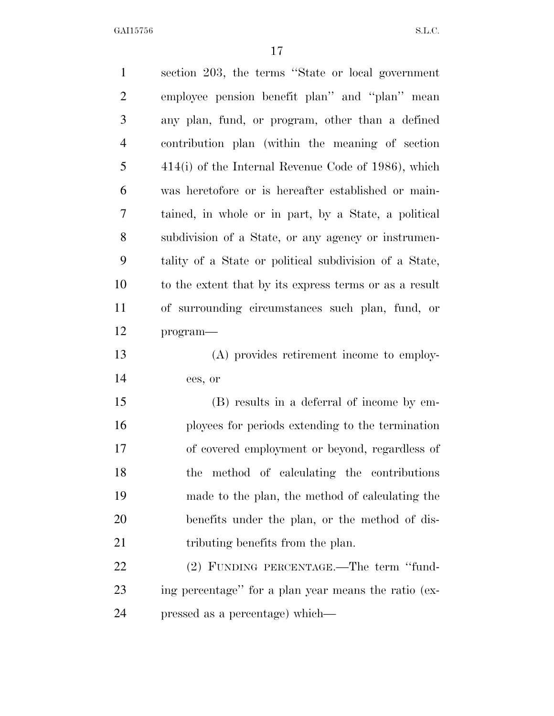| $\mathbf{1}$   | section 203, the terms "State or local government"     |
|----------------|--------------------------------------------------------|
| $\overline{2}$ | employee pension benefit plan" and "plan" mean         |
| 3              | any plan, fund, or program, other than a defined       |
| $\overline{4}$ | contribution plan (within the meaning of section       |
| 5              | $414(i)$ of the Internal Revenue Code of 1986), which  |
| 6              | was heretofore or is hereafter established or main-    |
| 7              | tained, in whole or in part, by a State, a political   |
| 8              | subdivision of a State, or any agency or instrumen-    |
| 9              | tality of a State or political subdivision of a State, |
| 10             | to the extent that by its express terms or as a result |
| 11             | of surrounding circumstances such plan, fund, or       |
| 12             | program-                                               |
| 13             | (A) provides retirement income to employ-              |
| 14             | ees, or                                                |
| 15             | (B) results in a deferral of income by em-             |
| 16             | ployees for periods extending to the termination       |
| 17             | of covered employment or beyond, regardless of         |
| 18             | method of calculating the contributions<br>the         |
| 19             | made to the plan, the method of calculating the        |
| 20             | benefits under the plan, or the method of dis-         |
| 21             | tributing benefits from the plan.                      |
| 22             | (2) FUNDING PERCENTAGE.—The term "fund-                |
| 23             | ing percentage" for a plan year means the ratio (ex-   |
| 24             | pressed as a percentage) which—                        |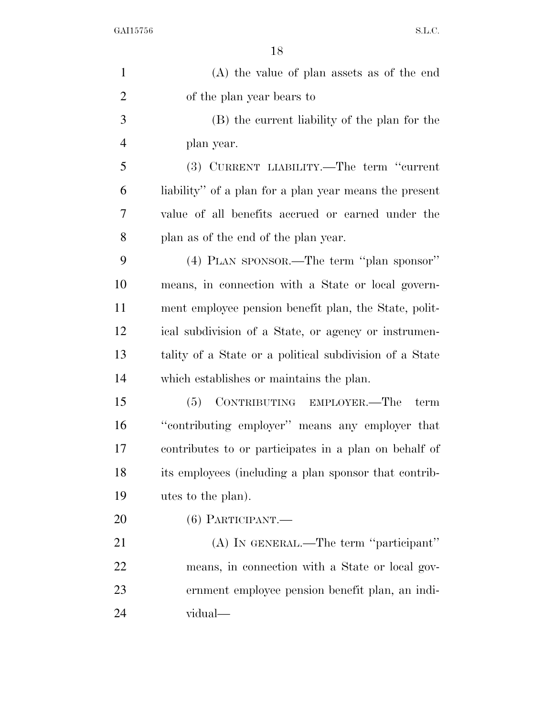| $\mathbf{1}$   | $(A)$ the value of plan assets as of the end            |
|----------------|---------------------------------------------------------|
| $\overline{2}$ | of the plan year bears to                               |
| 3              | (B) the current liability of the plan for the           |
| $\overline{4}$ | plan year.                                              |
| 5              | (3) CURRENT LIABILITY.—The term "current                |
| 6              | liability" of a plan for a plan year means the present  |
| 7              | value of all benefits accrued or earned under the       |
| 8              | plan as of the end of the plan year.                    |
| 9              | (4) PLAN SPONSOR.—The term "plan sponsor"               |
| 10             | means, in connection with a State or local govern-      |
| 11             | ment employee pension benefit plan, the State, polit-   |
| 12             | ical subdivision of a State, or agency or instrumen-    |
| 13             | tality of a State or a political subdivision of a State |
| 14             | which establishes or maintains the plan.                |
| 15             | (5) CONTRIBUTING EMPLOYER.—The<br>term                  |
| 16             | "contributing employer" means any employer that         |
| 17             | contributes to or participates in a plan on behalf of   |
| 18             | its employees (including a plan sponsor that contrib-   |
| 19             | utes to the plan).                                      |
| 20             | $(6)$ PARTICIPANT.—                                     |
| 21             | (A) IN GENERAL.—The term "participant"                  |
| 22             | means, in connection with a State or local gov-         |
| 23             | ernment employee pension benefit plan, an indi-         |
| 24             | vidual—                                                 |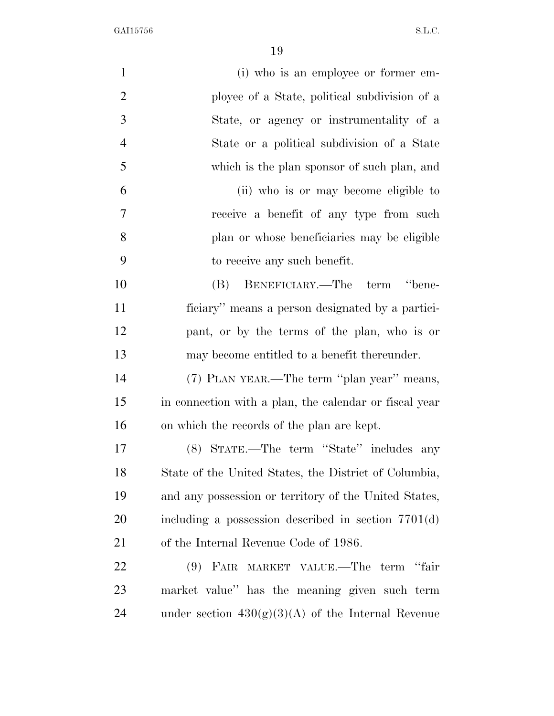| $\mathbf{1}$   | (i) who is an employee or former em-                   |
|----------------|--------------------------------------------------------|
| $\overline{2}$ | ployee of a State, political subdivision of a          |
| 3              | State, or agency or instrumentality of a               |
| $\overline{4}$ | State or a political subdivision of a State            |
| 5              | which is the plan sponsor of such plan, and            |
| 6              | (ii) who is or may become eligible to                  |
| 7              | receive a benefit of any type from such                |
| 8              | plan or whose beneficiaries may be eligible            |
| 9              | to receive any such benefit.                           |
| 10             | (B) BENEFICIARY.—The term "bene-                       |
| 11             | ficiary" means a person designated by a partici-       |
| 12             | pant, or by the terms of the plan, who is or           |
| 13             | may become entitled to a benefit thereunder.           |
| 14             | (7) PLAN YEAR.—The term "plan year" means,             |
| 15             | in connection with a plan, the calendar or fiscal year |
| 16             | on which the records of the plan are kept.             |
| 17             | (8) STATE.—The term "State" includes any               |
| 18             | State of the United States, the District of Columbia,  |
| 19             | and any possession or territory of the United States,  |
| 20             | including a possession described in section $7701(d)$  |
| 21             | of the Internal Revenue Code of 1986.                  |
| 22             | FAIR MARKET VALUE.—The term "fair<br>(9)               |
| 23             | market value" has the meaning given such term          |
| 24             | under section $430(g)(3)(A)$ of the Internal Revenue   |
|                |                                                        |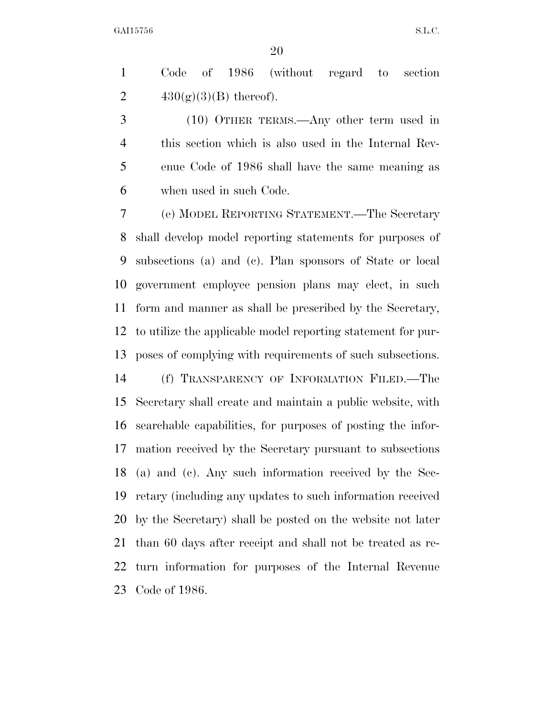Code of 1986 (without regard to section 2  $430(g)(3)(B)$  thereof).

 (10) OTHER TERMS.—Any other term used in this section which is also used in the Internal Rev- enue Code of 1986 shall have the same meaning as when used in such Code.

 (e) MODEL REPORTING STATEMENT.—The Secretary shall develop model reporting statements for purposes of subsections (a) and (c). Plan sponsors of State or local government employee pension plans may elect, in such form and manner as shall be prescribed by the Secretary, to utilize the applicable model reporting statement for pur-poses of complying with requirements of such subsections.

 (f) TRANSPARENCY OF INFORMATION FILED.—The Secretary shall create and maintain a public website, with searchable capabilities, for purposes of posting the infor- mation received by the Secretary pursuant to subsections (a) and (c). Any such information received by the Sec- retary (including any updates to such information received by the Secretary) shall be posted on the website not later than 60 days after receipt and shall not be treated as re- turn information for purposes of the Internal Revenue Code of 1986.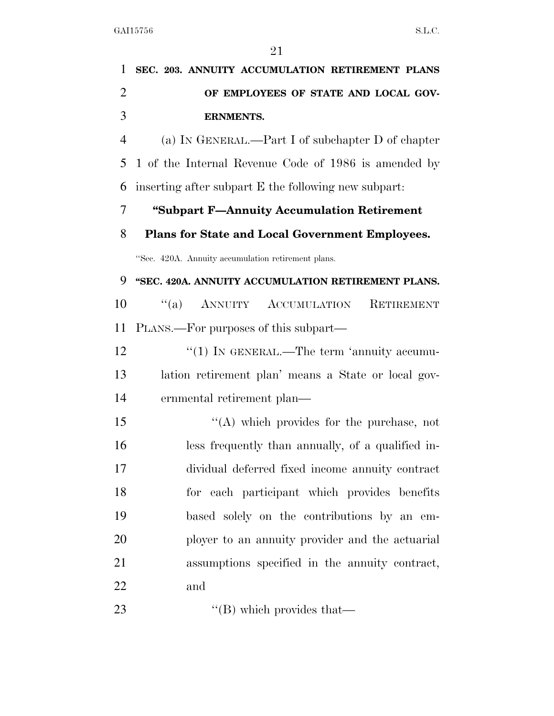| 1              | SEC. 203. ANNUITY ACCUMULATION RETIREMENT PLANS        |
|----------------|--------------------------------------------------------|
| $\overline{2}$ | OF EMPLOYEES OF STATE AND LOCAL GOV-                   |
| 3              | <b>ERNMENTS.</b>                                       |
| $\overline{4}$ | (a) IN GENERAL.—Part I of subchapter D of chapter      |
| 5              | 1 of the Internal Revenue Code of 1986 is amended by   |
| 6              | inserting after subpart E the following new subpart.   |
| 7              | "Subpart F-Annuity Accumulation Retirement             |
| 8              | <b>Plans for State and Local Government Employees.</b> |
|                | "Sec. 420A. Annuity accumulation retirement plans.     |
| 9              | "SEC. 420A. ANNUITY ACCUMULATION RETIREMENT PLANS.     |
| 10             | "(a) ANNUITY ACCUMULATION<br>RETIREMENT                |
| 11             | PLANS.—For purposes of this subpart—                   |
| 12             | " $(1)$ In GENERAL.—The term 'annuity accumu-          |
| 13             | lation retirement plan' means a State or local gov-    |
| 14             | ernmental retirement plan—                             |
| 15             | $\lq\lq$ which provides for the purchase, not          |
| 16             | less frequently than annually, of a qualified in-      |
| 17             | dividual deferred fixed income annuity contract        |
| 18             | for each participant which provides benefits           |
| 19             | based solely on the contributions by an em-            |
| 20             | ployer to an annuity provider and the actuarial        |
| 21             | assumptions specified in the annuity contract,         |
| 22             | and                                                    |
| 23             | $\lq\lq$ (B) which provides that $\lq$                 |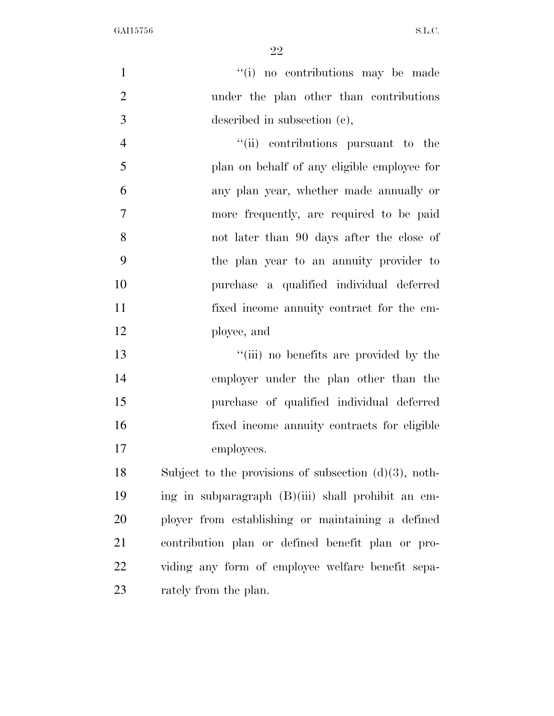| $\mathbf{1}$   | "(i) no contributions may be made                        |
|----------------|----------------------------------------------------------|
| $\overline{2}$ | under the plan other than contributions                  |
| 3              | described in subsection (c),                             |
| $\overline{4}$ | "(ii) contributions pursuant to the                      |
| 5              | plan on behalf of any eligible employee for              |
| 6              | any plan year, whether made annually or                  |
| $\tau$         | more frequently, are required to be paid                 |
| 8              | not later than 90 days after the close of                |
| 9              | the plan year to an annuity provider to                  |
| 10             | purchase a qualified individual deferred                 |
| 11             | fixed income annuity contract for the em-                |
| 12             | ployee, and                                              |
| 13             | "(iii) no benefits are provided by the                   |
| 14             | employer under the plan other than the                   |
| 15             | purchase of qualified individual deferred                |
| 16             | fixed income annuity contracts for eligible              |
| 17             | employees.                                               |
| 18             | Subject to the provisions of subsection $(d)(3)$ , noth- |
| 19             | ing in subparagraph (B)(iii) shall prohibit an em-       |
| 20             | ployer from establishing or maintaining a defined        |
| 21             | contribution plan or defined benefit plan or pro-        |
| 22             | viding any form of employee welfare benefit sepa-        |
| 23             | rately from the plan.                                    |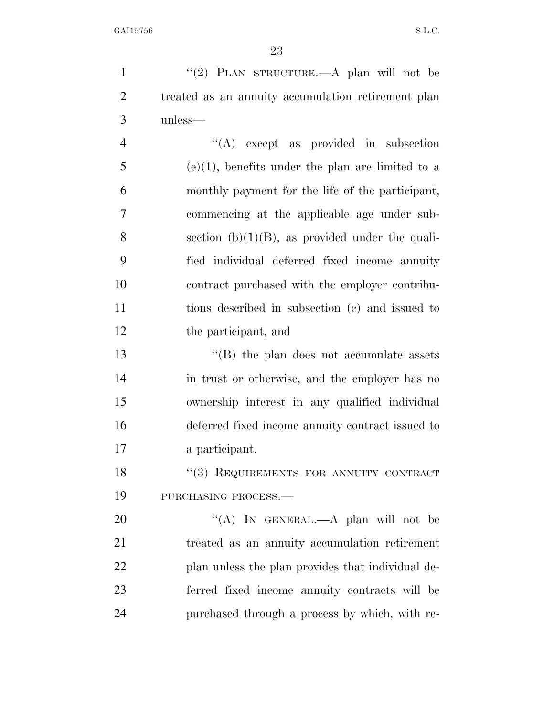1 "(2) PLAN STRUCTURE.—A plan will not be treated as an annuity accumulation retirement plan unless—

 ''(A) except as provided in subsection (e)(1), benefits under the plan are limited to a monthly payment for the life of the participant, commencing at the applicable age under sub-8 section  $(b)(1)(B)$ , as provided under the quali- fied individual deferred fixed income annuity contract purchased with the employer contribu- tions described in subsection (c) and issued to the participant, and

13 ''(B) the plan does not accumulate assets in trust or otherwise, and the employer has no ownership interest in any qualified individual deferred fixed income annuity contract issued to a participant.

18 "(3) REQUIREMENTS FOR ANNUITY CONTRACT PURCHASING PROCESS.—

20 "(A) In GENERAL.—A plan will not be treated as an annuity accumulation retirement plan unless the plan provides that individual de- ferred fixed income annuity contracts will be purchased through a process by which, with re-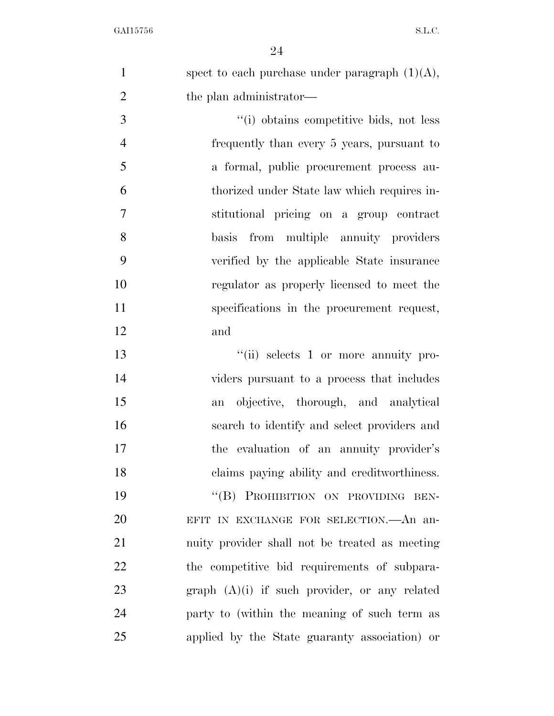|   | spect to each purchase under paragraph $(1)(A)$ , |
|---|---------------------------------------------------|
|   | the plan administrator—                           |
| 3 | "(i) obtains competitive bids, not less           |

 frequently than every 5 years, pursuant to a formal, public procurement process au- thorized under State law which requires in- stitutional pricing on a group contract basis from multiple annuity providers verified by the applicable State insurance regulator as properly licensed to meet the specifications in the procurement request, and

 $"$ (ii) selects 1 or more annuity pro- viders pursuant to a process that includes an objective, thorough, and analytical search to identify and select providers and the evaluation of an annuity provider's claims paying ability and creditworthiness. 19 "(B) PROHIBITION ON PROVIDING BEN-EFIT IN EXCHANGE FOR SELECTION.—An an-

 nuity provider shall not be treated as meeting the competitive bid requirements of subpara- graph (A)(i) if such provider, or any related party to (within the meaning of such term as applied by the State guaranty association) or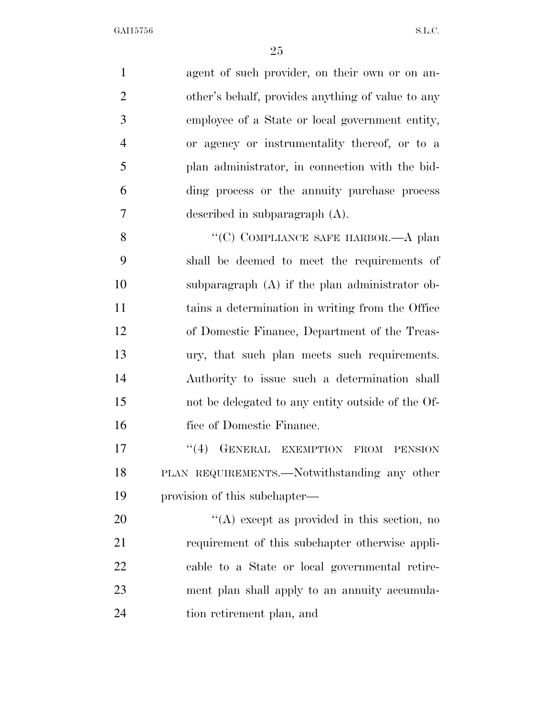| $\mathbf{1}$   | agent of such provider, on their own or on an-     |
|----------------|----------------------------------------------------|
| $\mathbf{2}$   | other's behalf, provides anything of value to any  |
| 3              | employee of a State or local government entity,    |
| $\overline{4}$ | or agency or instrumentality thereof, or to a      |
| 5              | plan administrator, in connection with the bid-    |
| 6              | ding process or the annuity purchase process       |
| $\overline{7}$ | described in subparagraph $(A)$ .                  |
| 8              | "(C) COMPLIANCE SAFE HARBOR.—A plan                |
| 9              | shall be deemed to meet the requirements of        |
| 10             | subparagraph (A) if the plan administrator ob-     |
| 11             | tains a determination in writing from the Office   |
| 12             | of Domestic Finance, Department of the Treas-      |
| 13             | ury, that such plan meets such requirements.       |
| 14             | Authority to issue such a determination shall      |
| 15             | not be delegated to any entity outside of the Of-  |
| 16             | fice of Domestic Finance.                          |
| 17             | GENERAL EXEMPTION<br>(4)<br>FROM<br><b>PENSION</b> |
| 18             | PLAN REQUIREMENTS.—Notwithstanding any other       |
| 19             | provision of this subchapter—                      |
| 20             | $\lq\lq$ except as provided in this section, no    |
| 21             | requirement of this subchapter otherwise appli-    |
| 22             | cable to a State or local governmental retire-     |
| 23             | ment plan shall apply to an annuity accumula-      |
| 24             | tion retirement plan, and                          |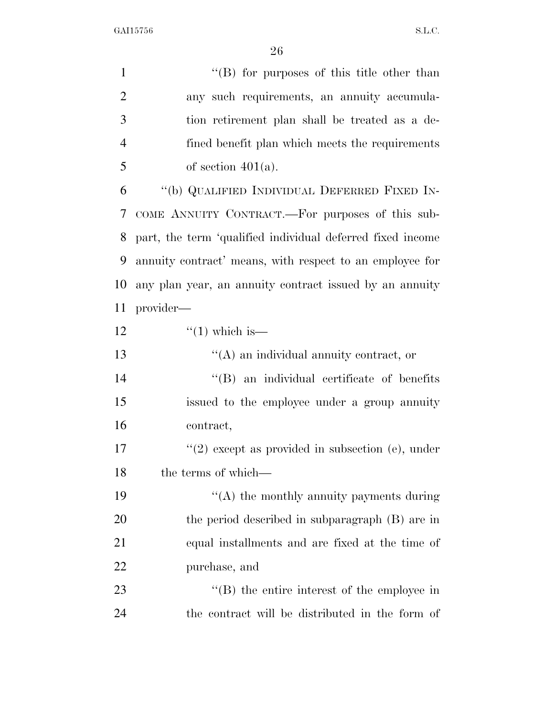| $\mathbf{1}$   | "(B) for purposes of this title other than                 |
|----------------|------------------------------------------------------------|
| $\overline{2}$ | any such requirements, an annuity accumula-                |
| 3              | tion retirement plan shall be treated as a de-             |
| $\overline{4}$ | fined benefit plan which meets the requirements            |
| 5              | of section $401(a)$ .                                      |
| 6              | "(b) QUALIFIED INDIVIDUAL DEFERRED FIXED IN-               |
| 7              | COME ANNUITY CONTRACT.—For purposes of this sub-           |
| 8              | part, the term 'qualified individual deferred fixed income |
| 9              | annuity contract' means, with respect to an employee for   |
| 10             | any plan year, an annuity contract issued by an annuity    |
| 11             | provider—                                                  |
| 12             | $\lq(1)$ which is—                                         |
| 13             | $\lq\lq$ and individual annuity contract, or               |
| 14             | "(B) an individual certificate of benefits                 |
| 15             | issued to the employee under a group annuity               |
| 16             | contract,                                                  |
| 17             | $f'(2)$ except as provided in subsection (e), under        |
| 18             | the terms of which—                                        |
| 19             | "(A) the monthly annuity payments during                   |
| 20             | the period described in subparagraph (B) are in            |
| 21             | equal installments and are fixed at the time of            |
| 22             | purchase, and                                              |
| 23             | $\lq\lq$ the entire interest of the employee in            |
| 24             | the contract will be distributed in the form of            |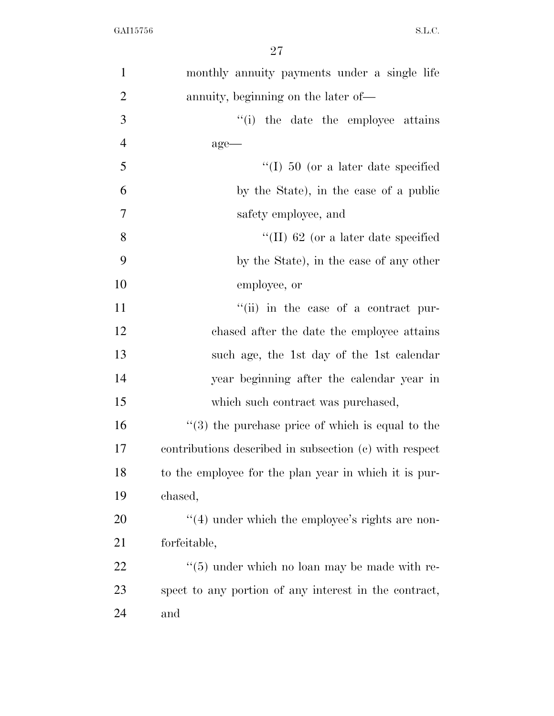| $\mathbf{1}$   | monthly annuity payments under a single life                 |
|----------------|--------------------------------------------------------------|
| $\overline{2}$ | annuity, beginning on the later of—                          |
| 3              | "(i) the date the employee attains                           |
| $\overline{4}$ | $age-$                                                       |
| 5              | "(I) $50$ (or a later date specified                         |
| 6              | by the State), in the case of a public                       |
| $\tau$         | safety employee, and                                         |
| 8              | "(II) 62 (or a later date specified                          |
| 9              | by the State), in the case of any other                      |
| 10             | employee, or                                                 |
| 11             | "(ii) in the case of a contract pur-                         |
| 12             | chased after the date the employee attains                   |
| 13             | such age, the 1st day of the 1st calendar                    |
| 14             | year beginning after the calendar year in                    |
| 15             | which such contract was purchased,                           |
| 16             | $\cdot\cdot$ (3) the purchase price of which is equal to the |
| 17             | contributions described in subsection (c) with respect       |
| 18             | to the employee for the plan year in which it is pur-        |
| 19             | chased,                                                      |
| 20             | $\cdot$ (4) under which the employee's rights are non-       |
| 21             | forfeitable,                                                 |
| 22             | $\cdot\cdot$ (5) under which no loan may be made with re-    |
| 23             | spect to any portion of any interest in the contract,        |
| 24             | and                                                          |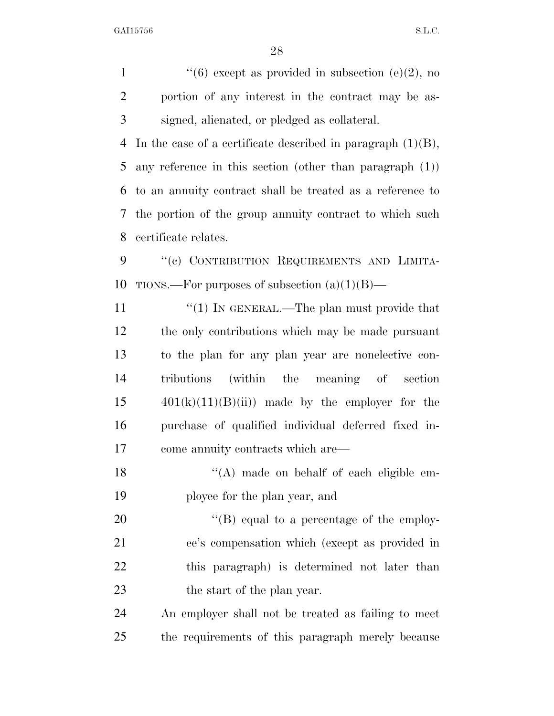1  $\frac{4}{6}$  except as provided in subsection (e)(2), no portion of any interest in the contract may be as-signed, alienated, or pledged as collateral.

 In the case of a certificate described in paragraph (1)(B), any reference in this section (other than paragraph (1)) to an annuity contract shall be treated as a reference to the portion of the group annuity contract to which such certificate relates.

9 "(c) CONTRIBUTION REQUIREMENTS AND LIMITA-10 TIONS.—For purposes of subsection  $(a)(1)(B)$ —

 $\frac{1}{1}$  The plan must provide that the only contributions which may be made pursuant to the plan for any plan year are nonelective con- tributions (within the meaning of section  $401(k)(11)(B(ii))$  made by the employer for the purchase of qualified individual deferred fixed in-come annuity contracts which are—

18 "(A) made on behalf of each eligible em-ployee for the plan year, and

20 "'(B) equal to a percentage of the employ- ee's compensation which (except as provided in this paragraph) is determined not later than 23 the start of the plan year.

 An employer shall not be treated as failing to meet the requirements of this paragraph merely because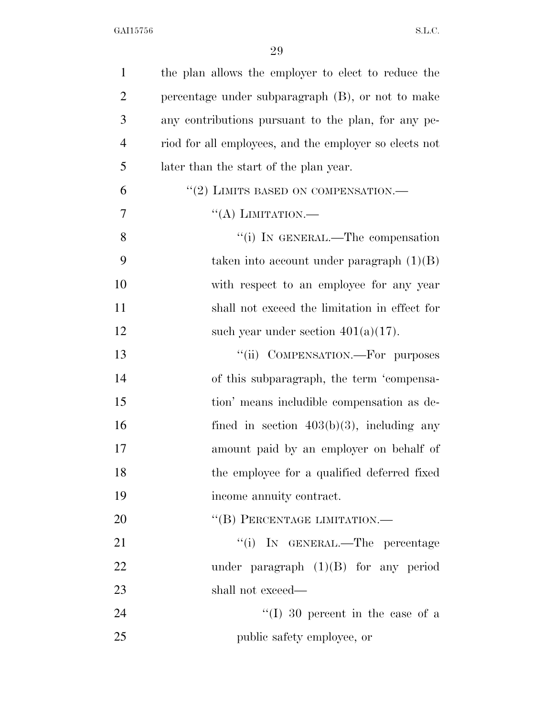| $\mathbf{1}$   | the plan allows the employer to elect to reduce the    |
|----------------|--------------------------------------------------------|
| $\overline{2}$ | percentage under subparagraph (B), or not to make      |
| 3              | any contributions pursuant to the plan, for any pe-    |
| $\overline{4}$ | riod for all employees, and the employer so elects not |
| 5              | later than the start of the plan year.                 |
| 6              | "(2) LIMITS BASED ON COMPENSATION.-                    |
| 7              | "(A) LIMITATION.—                                      |
| 8              | "(i) IN GENERAL.—The compensation                      |
| 9              | taken into account under paragraph $(1)(B)$            |
| 10             | with respect to an employee for any year               |
| 11             | shall not exceed the limitation in effect for          |
| 12             | such year under section $401(a)(17)$ .                 |
| 13             | "(ii) COMPENSATION.—For purposes                       |
| 14             | of this subparagraph, the term 'compensa-              |
| 15             | tion' means includible compensation as de-             |
| 16             | fined in section $403(b)(3)$ , including any           |
| 17             | amount paid by an employer on behalf of                |
| 18             | the employee for a qualified deferred fixed            |
| 19             | income annuity contract.                               |
| 20             | "(B) PERCENTAGE LIMITATION.-                           |
| 21             | "(i) IN GENERAL.—The percentage                        |
| 22             | under paragraph $(1)(B)$ for any period                |
| 23             | shall not exceed—                                      |
| 24             | "(I) 30 percent in the case of a                       |
| 25             | public safety employee, or                             |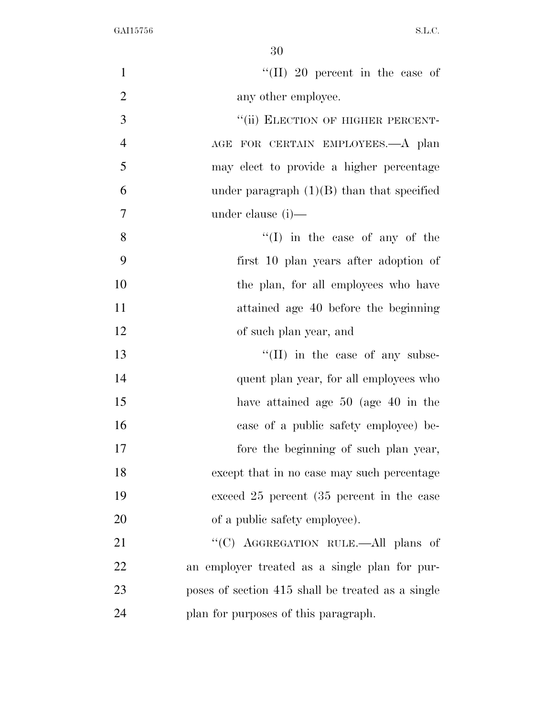| $\mathbf{1}$   | "(II) 20 percent in the case of                   |
|----------------|---------------------------------------------------|
| $\overline{2}$ | any other employee.                               |
| 3              | "(ii) ELECTION OF HIGHER PERCENT-                 |
| $\overline{4}$ | AGE FOR CERTAIN EMPLOYEES.—A plan                 |
| 5              | may elect to provide a higher percentage          |
| 6              | under paragraph $(1)(B)$ than that specified      |
| 7              | under clause (i)—                                 |
| 8              | $\lq\lq$ (I) in the case of any of the            |
| 9              | first 10 plan years after adoption of             |
| 10             | the plan, for all employees who have              |
| 11             | attained age 40 before the beginning              |
| 12             | of such plan year, and                            |
| 13             | $\lq\lq$ (II) in the case of any subse-           |
| 14             | quent plan year, for all employees who            |
| 15             | have attained age 50 (age 40 in the               |
| 16             | case of a public safety employee) be-             |
| 17             | fore the beginning of such plan year,             |
| 18             | except that in no case may such percentage        |
| 19             | exceed 25 percent (35 percent in the case)        |
| 20             | of a public safety employee).                     |
| 21             | "(C) AGGREGATION RULE.—All plans of               |
| 22             | an employer treated as a single plan for pur-     |
| 23             | poses of section 415 shall be treated as a single |
| 24             | plan for purposes of this paragraph.              |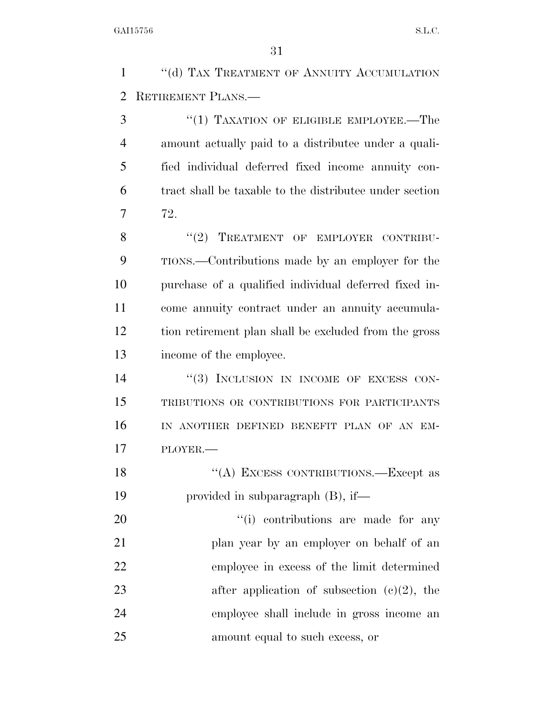1 "(d) TAX TREATMENT OF ANNUITY ACCUMULATION RETIREMENT PLANS.—

3 "(1) TAXATION OF ELIGIBLE EMPLOYEE.—The amount actually paid to a distributee under a quali- fied individual deferred fixed income annuity con- tract shall be taxable to the distributee under section 72.

8 "(2) TREATMENT OF EMPLOYER CONTRIBU- TIONS.—Contributions made by an employer for the purchase of a qualified individual deferred fixed in- come annuity contract under an annuity accumula- tion retirement plan shall be excluded from the gross income of the employee.

14 "(3) INCLUSION IN INCOME OF EXCESS CON- TRIBUTIONS OR CONTRIBUTIONS FOR PARTICIPANTS IN ANOTHER DEFINED BENEFIT PLAN OF AN EM-PLOYER.—

18 "(A) EXCESS CONTRIBUTIONS.—Except as provided in subparagraph (B), if—

 $\frac{1}{1}$  contributions are made for any 21 plan year by an employer on behalf of an employee in excess of the limit determined 23 after application of subsection  $(c)(2)$ , the employee shall include in gross income an amount equal to such excess, or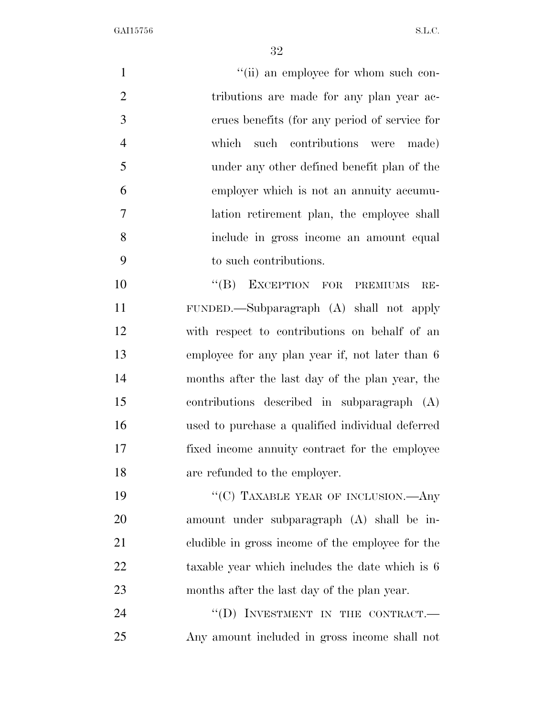$''(ii)$  an employee for whom such con-2 tributions are made for any plan year ac- crues benefits (for any period of service for which such contributions were made) under any other defined benefit plan of the employer which is not an annuity accumu- lation retirement plan, the employee shall include in gross income an amount equal to such contributions. 10 "(B) EXCEPTION FOR PREMIUMS RE- FUNDED.—Subparagraph (A) shall not apply with respect to contributions on behalf of an employee for any plan year if, not later than 6

 months after the last day of the plan year, the contributions described in subparagraph (A) used to purchase a qualified individual deferred fixed income annuity contract for the employee are refunded to the employer.

19 "'(C) TAXABLE YEAR OF INCLUSION.—Any amount under subparagraph (A) shall be in- cludible in gross income of the employee for the 22 taxable year which includes the date which is 6 months after the last day of the plan year.

24 "(D) INVESTMENT IN THE CONTRACT. Any amount included in gross income shall not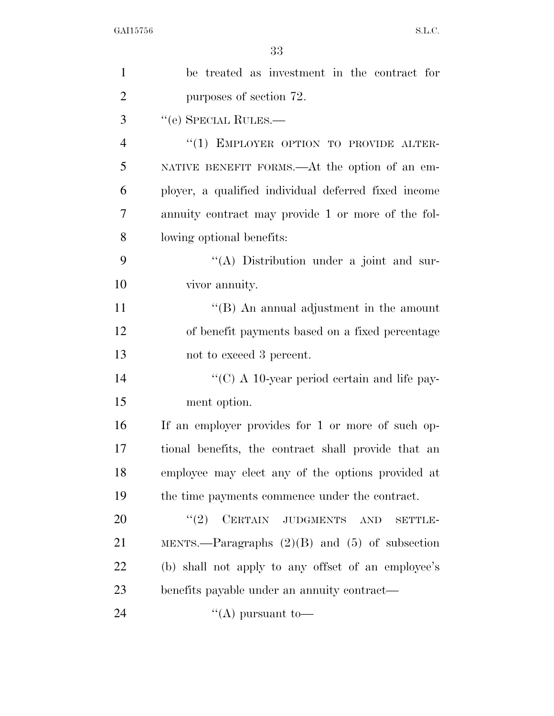| $\mathbf{1}$   | be treated as investment in the contract for             |
|----------------|----------------------------------------------------------|
| $\overline{2}$ | purposes of section 72.                                  |
| 3              | "(e) SPECIAL RULES.—                                     |
| $\overline{4}$ | "(1) EMPLOYER OPTION TO PROVIDE ALTER-                   |
| 5              | NATIVE BENEFIT FORMS.—At the option of an em-            |
| 6              | ployer, a qualified individual deferred fixed income     |
| 7              | annuity contract may provide 1 or more of the fol-       |
| 8              | lowing optional benefits:                                |
| 9              | "(A) Distribution under a joint and sur-                 |
| 10             | vivor annuity.                                           |
| 11             | $\lq\lq$ (B) An annual adjustment in the amount          |
| 12             | of benefit payments based on a fixed percentage          |
| 13             | not to exceed 3 percent.                                 |
| 14             | "(C) A 10-year period certain and life pay-              |
| 15             | ment option.                                             |
| 16             | If an employer provides for 1 or more of such op-        |
| 17             | tional benefits, the contract shall provide that an      |
| 18             | employee may elect any of the options provided at        |
| 19             | the time payments commence under the contract.           |
| 20             | CERTAIN JUDGMENTS<br>(2)<br><b>AND</b><br><b>SETTLE-</b> |
| 21             | MENTS.—Paragraphs $(2)(B)$ and $(5)$ of subsection       |
| 22             | (b) shall not apply to any offset of an employee's       |
| 23             | benefits payable under an annuity contract—              |
| 24             | "(A) pursuant to-                                        |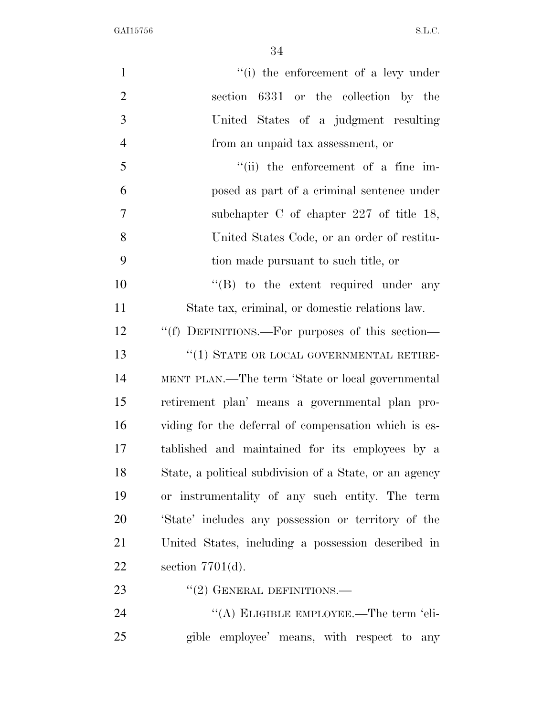| $\mathbf{1}$   | "(i) the enforcement of a levy under                    |
|----------------|---------------------------------------------------------|
| $\overline{2}$ | 6331 or the collection by the<br>section                |
| 3              | United States of a judgment resulting                   |
| $\overline{4}$ | from an unpaid tax assessment, or                       |
| 5              | $``(ii)$ the enforcement of a fine im-                  |
| 6              | posed as part of a criminal sentence under              |
| 7              | subchapter C of chapter $227$ of title 18,              |
| 8              | United States Code, or an order of restitu-             |
| 9              | tion made pursuant to such title, or                    |
| 10             | $\lq\lq (B)$ to the extent required under any           |
| 11             | State tax, criminal, or domestic relations law.         |
| 12             | "(f) DEFINITIONS.—For purposes of this section—         |
| 13             | $``(1)$ STATE OR LOCAL GOVERNMENTAL RETIRE-             |
| 14             | MENT PLAN.—The term 'State or local governmental        |
| 15             | retirement plan' means a governmental plan pro-         |
| 16             | viding for the deferral of compensation which is es-    |
| 17             | tablished and maintained for its employees by a         |
| 18             | State, a political subdivision of a State, or an agency |
| 19             | or instrumentality of any such entity. The term         |
| 20             | 'State' includes any possession or territory of the     |
| 21             | United States, including a possession described in      |
| 22             | section $7701(d)$ .                                     |
| 23             | $``(2)$ GENERAL DEFINITIONS.—                           |
| 24             | "(A) ELIGIBLE EMPLOYEE.—The term 'eli-                  |
| 25             | gible employee' means, with respect to any              |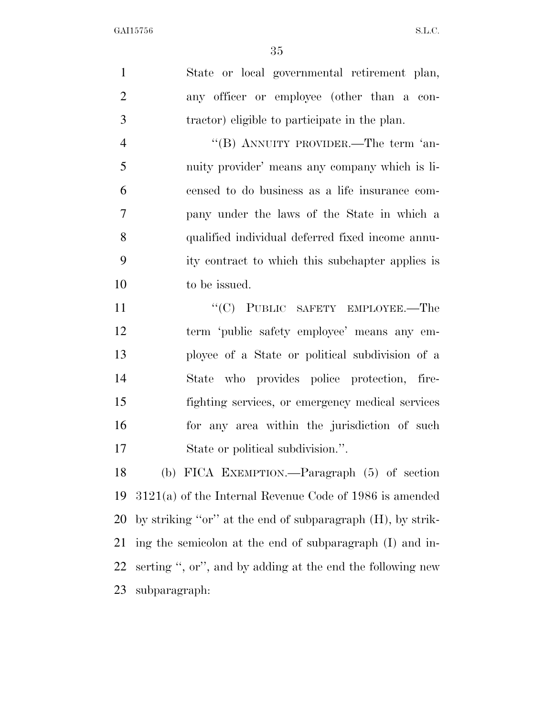State or local governmental retirement plan, any officer or employee (other than a con-tractor) eligible to participate in the plan.

4 "(B) ANNUITY PROVIDER.—The term 'an- nuity provider' means any company which is li- censed to do business as a life insurance com- pany under the laws of the State in which a qualified individual deferred fixed income annu- ity contract to which this subchapter applies is to be issued.

11 ""(C) PUBLIC SAFETY EMPLOYEE.—The term 'public safety employee' means any em- ployee of a State or political subdivision of a State who provides police protection, fire- fighting services, or emergency medical services for any area within the jurisdiction of such State or political subdivision.''.

 (b) FICA EXEMPTION.—Paragraph (5) of section 3121(a) of the Internal Revenue Code of 1986 is amended by striking ''or'' at the end of subparagraph (H), by strik- ing the semicolon at the end of subparagraph (I) and in- serting '', or'', and by adding at the end the following new subparagraph: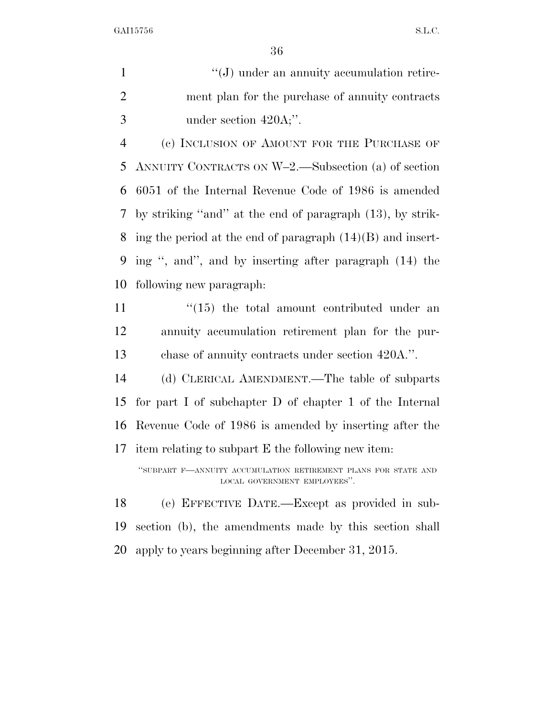1  $\langle G \rangle$  under an annuity accumulation retire- ment plan for the purchase of annuity contracts 3 under section 420A;".

 (c) INCLUSION OF AMOUNT FOR THE PURCHASE OF ANNUITY CONTRACTS ON W–2.—Subsection (a) of section 6051 of the Internal Revenue Code of 1986 is amended by striking ''and'' at the end of paragraph (13), by strik- ing the period at the end of paragraph (14)(B) and insert- ing '', and'', and by inserting after paragraph (14) the following new paragraph:

 $\frac{11}{15}$  ''(15) the total amount contributed under an annuity accumulation retirement plan for the pur-chase of annuity contracts under section 420A.''.

 (d) CLERICAL AMENDMENT.—The table of subparts for part I of subchapter D of chapter 1 of the Internal Revenue Code of 1986 is amended by inserting after the item relating to subpart E the following new item:

''SUBPART F—ANNUITY ACCUMULATION RETIREMENT PLANS FOR STATE AND LOCAL GOVERNMENT EMPLOYEES''.

 (e) EFFECTIVE DATE.—Except as provided in sub- section (b), the amendments made by this section shall apply to years beginning after December 31, 2015.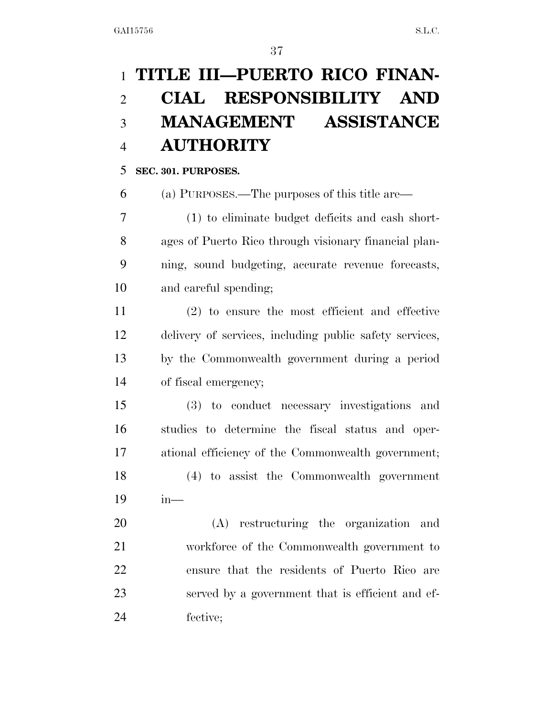## **TITLE III—PUERTO RICO FINAN- CIAL RESPONSIBILITY AND MANAGEMENT ASSISTANCE AUTHORITY**

#### **SEC. 301. PURPOSES.**

(a) PURPOSES.—The purposes of this title are—

 (1) to eliminate budget deficits and cash short- ages of Puerto Rico through visionary financial plan- ning, sound budgeting, accurate revenue forecasts, and careful spending;

 (2) to ensure the most efficient and effective delivery of services, including public safety services, by the Commonwealth government during a period of fiscal emergency;

 (3) to conduct necessary investigations and studies to determine the fiscal status and oper- ational efficiency of the Commonwealth government; (4) to assist the Commonwealth government in—

 (A) restructuring the organization and workforce of the Commonwealth government to ensure that the residents of Puerto Rico are served by a government that is efficient and ef-fective;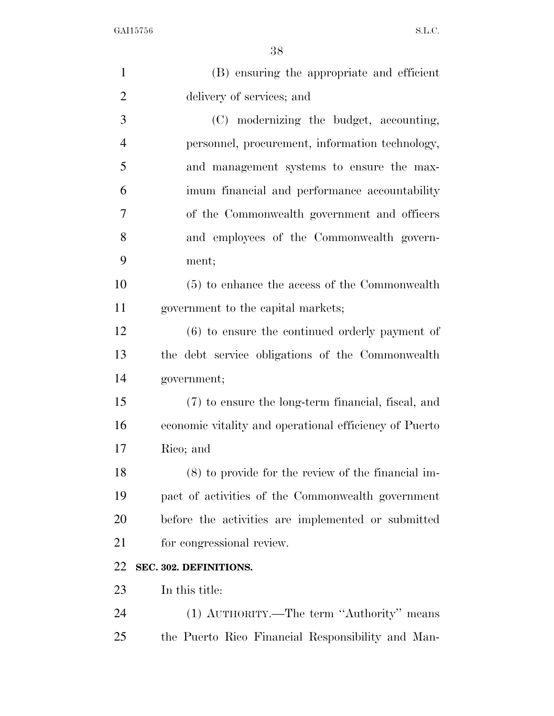| (B) ensuring the appropriate and efficient             |
|--------------------------------------------------------|
| delivery of services; and                              |
| (C) modernizing the budget, accounting,                |
| personnel, procurement, information technology,        |
| and management systems to ensure the max-              |
| imum financial and performance accountability          |
| of the Commonwealth government and officers            |
| and employees of the Commonwealth govern-              |
| ment;                                                  |
| (5) to enhance the access of the Commonwealth          |
| government to the capital markets;                     |
| $(6)$ to ensure the continued orderly payment of       |
| the debt service obligations of the Commonwealth       |
| government;                                            |
| (7) to ensure the long-term financial, fiscal, and     |
| economic vitality and operational efficiency of Puerto |
| Rico; and                                              |
| $(8)$ to provide for the review of the financial im-   |
| pact of activities of the Commonwealth government      |
| before the activities are implemented or submitted     |
| for congressional review.                              |
| SEC. 302. DEFINITIONS.                                 |
| In this title:                                         |
| (1) AUTHORITY.—The term "Authority" means              |
| the Puerto Rico Financial Responsibility and Man-      |
|                                                        |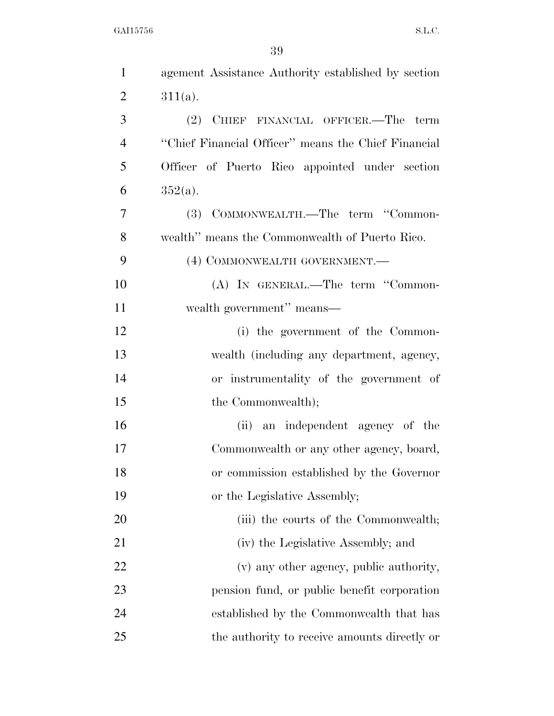| $\mathbf{1}$   | agement Assistance Authority established by section |
|----------------|-----------------------------------------------------|
| $\overline{2}$ | $311(a)$ .                                          |
| 3              | (2) CHIEF FINANCIAL OFFICER.—The term               |
| $\overline{4}$ | "Chief Financial Officer" means the Chief Financial |
| 5              | Officer of Puerto Rico appointed under section      |
| 6              | $352(a)$ .                                          |
| 7              | (3) COMMONWEALTH.—The term "Common-                 |
| 8              | wealth" means the Commonwealth of Puerto Rico.      |
| 9              | (4) COMMONWEALTH GOVERNMENT.—                       |
| 10             | (A) IN GENERAL.—The term "Common-                   |
| 11             | wealth government" means-                           |
| 12             | (i) the government of the Common-                   |
| 13             | wealth (including any department, agency,           |
| 14             | or instrumentality of the government of             |
| 15             | the Commonwealth);                                  |
| 16             | (ii) an independent agency of the                   |
| 17             | Commonwealth or any other agency, board,            |
| 18             | or commission established by the Governor           |
| 19             | or the Legislative Assembly;                        |
| 20             | (iii) the courts of the Commonwealth;               |
| 21             | (iv) the Legislative Assembly; and                  |
| 22             | (v) any other agency, public authority,             |
| 23             | pension fund, or public benefit corporation         |
| 24             | established by the Commonwealth that has            |
| 25             | the authority to receive amounts directly or        |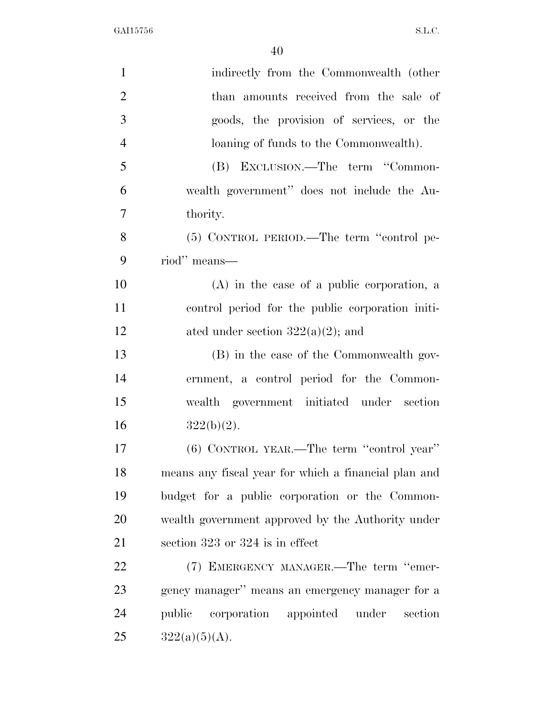| $\mathbf{1}$   | indirectly from the Commonwealth (other              |
|----------------|------------------------------------------------------|
| $\overline{2}$ | than amounts received from the sale of               |
| 3              | goods, the provision of services, or the             |
| $\overline{4}$ | loaning of funds to the Commonwealth).               |
| 5              | (B) EXCLUSION.—The term "Common-                     |
| 6              | wealth government" does not include the Au-          |
| $\overline{7}$ | thority.                                             |
| 8              | (5) CONTROL PERIOD.—The term "control pe-            |
| 9              | riod" means—                                         |
| 10             | $(A)$ in the case of a public corporation, a         |
| 11             | control period for the public corporation initi-     |
| 12             | ated under section $322(a)(2)$ ; and                 |
| 13             | (B) in the case of the Commonwealth gov-             |
| 14             | ernment, a control period for the Common-            |
| 15             | wealth government initiated under section            |
| 16             | $322(b)(2)$ .                                        |
| 17             | (6) CONTROL YEAR.—The term "control year"            |
| 18             | means any fiscal year for which a financial plan and |
| 19             | budget for a public corporation or the Common-       |
| 20             | wealth government approved by the Authority under    |
| 21             | section 323 or 324 is in effect                      |
| 22             | (7) EMERGENCY MANAGER.—The term "emer-               |
| 23             | gency manager" means an emergency manager for a      |
| 24             | corporation<br>appointed under<br>public<br>section  |
| 25             | $322(a)(5)(A)$ .                                     |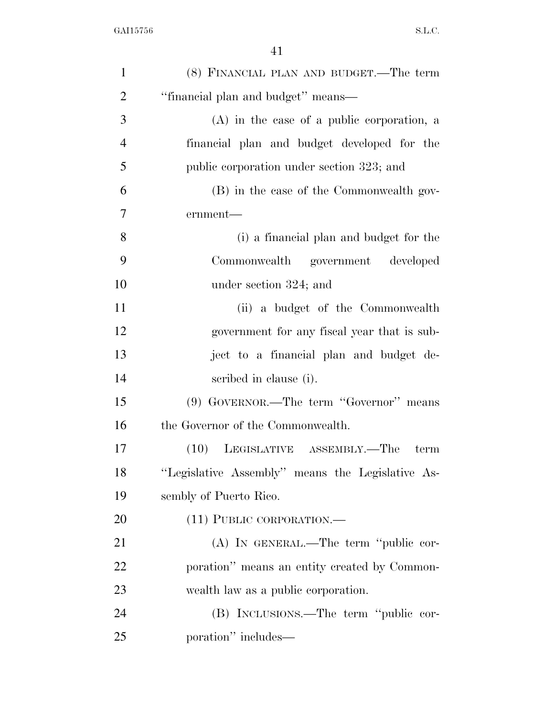| $\mathbf{1}$   | (8) FINANCIAL PLAN AND BUDGET.—The term          |
|----------------|--------------------------------------------------|
| $\overline{2}$ | "financial plan and budget" means-               |
| 3              | $(A)$ in the case of a public corporation, a     |
| $\overline{4}$ | financial plan and budget developed for the      |
| 5              | public corporation under section 323; and        |
| 6              | (B) in the case of the Commonwealth gov-         |
| 7              | ernment-                                         |
| 8              | (i) a financial plan and budget for the          |
| 9              | Commonwealth government developed                |
| 10             | under section 324; and                           |
| 11             | (ii) a budget of the Commonwealth                |
| 12             | government for any fiscal year that is sub-      |
| 13             | ject to a financial plan and budget de-          |
| 14             | scribed in clause (i).                           |
| 15             | (9) GOVERNOR.—The term "Governor" means          |
| 16             | the Governor of the Commonwealth.                |
| 17             | (10) LEGISLATIVE ASSEMBLY.—The<br>term           |
| 18             | "Legislative Assembly" means the Legislative As- |
| 19             | sembly of Puerto Rico.                           |
| 20             | (11) PUBLIC CORPORATION.—                        |
| 21             | (A) IN GENERAL.—The term "public cor-            |
| 22             | poration" means an entity created by Common-     |
| 23             | wealth law as a public corporation.              |
| 24             | (B) INCLUSIONS.—The term "public cor-            |
| 25             | poration" includes—                              |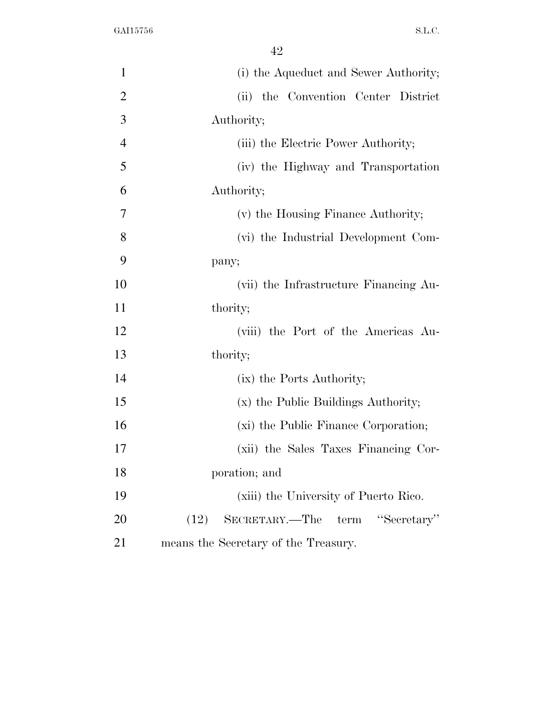| $\mathbf{1}$   | (i) the Aqueduct and Sewer Authority;                 |
|----------------|-------------------------------------------------------|
| $\overline{2}$ | (ii) the Convention Center District                   |
| 3              | Authority;                                            |
| $\overline{4}$ | (iii) the Electric Power Authority;                   |
| 5              | (iv) the Highway and Transportation                   |
| 6              | Authority;                                            |
| 7              | (v) the Housing Finance Authority;                    |
| 8              | (vi) the Industrial Development Com-                  |
| 9              | pany;                                                 |
| 10             | (vii) the Infrastructure Financing Au-                |
| 11             | thority;                                              |
| 12             | (viii) the Port of the Americas Au-                   |
| 13             | thority;                                              |
| 14             | (ix) the Ports Authority;                             |
| 15             | (x) the Public Buildings Authority;                   |
| 16             | (xi) the Public Finance Corporation;                  |
| 17             | (xii) the Sales Taxes Financing Cor-                  |
| 18             | poration; and                                         |
| 19             | (xiii) the University of Puerto Rico.                 |
| 20             | "Secretary"<br>SECRETARY.—The<br>${\rm term}$<br>(12) |
| 21             | means the Secretary of the Treasury.                  |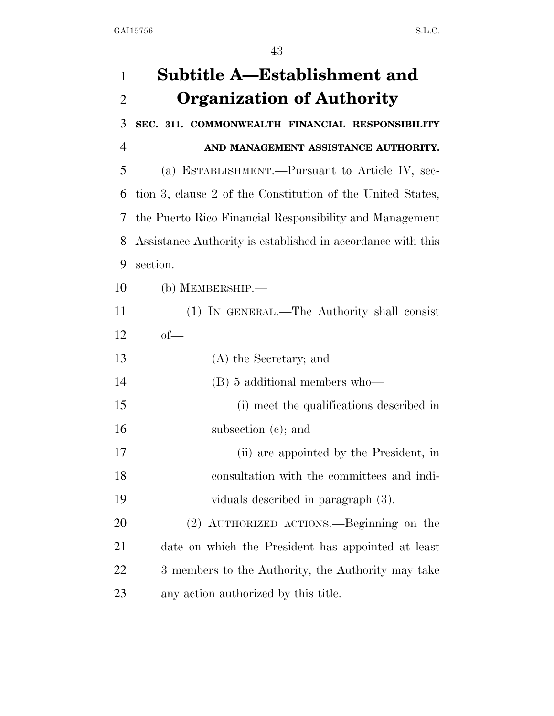| 1              | Subtitle A—Establishment and                                |
|----------------|-------------------------------------------------------------|
| $\overline{2}$ | <b>Organization of Authority</b>                            |
| 3              | SEC. 311. COMMONWEALTH FINANCIAL RESPONSIBILITY             |
| $\overline{4}$ | AND MANAGEMENT ASSISTANCE AUTHORITY.                        |
| 5              | (a) ESTABLISHMENT.—Pursuant to Article IV, sec-             |
| 6              | tion 3, clause 2 of the Constitution of the United States,  |
| 7              | the Puerto Rico Financial Responsibility and Management     |
| 8              | Assistance Authority is established in accordance with this |
| 9              | section.                                                    |
| 10             | $(b)$ MEMBERSHIP.—                                          |
| 11             | (1) IN GENERAL.—The Authority shall consist                 |
| 12             | $of$ —                                                      |
| 13             | (A) the Secretary; and                                      |
| 14             | (B) 5 additional members who—                               |
| 15             | (i) meet the qualifications described in                    |
| 16             | subsection (c); and                                         |
| 17             | (ii) are appointed by the President, in                     |
| 18             | consultation with the committees and indi-                  |
| 19             | viduals described in paragraph (3).                         |
| 20             | (2) AUTHORIZED ACTIONS.—Beginning on the                    |
| 21             | date on which the President has appointed at least          |
| 22             | 3 members to the Authority, the Authority may take          |
| 23             | any action authorized by this title.                        |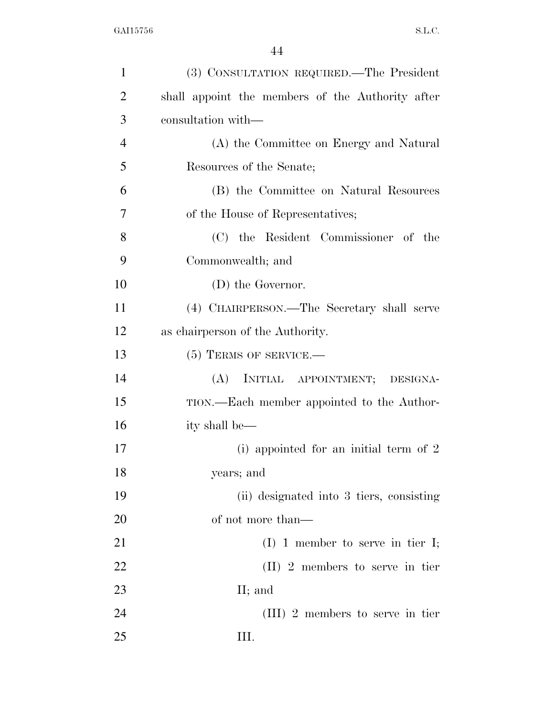| $\mathbf{1}$   | (3) CONSULTATION REQUIRED.—The President         |
|----------------|--------------------------------------------------|
| $\overline{2}$ | shall appoint the members of the Authority after |
| 3              | consultation with—                               |
| $\overline{4}$ | (A) the Committee on Energy and Natural          |
| 5              | Resources of the Senate;                         |
| 6              | (B) the Committee on Natural Resources           |
| 7              | of the House of Representatives;                 |
| 8              | (C) the Resident Commissioner of the             |
| 9              | Commonwealth; and                                |
| 10             | (D) the Governor.                                |
| 11             | (4) CHAIRPERSON.—The Secretary shall serve       |
| 12             | as chairperson of the Authority.                 |
| 13             | $(5)$ TERMS OF SERVICE.—                         |
| 14             | INITIAL APPOINTMENT;<br>(A)<br>DESIGNA-          |
| 15             | TION.—Each member appointed to the Author-       |
| 16             | ity shall be—                                    |
| 17             | (i) appointed for an initial term of $2$         |
| 18             | years; and                                       |
| 19             | (ii) designated into 3 tiers, consisting         |
| 20             | of not more than—                                |
| 21             | $(I)$ 1 member to serve in tier I;               |
| 22             | $(II)$ 2 members to serve in tier                |
| 23             | II; and                                          |
| 24             | $(III)$ 2 members to serve in tier               |
| 25             | Ш.                                               |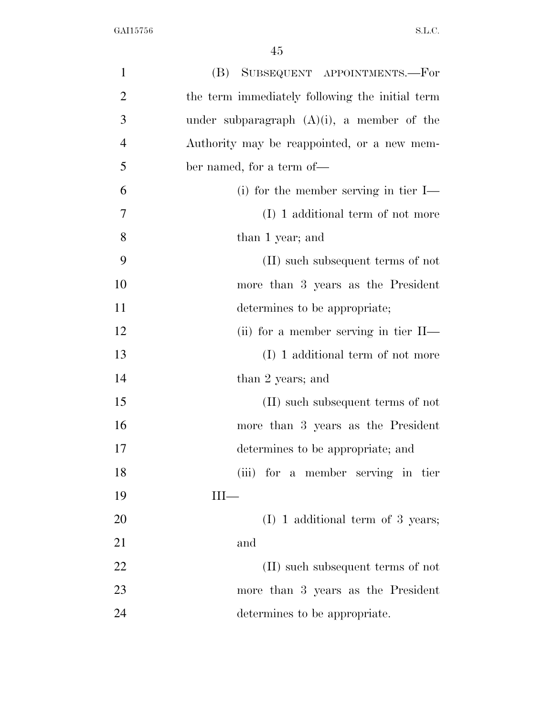| $\mathbf{1}$   | (B) SUBSEQUENT APPOINTMENTS.—For                |
|----------------|-------------------------------------------------|
| $\overline{2}$ | the term immediately following the initial term |
| 3              | under subparagraph $(A)(i)$ , a member of the   |
| $\overline{4}$ | Authority may be reappointed, or a new mem-     |
| 5              | ber named, for a term of—                       |
| 6              | (i) for the member serving in tier $I$ —        |
| 7              | (I) 1 additional term of not more               |
| 8              | than 1 year; and                                |
| 9              | (II) such subsequent terms of not               |
| 10             | more than 3 years as the President              |
| 11             | determines to be appropriate;                   |
| 12             | (ii) for a member serving in tier $II$ —        |
| 13             | (I) 1 additional term of not more               |
| 14             | than 2 years; and                               |
| 15             | (II) such subsequent terms of not               |
| 16             | more than 3 years as the President              |
| 17             | determines to be appropriate; and               |
| 18             | (iii) for a member serving in tier              |
| 19             | Ш—                                              |
| 20             | $(I)$ 1 additional term of 3 years;             |
| 21             | and                                             |
| 22             | (II) such subsequent terms of not               |
| 23             | more than 3 years as the President              |
| 24             | determines to be appropriate.                   |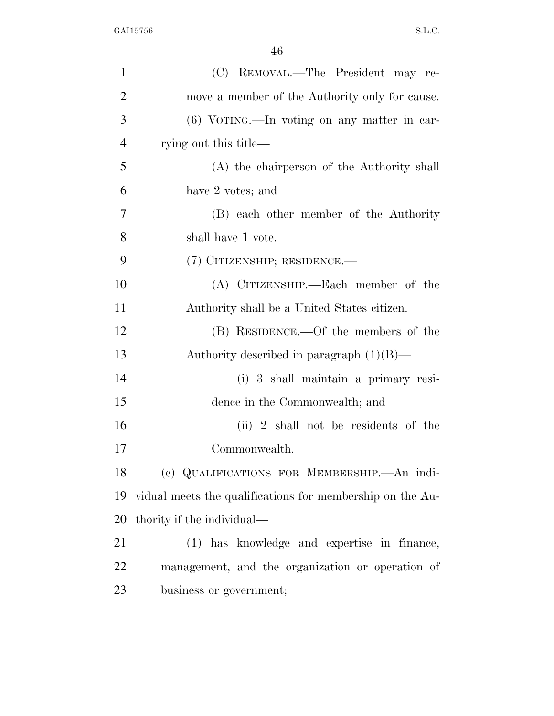| $\mathbf{1}$   | (C) REMOVAL.—The President may re-                        |
|----------------|-----------------------------------------------------------|
| $\overline{2}$ | move a member of the Authority only for cause.            |
| 3              | (6) VOTING.—In voting on any matter in car-               |
| $\overline{4}$ | rying out this title—                                     |
| 5              | (A) the chairperson of the Authority shall                |
| 6              | have 2 votes; and                                         |
| 7              | (B) each other member of the Authority                    |
| 8              | shall have 1 vote.                                        |
| 9              | (7) CITIZENSHIP; RESIDENCE.—                              |
| 10             | (A) CITIZENSHIP.—Each member of the                       |
| 11             | Authority shall be a United States citizen.               |
| 12             | (B) RESIDENCE.—Of the members of the                      |
| 13             | Authority described in paragraph $(1)(B)$ —               |
| 14             | (i) 3 shall maintain a primary resi-                      |
| 15             | dence in the Commonwealth; and                            |
| 16             | $(ii)$ 2 shall not be residents of the                    |
| 17             | Commonwealth.                                             |
| 18             | (c) QUALIFICATIONS FOR MEMBERSHIP. An indi-               |
| 19             | vidual meets the qualifications for membership on the Au- |
| 20             | thority if the individual—                                |
| 21             | (1) has knowledge and expertise in finance,               |
| 22             | management, and the organization or operation of          |
| 23             | business or government;                                   |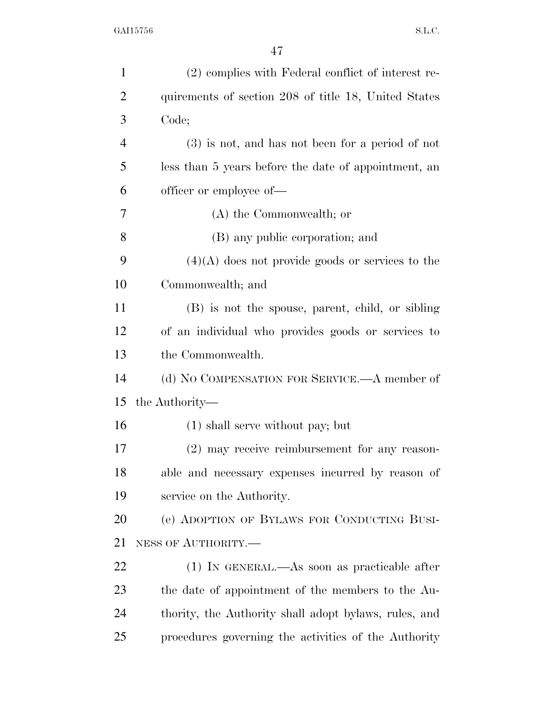| $\mathbf{1}$   | (2) complies with Federal conflict of interest re-    |
|----------------|-------------------------------------------------------|
| $\overline{2}$ | quirements of section 208 of title 18, United States  |
| 3              | Code;                                                 |
| $\overline{4}$ | $(3)$ is not, and has not been for a period of not    |
| 5              | less than 5 years before the date of appointment, an  |
| 6              | officer or employee of—                               |
| 7              | (A) the Commonwealth; or                              |
| 8              | (B) any public corporation; and                       |
| 9              | $(4)(A)$ does not provide goods or services to the    |
| 10             | Commonwealth; and                                     |
| 11             | (B) is not the spouse, parent, child, or sibling      |
| 12             | of an individual who provides goods or services to    |
| 13             | the Commonwealth.                                     |
| 14             | (d) NO COMPENSATION FOR SERVICE.—A member of          |
| 15             | the Authority—                                        |
| 16             | $(1)$ shall serve without pay; but                    |
| 17             | $(2)$ may receive reimbursement for any reason-       |
| 18             | able and necessary expenses incurred by reason of     |
| 19             | service on the Authority.                             |
| 20             | (e) ADOPTION OF BYLAWS FOR CONDUCTING BUSI-           |
| 21             | NESS OF AUTHORITY.-                                   |
| 22             | (1) IN GENERAL.—As soon as practicable after          |
| 23             | the date of appointment of the members to the Au-     |
| 24             | thority, the Authority shall adopt bylaws, rules, and |
| 25             | procedures governing the activities of the Authority  |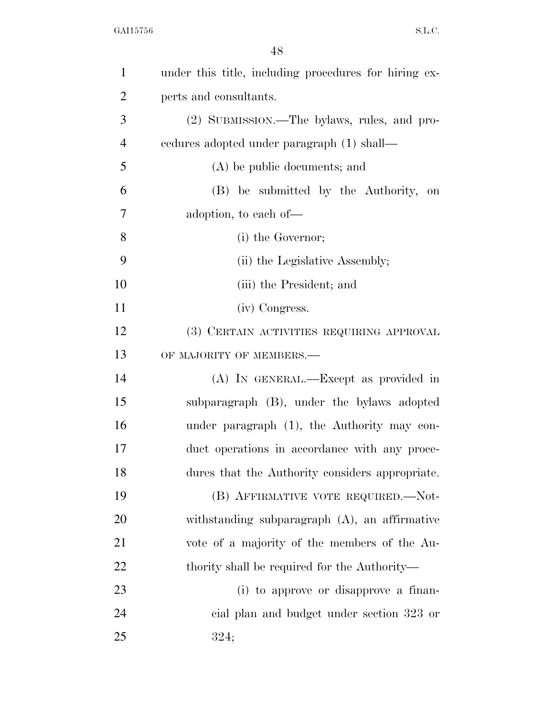| $\mathbf{1}$   | under this title, including procedures for hiring ex- |
|----------------|-------------------------------------------------------|
| $\overline{2}$ | perts and consultants.                                |
| 3              | (2) SUBMISSION.—The bylaws, rules, and pro-           |
| $\overline{4}$ | cedures adopted under paragraph (1) shall—            |
| 5              | (A) be public documents; and                          |
| 6              | (B) be submitted by the Authority,<br>on              |
| 7              | adoption, to each of—                                 |
| 8              | (i) the Governor;                                     |
| 9              | (ii) the Legislative Assembly;                        |
| 10             | (iii) the President; and                              |
| 11             | (iv) Congress.                                        |
| 12             | (3) CERTAIN ACTIVITIES REQUIRING APPROVAL             |
| 13             | OF MAJORITY OF MEMBERS.-                              |
| 14             | (A) IN GENERAL.—Except as provided in                 |
| 15             | subparagraph (B), under the bylaws adopted            |
| 16             | under paragraph (1), the Authority may con-           |
| 17             | duct operations in accordance with any proce-         |
| 18             | dures that the Authority considers appropriate.       |
| 19             | (B) AFFIRMATIVE VOTE REQUIRED.-Not-                   |
| 20             | withstanding subparagraph (A), an affirmative         |
| 21             | vote of a majority of the members of the Au-          |
| 22             | thority shall be required for the Authority—          |
| 23             | (i) to approve or disapprove a finan-                 |
| 24             | eial plan and budget under section 323 or             |
| 25             | 324;                                                  |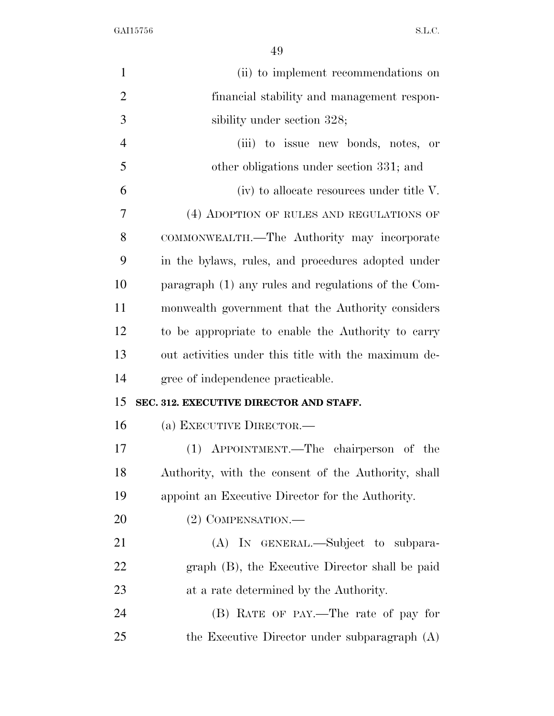| $\mathbf{1}$   | (ii) to implement recommendations on                 |
|----------------|------------------------------------------------------|
| $\overline{2}$ | financial stability and management respon-           |
| 3              | sibility under section 328;                          |
| $\overline{4}$ | (iii) to issue new bonds, notes, or                  |
| 5              | other obligations under section 331; and             |
| 6              | (iv) to allocate resources under title V.            |
| 7              | (4) ADOPTION OF RULES AND REGULATIONS OF             |
| 8              | COMMONWEALTH.—The Authority may incorporate          |
| 9              | in the bylaws, rules, and procedures adopted under   |
| 10             | paragraph (1) any rules and regulations of the Com-  |
| 11             | monwealth government that the Authority considers    |
| 12             | to be appropriate to enable the Authority to carry   |
| 13             | out activities under this title with the maximum de- |
| 14             | gree of independence practicable.                    |
| 15             | SEC. 312. EXECUTIVE DIRECTOR AND STAFF.              |
| 16             | (a) EXECUTIVE DIRECTOR.—                             |
| 17             | (1) APPOINTMENT.—The chairperson of the              |
| 18             | Authority, with the consent of the Authority, shall  |
| 19             | appoint an Executive Director for the Authority.     |
| 20             | (2) COMPENSATION.—                                   |
| 21             | (A) IN GENERAL.—Subject to subpara-                  |
| 22             | graph (B), the Executive Director shall be paid      |
| 23             | at a rate determined by the Authority.               |
| 24             | (B) RATE OF PAY.—The rate of pay for                 |
| 25             | the Executive Director under subparagraph (A)        |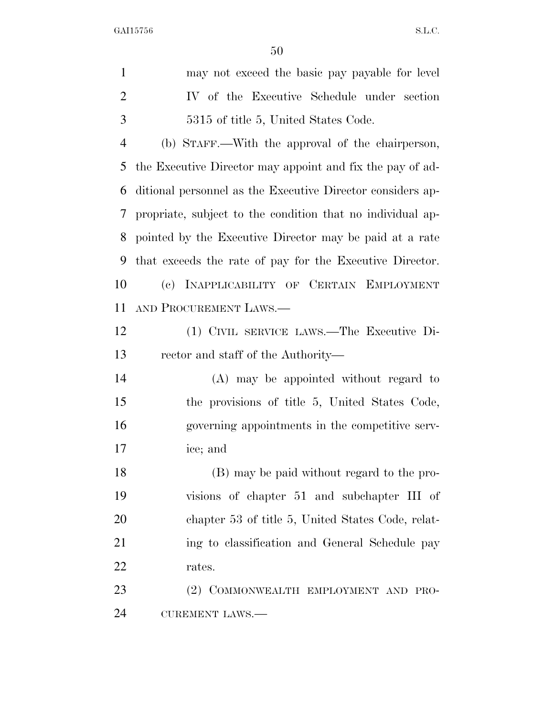may not exceed the basic pay payable for level IV of the Executive Schedule under section 5315 of title 5, United States Code. (b) STAFF.—With the approval of the chairperson, the Executive Director may appoint and fix the pay of ad- ditional personnel as the Executive Director considers ap- propriate, subject to the condition that no individual ap- pointed by the Executive Director may be paid at a rate that exceeds the rate of pay for the Executive Director. (c) INAPPLICABILITY OF CERTAIN EMPLOYMENT AND PROCUREMENT LAWS.— (1) CIVIL SERVICE LAWS.—The Executive Di- rector and staff of the Authority— (A) may be appointed without regard to the provisions of title 5, United States Code, governing appointments in the competitive serv- ice; and (B) may be paid without regard to the pro- visions of chapter 51 and subchapter III of chapter 53 of title 5, United States Code, relat- ing to classification and General Schedule pay rates. (2) COMMONWEALTH EMPLOYMENT AND PRO-CUREMENT LAWS.—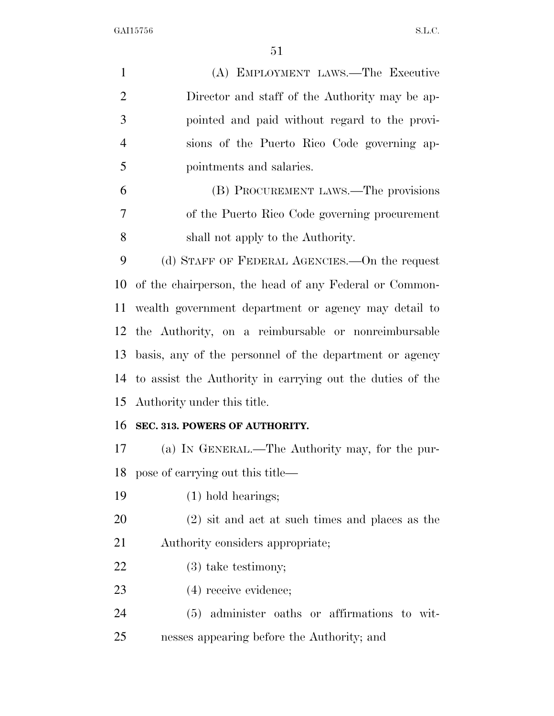| $\mathbf{1}$   | (A) EMPLOYMENT LAWS.—The Executive                        |
|----------------|-----------------------------------------------------------|
| $\overline{2}$ | Director and staff of the Authority may be ap-            |
| 3              | pointed and paid without regard to the provi-             |
| $\overline{4}$ | sions of the Puerto Rico Code governing ap-               |
| 5              | pointments and salaries.                                  |
| 6              | (B) PROCUREMENT LAWS.—The provisions                      |
| 7              | of the Puerto Rico Code governing procurement             |
| 8              | shall not apply to the Authority.                         |
| 9              | (d) STAFF OF FEDERAL AGENCIES.—On the request             |
| 10             | of the chairperson, the head of any Federal or Common-    |
| 11             | wealth government department or agency may detail to      |
| 12             | the Authority, on a reimbursable or nonreimbursable       |
| 13             | basis, any of the personnel of the department or agency   |
| 14             | to assist the Authority in carrying out the duties of the |
|                | 15 Authority under this title.                            |
| 16             | SEC. 313. POWERS OF AUTHORITY.                            |
| 17             | (a) IN GENERAL.—The Authority may, for the pur-           |
| 18             | pose of carrying out this title—                          |
| 19             | $(1)$ hold hearings;                                      |
| 20             | $(2)$ sit and act at such times and places as the         |
| 21             | Authority considers appropriate;                          |
| 22             | $(3)$ take testimony;                                     |
| 23             | $(4)$ receive evidence;                                   |
| 24             | (5) administer oaths or affirmations to wit-              |
| 25             | nesses appearing before the Authority; and                |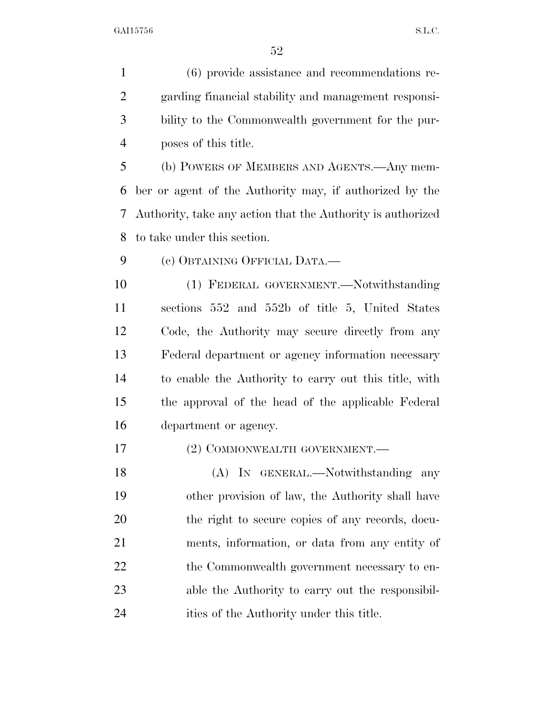(6) provide assistance and recommendations re- garding financial stability and management responsi- bility to the Commonwealth government for the pur-poses of this title.

 (b) POWERS OF MEMBERS AND AGENTS.—Any mem- ber or agent of the Authority may, if authorized by the Authority, take any action that the Authority is authorized to take under this section.

(c) OBTAINING OFFICIAL DATA.—

 (1) FEDERAL GOVERNMENT.—Notwithstanding sections 552 and 552b of title 5, United States Code, the Authority may secure directly from any Federal department or agency information necessary to enable the Authority to carry out this title, with the approval of the head of the applicable Federal department or agency.

17 (2) COMMONWEALTH GOVERNMENT.

18 (A) IN GENERAL.—Notwithstanding any other provision of law, the Authority shall have the right to secure copies of any records, docu- ments, information, or data from any entity of 22 the Commonwealth government necessary to en- able the Authority to carry out the responsibil-ities of the Authority under this title.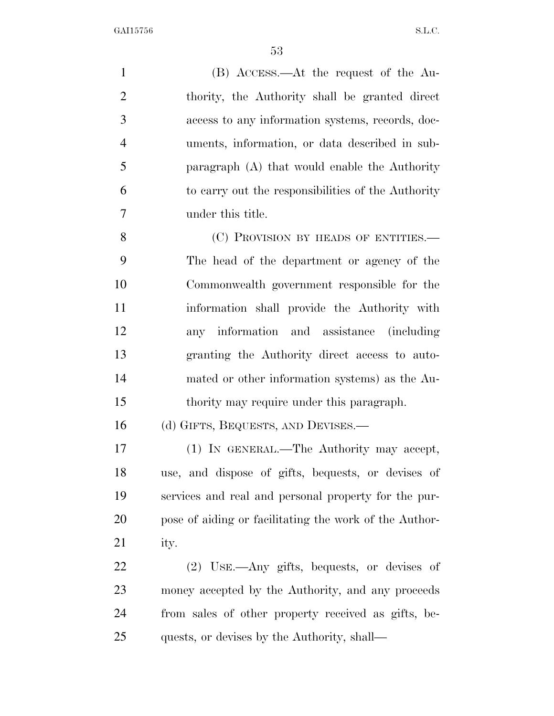(B) ACCESS.—At the request of the Au- thority, the Authority shall be granted direct access to any information systems, records, doc- uments, information, or data described in sub- paragraph (A) that would enable the Authority to carry out the responsibilities of the Authority under this title. 8 (C) PROVISION BY HEADS OF ENTITIES. The head of the department or agency of the Commonwealth government responsible for the information shall provide the Authority with any information and assistance (including granting the Authority direct access to auto- mated or other information systems) as the Au- thority may require under this paragraph. 16 (d) GIFTS, BEQUESTS, AND DEVISES.—

 (1) IN GENERAL.—The Authority may accept, use, and dispose of gifts, bequests, or devises of services and real and personal property for the pur- pose of aiding or facilitating the work of the Author-ity.

 (2) USE.—Any gifts, bequests, or devises of money accepted by the Authority, and any proceeds from sales of other property received as gifts, be-quests, or devises by the Authority, shall—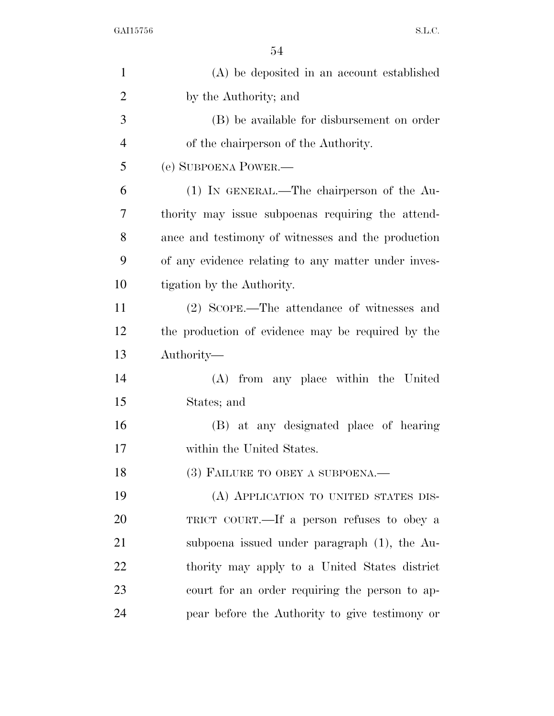| $\mathbf{1}$   | (A) be deposited in an account established          |
|----------------|-----------------------------------------------------|
| $\overline{2}$ | by the Authority; and                               |
| 3              | (B) be available for disbursement on order          |
| $\overline{4}$ | of the chairperson of the Authority.                |
| 5              | (e) SUBPOENA POWER.—                                |
| 6              | (1) IN GENERAL.—The chairperson of the Au-          |
| 7              | thority may issue subpoenas requiring the attend-   |
| 8              | ance and testimony of witnesses and the production  |
| 9              | of any evidence relating to any matter under inves- |
| 10             | tigation by the Authority.                          |
| 11             | (2) SCOPE.—The attendance of witnesses and          |
| 12             | the production of evidence may be required by the   |
| 13             | Authority—                                          |
| 14             | (A) from any place within the United                |
| 15             | States; and                                         |
| 16             | (B) at any designated place of hearing              |
| 17             | within the United States.                           |
| 18             | (3) FAILURE TO OBEY A SUBPOENA.                     |
| 19             | (A) APPLICATION TO UNITED STATES DIS-               |
| 20             | TRICT COURT.—If a person refuses to obey a          |
| 21             | subpoena issued under paragraph $(1)$ , the Au-     |
| 22             | thority may apply to a United States district       |
| 23             | court for an order requiring the person to ap-      |
| 24             | pear before the Authority to give testimony or      |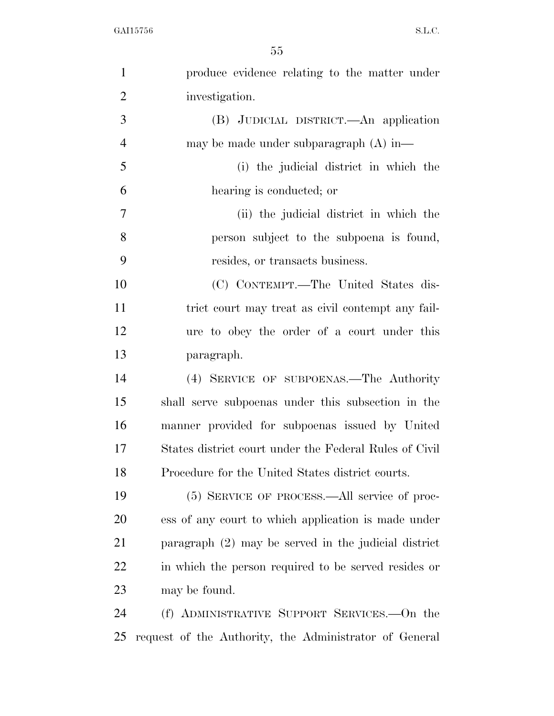| $\mathbf{1}$     | produce evidence relating to the matter under          |
|------------------|--------------------------------------------------------|
| $\overline{2}$   | investigation.                                         |
| 3                | (B) JUDICIAL DISTRICT.—An application                  |
| $\overline{4}$   | may be made under subparagraph $(A)$ in—               |
| 5                | (i) the judicial district in which the                 |
| 6                | hearing is conducted; or                               |
| $\boldsymbol{7}$ | (ii) the judicial district in which the                |
| 8                | person subject to the subpoena is found,               |
| 9                | resides, or transacts business.                        |
| 10               | (C) CONTEMPT.—The United States dis-                   |
| 11               | trict court may treat as civil contempt any fail-      |
| 12               | ure to obey the order of a court under this            |
| 13               | paragraph.                                             |
| 14               | (4) SERVICE OF SUBPOENAS.—The Authority                |
| 15               | shall serve subpoenas under this subsection in the     |
| 16               | manner provided for subpoenas issued by United         |
| 17               | States district court under the Federal Rules of Civil |
| 18               | Procedure for the United States district courts.       |
| 19               | (5) SERVICE OF PROCESS.—All service of proc-           |
| 20               | ess of any court to which application is made under    |
| 21               | paragraph $(2)$ may be served in the judicial district |
| 22               | in which the person required to be served resides or   |
| 23               | may be found.                                          |
| 24               | (f) ADMINISTRATIVE SUPPORT SERVICES.—On the            |
| 25               | request of the Authority, the Administrator of General |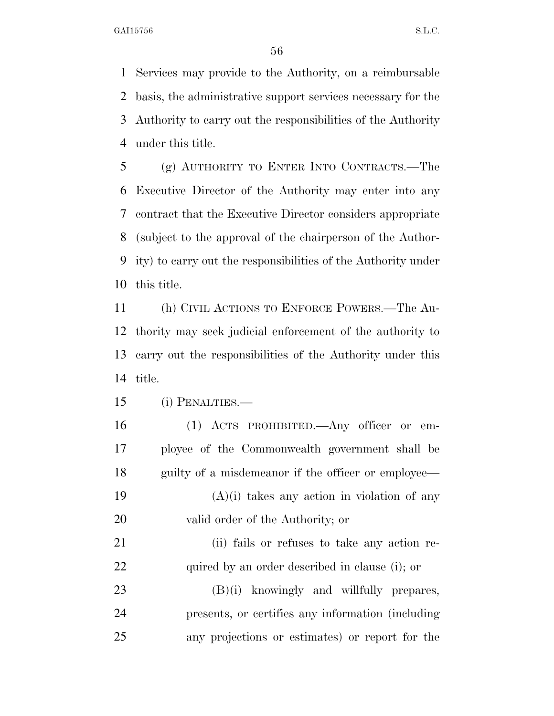Services may provide to the Authority, on a reimbursable basis, the administrative support services necessary for the Authority to carry out the responsibilities of the Authority under this title.

 (g) AUTHORITY TO ENTER INTO CONTRACTS.—The Executive Director of the Authority may enter into any contract that the Executive Director considers appropriate (subject to the approval of the chairperson of the Author- ity) to carry out the responsibilities of the Authority under this title.

 (h) CIVIL ACTIONS TO ENFORCE POWERS.—The Au- thority may seek judicial enforcement of the authority to carry out the responsibilities of the Authority under this title.

(i) PENALTIES.—

 (1) ACTS PROHIBITED.—Any officer or em- ployee of the Commonwealth government shall be 18 guilty of a misdemeanor if the officer or employee—  $(A)(i)$  takes any action in violation of any valid order of the Authority; or (ii) fails or refuses to take any action re- quired by an order described in clause (i); or (B)(i) knowingly and willfully prepares, presents, or certifies any information (including any projections or estimates) or report for the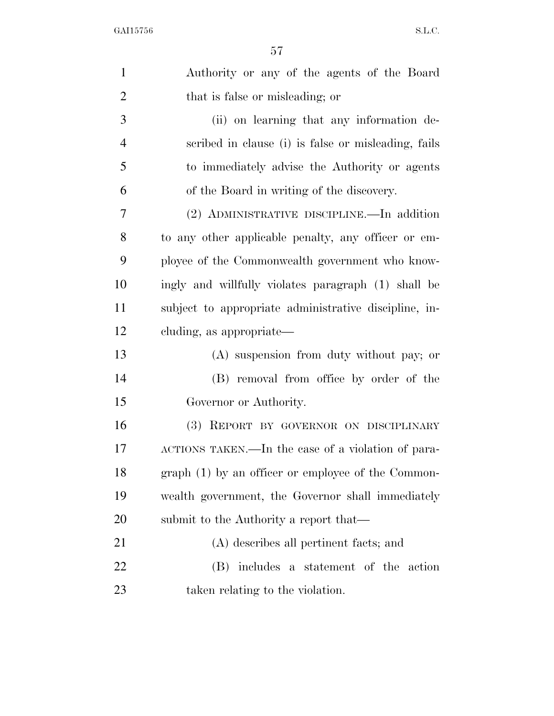| $\mathbf{1}$   | Authority or any of the agents of the Board           |
|----------------|-------------------------------------------------------|
| $\overline{2}$ | that is false or misleading; or                       |
| 3              | (ii) on learning that any information de-             |
| $\overline{4}$ | scribed in clause (i) is false or misleading, fails   |
| 5              | to immediately advise the Authority or agents         |
| 6              | of the Board in writing of the discovery.             |
| 7              | (2) ADMINISTRATIVE DISCIPLINE.—In addition            |
| 8              | to any other applicable penalty, any officer or em-   |
| 9              | ployee of the Commonwealth government who know-       |
| 10             | ingly and willfully violates paragraph (1) shall be   |
| 11             | subject to appropriate administrative discipline, in- |
| 12             | cluding, as appropriate—                              |
| 13             | (A) suspension from duty without pay; or              |
| 14             | (B) removal from office by order of the               |
| 15             | Governor or Authority.                                |
| 16             | (3) REPORT BY GOVERNOR ON DISCIPLINARY                |
| 17             | ACTIONS TAKEN.—In the case of a violation of para-    |
| 18             | graph (1) by an officer or employee of the Common-    |
| 19             | wealth government, the Governor shall immediately     |
| 20             | submit to the Authority a report that—                |
| 21             | (A) describes all pertinent facts; and                |
| 22             | (B) includes a statement of the action                |
| 23             | taken relating to the violation.                      |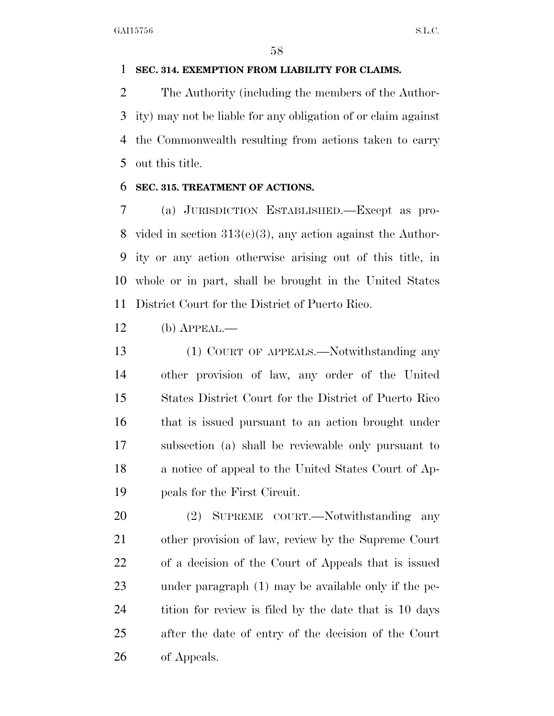#### **SEC. 314. EXEMPTION FROM LIABILITY FOR CLAIMS.**

 The Authority (including the members of the Author- ity) may not be liable for any obligation of or claim against the Commonwealth resulting from actions taken to carry out this title.

#### **SEC. 315. TREATMENT OF ACTIONS.**

 (a) JURISDICTION ESTABLISHED.—Except as pro- vided in section 313(e)(3), any action against the Author- ity or any action otherwise arising out of this title, in whole or in part, shall be brought in the United States District Court for the District of Puerto Rico.

(b) APPEAL.—

 (1) COURT OF APPEALS.—Notwithstanding any other provision of law, any order of the United States District Court for the District of Puerto Rico that is issued pursuant to an action brought under subsection (a) shall be reviewable only pursuant to a notice of appeal to the United States Court of Ap-peals for the First Circuit.

 (2) SUPREME COURT.—Notwithstanding any other provision of law, review by the Supreme Court of a decision of the Court of Appeals that is issued under paragraph (1) may be available only if the pe-24 tition for review is filed by the date that is 10 days after the date of entry of the decision of the Court of Appeals.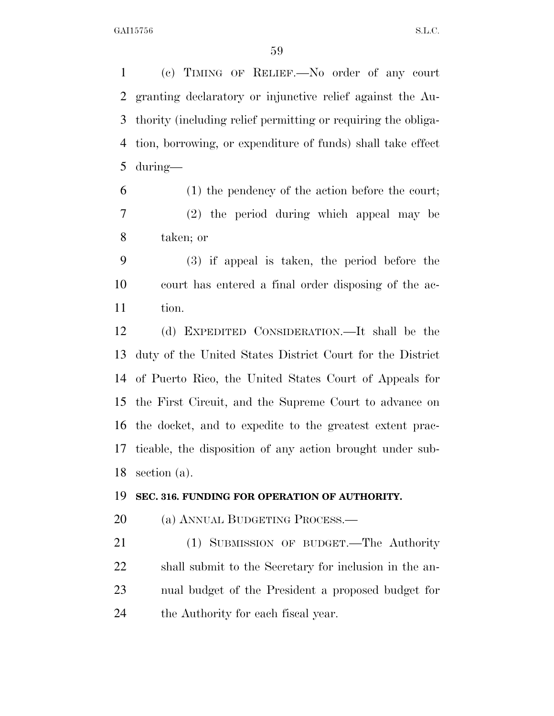(c) TIMING OF RELIEF.—No order of any court granting declaratory or injunctive relief against the Au- thority (including relief permitting or requiring the obliga- tion, borrowing, or expenditure of funds) shall take effect during—

 (1) the pendency of the action before the court; (2) the period during which appeal may be taken; or

 (3) if appeal is taken, the period before the court has entered a final order disposing of the ac-tion.

 (d) EXPEDITED CONSIDERATION.—It shall be the duty of the United States District Court for the District of Puerto Rico, the United States Court of Appeals for the First Circuit, and the Supreme Court to advance on the docket, and to expedite to the greatest extent prac- ticable, the disposition of any action brought under sub-section (a).

#### **SEC. 316. FUNDING FOR OPERATION OF AUTHORITY.**

20 (a) ANNUAL BUDGETING PROCESS.—

 (1) SUBMISSION OF BUDGET.—The Authority shall submit to the Secretary for inclusion in the an- nual budget of the President a proposed budget for the Authority for each fiscal year.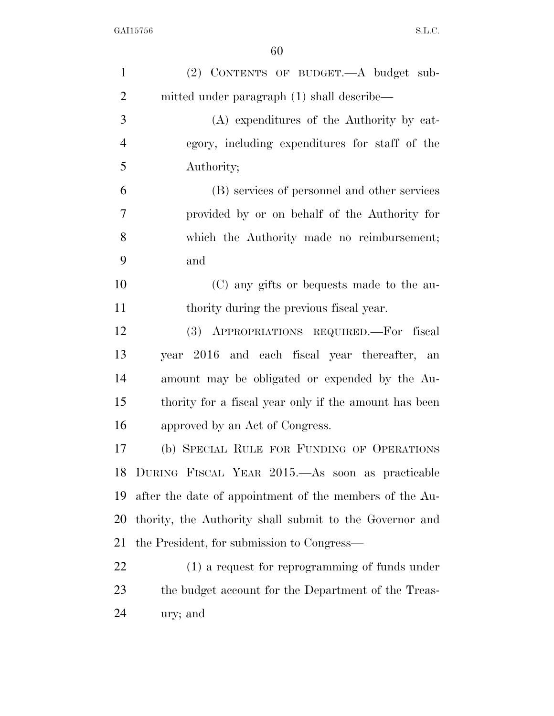| $\mathbf{1}$   | (2) CONTENTS OF BUDGET.—A budget sub-                   |
|----------------|---------------------------------------------------------|
| $\overline{2}$ | mitted under paragraph (1) shall describe—              |
| 3              | (A) expenditures of the Authority by cat-               |
| $\overline{4}$ | egory, including expenditures for staff of the          |
| 5              | Authority;                                              |
| 6              | (B) services of personnel and other services            |
| 7              | provided by or on behalf of the Authority for           |
| 8              | which the Authority made no reimbursement;              |
| 9              | and                                                     |
| 10             | (C) any gifts or bequests made to the au-               |
| 11             | thority during the previous fiscal year.                |
| 12             | (3) APPROPRIATIONS REQUIRED. For fiscal                 |
| 13             | year 2016 and each fiscal year thereafter, an           |
| 14             | amount may be obligated or expended by the Au-          |
| 15             | thority for a fiscal year only if the amount has been   |
| 16             | approved by an Act of Congress.                         |
| 17             | (b) SPECIAL RULE FOR FUNDING OF OPERATIONS              |
| 18             | DURING FISCAL YEAR 2015. As soon as practicable         |
| 19             | after the date of appointment of the members of the Au- |
| 20             | thority, the Authority shall submit to the Governor and |
| 21             | the President, for submission to Congress—              |
| 22             | (1) a request for reprogramming of funds under          |
| 23             | the budget account for the Department of the Treas-     |
| 24             | ury; and                                                |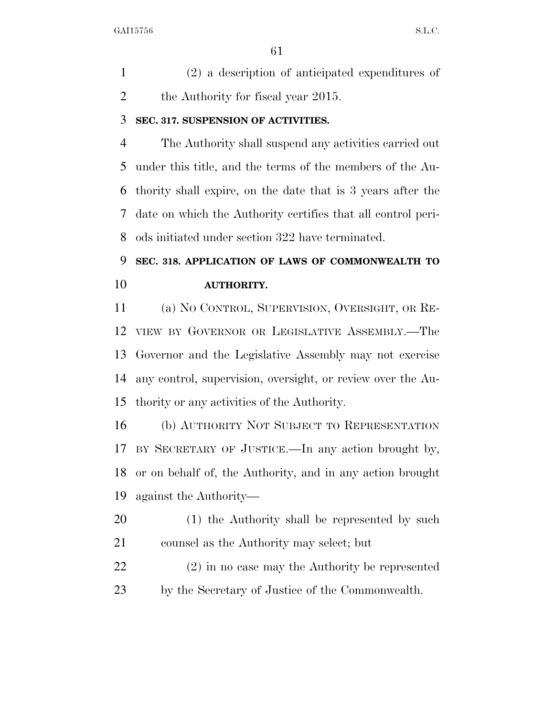(2) a description of anticipated expenditures of 2 the Authority for fiscal year 2015.

#### **SEC. 317. SUSPENSION OF ACTIVITIES.**

 The Authority shall suspend any activities carried out under this title, and the terms of the members of the Au- thority shall expire, on the date that is 3 years after the date on which the Authority certifies that all control peri-ods initiated under section 322 have terminated.

### **SEC. 318. APPLICATION OF LAWS OF COMMONWEALTH TO AUTHORITY.**

 (a) NO CONTROL, SUPERVISION, OVERSIGHT, OR RE- VIEW BY GOVERNOR OR LEGISLATIVE ASSEMBLY.—The Governor and the Legislative Assembly may not exercise any control, supervision, oversight, or review over the Au-thority or any activities of the Authority.

 (b) AUTHORITY NOT SUBJECT TO REPRESENTATION BY SECRETARY OF JUSTICE.—In any action brought by, or on behalf of, the Authority, and in any action brought against the Authority—

 (1) the Authority shall be represented by such counsel as the Authority may select; but

 (2) in no case may the Authority be represented by the Secretary of Justice of the Commonwealth.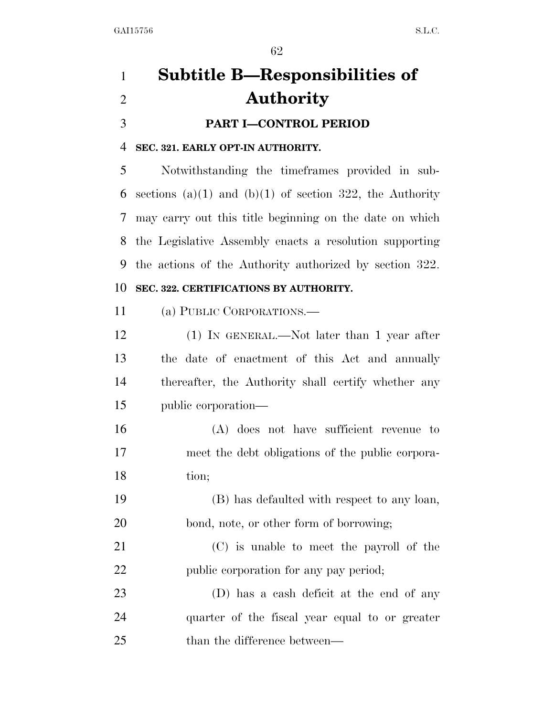# **Subtitle B—Responsibilities of Authority PART I—CONTROL PERIOD**

#### **SEC. 321. EARLY OPT-IN AUTHORITY.**

 Notwithstanding the timeframes provided in sub-6 sections (a)(1) and (b)(1) of section 322, the Authority may carry out this title beginning on the date on which the Legislative Assembly enacts a resolution supporting the actions of the Authority authorized by section 322.

### **SEC. 322. CERTIFICATIONS BY AUTHORITY.**

(a) PUBLIC CORPORATIONS.—

 (1) IN GENERAL.—Not later than 1 year after the date of enactment of this Act and annually thereafter, the Authority shall certify whether any public corporation—

- (A) does not have sufficient revenue to meet the debt obligations of the public corpora-tion;
- (B) has defaulted with respect to any loan, bond, note, or other form of borrowing;
- (C) is unable to meet the payroll of the public corporation for any pay period;
- (D) has a cash deficit at the end of any quarter of the fiscal year equal to or greater 25 than the difference between—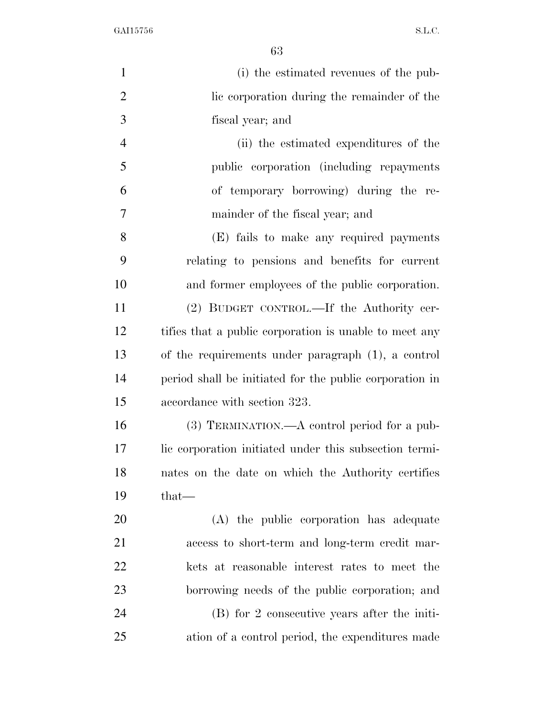| $\mathbf{1}$   | (i) the estimated revenues of the pub-                  |
|----------------|---------------------------------------------------------|
| $\overline{2}$ | lie corporation during the remainder of the             |
| 3              | fiscal year; and                                        |
| $\overline{4}$ | (ii) the estimated expenditures of the                  |
| 5              | public corporation (including repayments)               |
| 6              | of temporary borrowing) during the re-                  |
| 7              | mainder of the fiscal year; and                         |
| 8              | (E) fails to make any required payments                 |
| 9              | relating to pensions and benefits for current           |
| 10             | and former employees of the public corporation.         |
| 11             | (2) BUDGET CONTROL.—If the Authority cer-               |
| 12             | tifies that a public corporation is unable to meet any  |
| 13             | of the requirements under paragraph (1), a control      |
| 14             | period shall be initiated for the public corporation in |
| 15             | accordance with section 323.                            |
| 16             | (3) TERMINATION.—A control period for a pub-            |
| 17             | lic corporation initiated under this subsection termi-  |
| 18             | nates on the date on which the Authority certifies      |
| 19             | $that-$                                                 |
| 20             | (A) the public corporation has adequate                 |
| 21             | access to short-term and long-term credit mar-          |
| 22             | kets at reasonable interest rates to meet the           |
| 23             | borrowing needs of the public corporation; and          |
| 24             | (B) for 2 consecutive years after the initi-            |
| 25             | ation of a control period, the expenditures made        |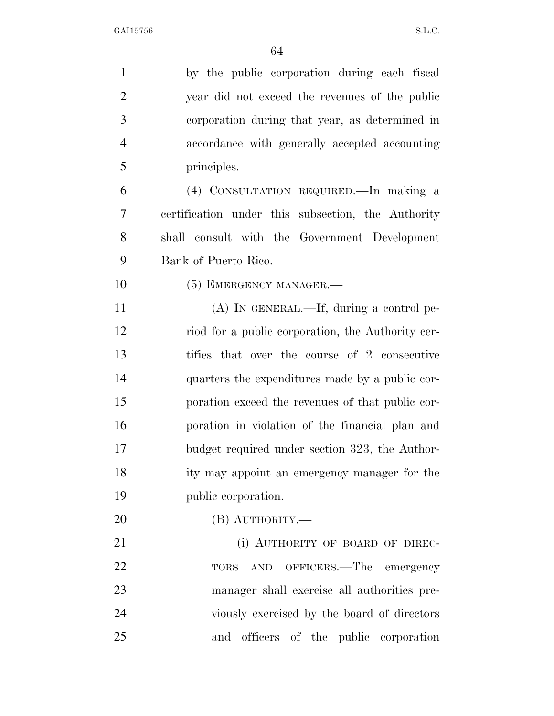| $\mathbf{1}$   | by the public corporation during each fiscal       |
|----------------|----------------------------------------------------|
| $\overline{2}$ | year did not exceed the revenues of the public     |
| 3              | corporation during that year, as determined in     |
| $\overline{4}$ | accordance with generally accepted accounting      |
| 5              | principles.                                        |
| 6              | (4) CONSULTATION REQUIRED. In making a             |
| 7              | certification under this subsection, the Authority |
| 8              | shall consult with the Government Development      |
| 9              | Bank of Puerto Rico.                               |
| 10             | (5) EMERGENCY MANAGER.—                            |
| 11             | $(A)$ In GENERAL.—If, during a control pe-         |
| 12             | riod for a public corporation, the Authority cer-  |
| 13             | tifies that over the course of 2 consecutive       |
| 14             | quarters the expenditures made by a public cor-    |
| 15             | poration exceed the revenues of that public cor-   |
| 16             | poration in violation of the financial plan and    |
| 17             | budget required under section 323, the Author-     |
| 18             | ity may appoint an emergency manager for the       |
| 19             | public corporation.                                |
| 20             | $(B)$ AUTHORITY.—                                  |
| 21             | (i) AUTHORITY OF BOARD OF DIREC-                   |
| 22             | TORS AND OFFICERS.—The emergency                   |
| 23             | manager shall exercise all authorities pre-        |
| 24             | viously exercised by the board of directors        |
| 25             | and officers of the public corporation             |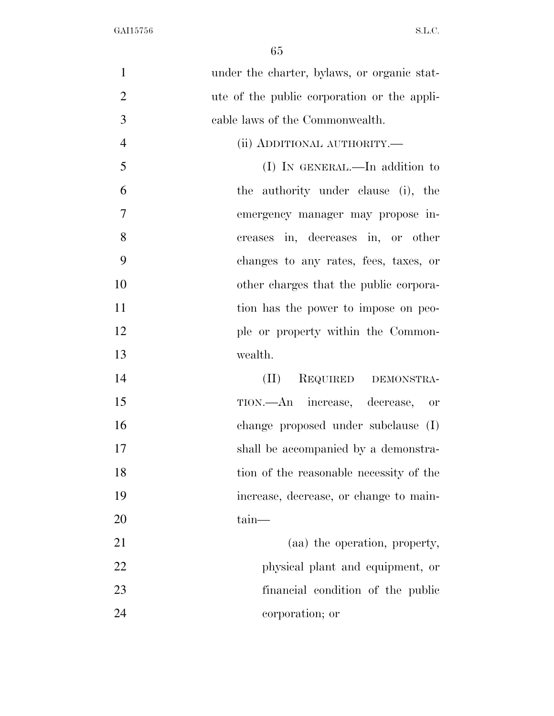| $\mathbf{1}$   | under the charter, bylaws, or organic stat- |
|----------------|---------------------------------------------|
| $\overline{2}$ | ute of the public corporation or the appli- |
| 3              | cable laws of the Commonwealth.             |
| $\overline{4}$ | (ii) ADDITIONAL AUTHORITY.—                 |
| 5              | (I) IN GENERAL.—In addition to              |
| 6              | the authority under clause (i), the         |
| $\overline{7}$ | emergency manager may propose in-           |
| 8              | creases in, decreases in, or other          |
| 9              | changes to any rates, fees, taxes, or       |
| 10             | other charges that the public corpora-      |
| 11             | tion has the power to impose on peo-        |
| 12             | ple or property within the Common-          |
| 13             | wealth.                                     |
| 14             | REQUIRED DEMONSTRA-<br>(II)                 |
| 15             | TION.—An increase, decrease, or             |
| 16             | change proposed under subclause (I)         |
| 17             | shall be accompanied by a demonstra-        |
| 18             | tion of the reasonable necessity of the     |
| 19             | increase, decrease, or change to main-      |
| 20             | $\tan$ —                                    |
| 21             | (aa) the operation, property,               |
| 22             | physical plant and equipment, or            |
| 23             | financial condition of the public           |
| 24             | corporation; or                             |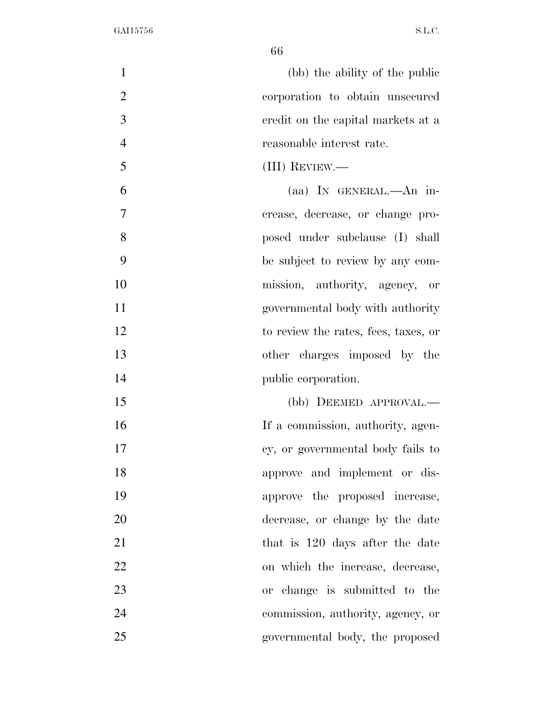| $\mathbf{1}$   | (bb) the ability of the public       |
|----------------|--------------------------------------|
| $\overline{2}$ | corporation to obtain unsecured      |
| 3              | eredit on the capital markets at a   |
| $\overline{4}$ | reasonable interest rate.            |
| 5              | (III) REVIEW.—                       |
| 6              | (aa) IN GENERAL.—An in-              |
| 7              | crease, decrease, or change pro-     |
| 8              | posed under subclause (I) shall      |
| 9              | be subject to review by any com-     |
| 10             | mission, authority, agency, or       |
| 11             | governmental body with authority     |
| 12             | to review the rates, fees, taxes, or |
| 13             | other charges imposed by the         |
| 14             | public corporation.                  |
| 15             | (bb) DEEMED APPROVAL.—               |
| 16             | If a commission, authority, agen-    |
| 17             | cy, or governmental body fails to    |
| 18             | approve and implement or dis-        |
| 19             | approve the proposed increase,       |
| 20             | decrease, or change by the date      |
| 21             | that is 120 days after the date      |
| 22             | on which the increase, decrease,     |
| 23             | or change is submitted to the        |
| 24             | commission, authority, agency, or    |
| 25             | governmental body, the proposed      |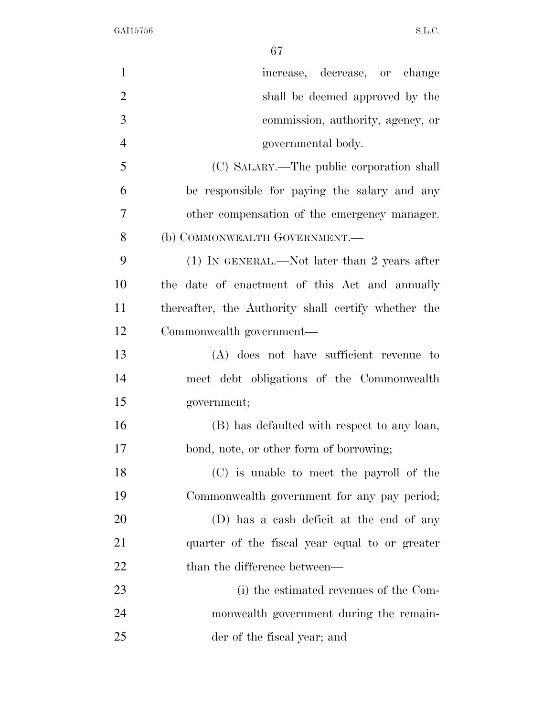| $\mathbf{1}$   | increase, decrease, or change                       |
|----------------|-----------------------------------------------------|
| $\overline{2}$ | shall be deemed approved by the                     |
| 3              | commission, authority, agency, or                   |
| $\overline{4}$ | governmental body.                                  |
| 5              | (C) SALARY.—The public corporation shall            |
| 6              | be responsible for paying the salary and any        |
| 7              | other compensation of the emergency manager.        |
| 8              | (b) COMMONWEALTH GOVERNMENT.—                       |
| 9              | $(1)$ IN GENERAL.—Not later than 2 years after      |
| 10             | the date of enactment of this Act and annually      |
| 11             | thereafter, the Authority shall certify whether the |
| 12             | Commonwealth government—                            |
| 13             | (A) does not have sufficient revenue to             |
| 14             | meet debt obligations of the Commonwealth           |
| 15             | government;                                         |
| 16             | (B) has defaulted with respect to any loan,         |
| 17             | bond, note, or other form of borrowing;             |
| 18             | (C) is unable to meet the payroll of the            |
| 19             | Commonwealth government for any pay period;         |
| 20             | (D) has a cash deficit at the end of any            |
| 21             | quarter of the fiscal year equal to or greater      |
| 22             | than the difference between—                        |
| 23             | (i) the estimated revenues of the Com-              |
| 24             | monwealth government during the remain-             |
| 25             | der of the fiscal year; and                         |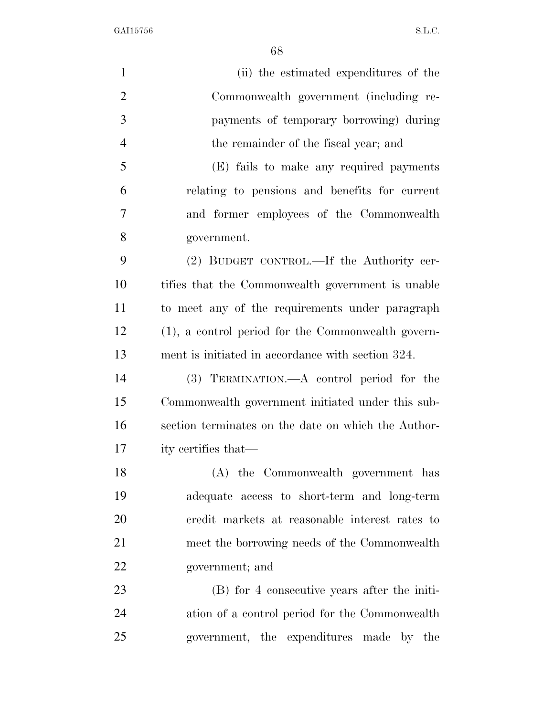| $\mathbf{1}$   | (ii) the estimated expenditures of the              |
|----------------|-----------------------------------------------------|
| $\overline{2}$ | Commonwealth government (including re-              |
| 3              | payments of temporary borrowing) during             |
| $\overline{4}$ | the remainder of the fiscal year; and               |
| 5              | (E) fails to make any required payments             |
| 6              | relating to pensions and benefits for current       |
| 7              | and former employees of the Commonwealth            |
| 8              | government.                                         |
| 9              | (2) BUDGET CONTROL.—If the Authority cer-           |
| 10             | tifies that the Commonwealth government is unable   |
| 11             | to meet any of the requirements under paragraph     |
| 12             | (1), a control period for the Commonwealth govern-  |
| 13             | ment is initiated in accordance with section 324.   |
| 14             | (3) TERMINATION.—A control period for the           |
| 15             | Commonwealth government initiated under this sub-   |
| 16             | section terminates on the date on which the Author- |
| 17             | ity certifies that—                                 |
| 18             | (A) the Commonwealth government has                 |
| 19             | adequate access to short-term and long-term         |
| 20             | credit markets at reasonable interest rates to      |
| 21             | meet the borrowing needs of the Commonwealth        |
| 22             | government; and                                     |
| 23             | (B) for 4 consecutive years after the initi-        |
| 24             | ation of a control period for the Commonwealth      |
| 25             | government, the expenditures made by the            |
|                |                                                     |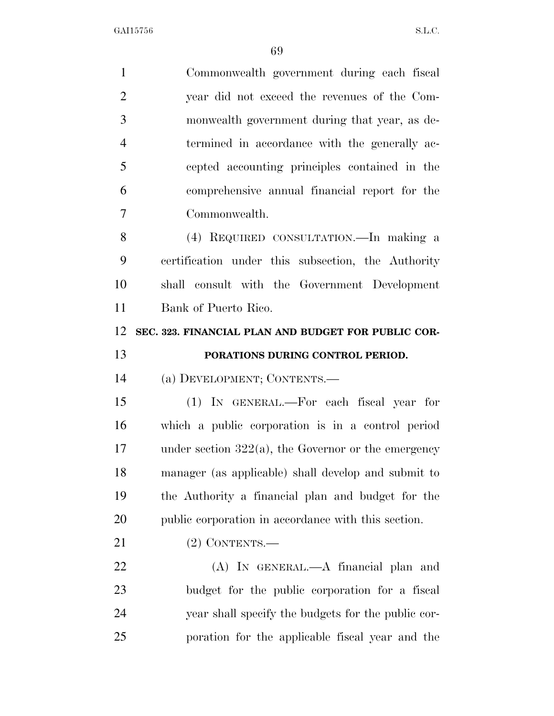| $\mathbf{1}$   | Commonwealth government during each fiscal             |
|----------------|--------------------------------------------------------|
| $\overline{2}$ | year did not exceed the revenues of the Com-           |
| 3              | monwealth government during that year, as de-          |
| $\overline{4}$ | termined in accordance with the generally ac-          |
| 5              | cepted accounting principles contained in the          |
| 6              | comprehensive annual financial report for the          |
| 7              | Commonwealth.                                          |
| 8              | (4) REQUIRED CONSULTATION.—In making a                 |
| 9              | certification under this subsection, the Authority     |
| 10             | shall consult with the Government Development          |
| 11             | Bank of Puerto Rico.                                   |
| 12             | SEC. 323. FINANCIAL PLAN AND BUDGET FOR PUBLIC COR-    |
| 13             | PORATIONS DURING CONTROL PERIOD.                       |
| 14             | (a) DEVELOPMENT; CONTENTS.—                            |
|                |                                                        |
| 15             | (1) IN GENERAL.—For each fiscal year for               |
| 16             | which a public corporation is in a control period      |
| 17             | under section $322(a)$ , the Governor or the emergency |
| 18             | manager (as applicable) shall develop and submit to    |
| 19             | the Authority a financial plan and budget for the      |
| 20             | public corporation in accordance with this section.    |
| 21             | $(2)$ CONTENTS.—                                       |
| 22             | (A) IN GENERAL.—A financial plan and                   |
| 23             | budget for the public corporation for a fiscal         |
| 24             | year shall specify the budgets for the public cor-     |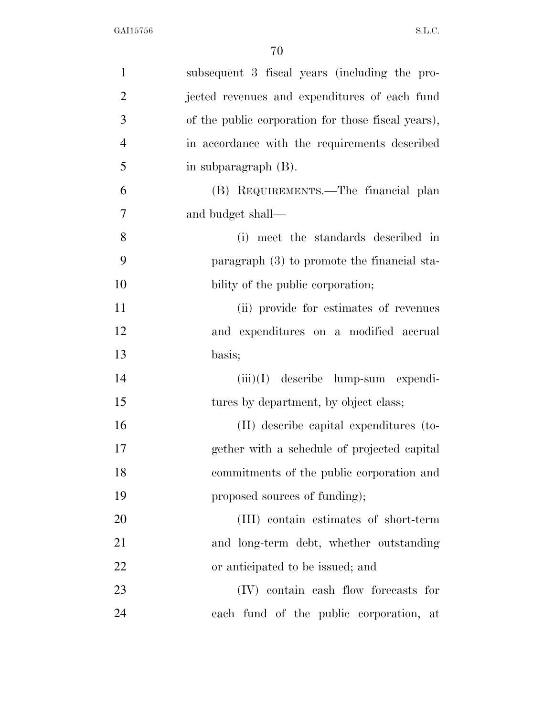| $\mathbf{1}$   | subsequent 3 fiscal years (including the pro-      |
|----------------|----------------------------------------------------|
| $\overline{2}$ | jected revenues and expenditures of each fund      |
| 3              | of the public corporation for those fiscal years), |
| $\overline{4}$ | in accordance with the requirements described      |
| 5              | in subparagraph (B).                               |
| 6              | (B) REQUIREMENTS.—The financial plan               |
| 7              | and budget shall—                                  |
| 8              | (i) meet the standards described in                |
| 9              | paragraph (3) to promote the financial sta-        |
| 10             | bility of the public corporation;                  |
| 11             | (ii) provide for estimates of revenues             |
| 12             | and expenditures on a modified accrual             |
| 13             | basis;                                             |
| 14             | $(iii)(I)$ describe lump-sum expendi-              |
| 15             | tures by department, by object class;              |
| 16             | (II) describe capital expenditures (to-            |
| 17             | gether with a schedule of projected capital        |
| 18             | commitments of the public corporation and          |
| 19             | proposed sources of funding);                      |
| 20             | (III) contain estimates of short-term              |
| 21             | and long-term debt, whether outstanding            |
| 22             | or anticipated to be issued; and                   |
| 23             | (IV) contain eash flow forecasts for               |
| 24             | each fund of the public corporation, at            |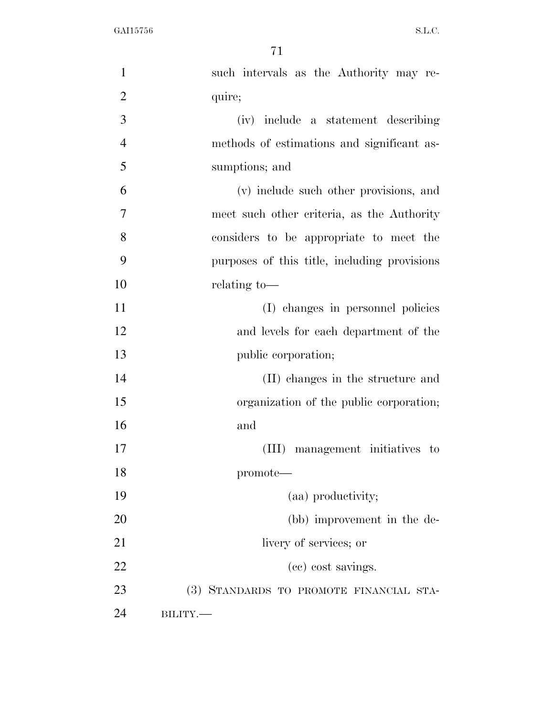| $\mathbf{1}$   | such intervals as the Authority may re-      |
|----------------|----------------------------------------------|
| $\overline{2}$ | quire;                                       |
| 3              | (iv) include a statement describing          |
| $\overline{4}$ | methods of estimations and significant as-   |
| 5              | sumptions; and                               |
| 6              | (v) include such other provisions, and       |
| 7              | meet such other criteria, as the Authority   |
| 8              | considers to be appropriate to meet the      |
| 9              | purposes of this title, including provisions |
| 10             | relating to-                                 |
| 11             | (I) changes in personnel policies            |
| 12             | and levels for each department of the        |
| 13             | public corporation;                          |
| 14             | (II) changes in the structure and            |
| 15             | organization of the public corporation;      |
| 16             | and                                          |
| 17             | (III) management initiatives to              |
| 18             | promote-                                     |
| 19             | (aa) productivity;                           |
| 20             | (bb) improvement in the de-                  |
| 21             | livery of services; or                       |
| 22             | (cc) cost savings.                           |
| 23             | (3) STANDARDS TO PROMOTE FINANCIAL STA-      |
| 24             | $BILITY$ .                                   |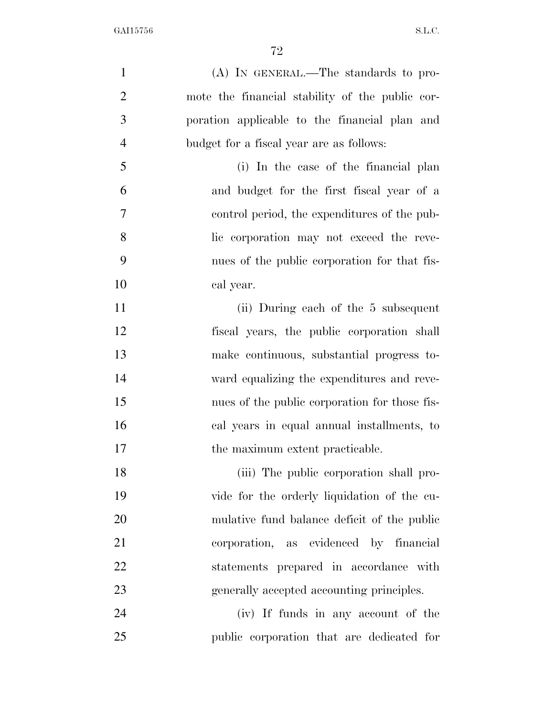| $\mathbf{1}$   | (A) IN GENERAL.—The standards to pro-           |
|----------------|-------------------------------------------------|
| $\overline{2}$ | mote the financial stability of the public cor- |
| 3              | poration applicable to the financial plan and   |
| $\overline{4}$ | budget for a fiscal year are as follows:        |
| 5              | (i) In the case of the financial plan           |
| 6              | and budget for the first fiscal year of a       |
| 7              | control period, the expenditures of the pub-    |
| 8              | lic corporation may not exceed the reve-        |
| 9              | nues of the public corporation for that fis-    |
| 10             | cal year.                                       |
| 11             | (ii) During each of the 5 subsequent            |
| 12             | fiscal years, the public corporation shall      |
| 13             | make continuous, substantial progress to-       |
| 14             | ward equalizing the expenditures and reve-      |
| 15             | nues of the public corporation for those fis-   |
| 16             | cal years in equal annual installments, to      |
| 17             | the maximum extent practicable.                 |
| 18             | (iii) The public corporation shall pro-         |
| 19             | vide for the orderly liquidation of the cu-     |
| 20             | mulative fund balance deficit of the public     |
| 21             | corporation, as evidenced by financial          |
| 22             | statements prepared in accordance with          |
| 23             | generally accepted accounting principles.       |
| 24             | (iv) If funds in any account of the             |
| 25             | public corporation that are dedicated for       |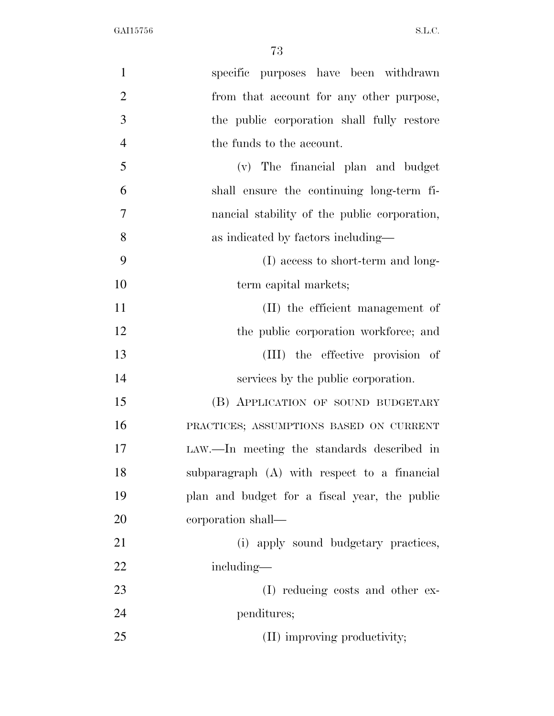| $\mathbf{1}$   | specific purposes have been withdrawn         |
|----------------|-----------------------------------------------|
| $\overline{2}$ | from that account for any other purpose,      |
| 3              | the public corporation shall fully restore    |
| $\overline{4}$ | the funds to the account.                     |
| 5              | (v) The financial plan and budget             |
| 6              | shall ensure the continuing long-term fi-     |
| $\overline{7}$ | nancial stability of the public corporation,  |
| 8              | as indicated by factors including—            |
| 9              | (I) access to short-term and long-            |
| 10             | term capital markets;                         |
| 11             | (II) the efficient management of              |
| 12             | the public corporation workforce; and         |
| 13             | (III) the effective provision of              |
| 14             | services by the public corporation.           |
| 15             | (B) APPLICATION OF SOUND BUDGETARY            |
| 16             | PRACTICES; ASSUMPTIONS BASED ON CURRENT       |
| 17             | LAW.—In meeting the standards described in    |
| 18             | subparagraph (A) with respect to a financial  |
| 19             | plan and budget for a fiscal year, the public |
| 20             | corporation shall—                            |
| 21             | (i) apply sound budgetary practices,          |
| 22             | including—                                    |
| 23             | (I) reducing costs and other ex-              |
| 24             | penditures;                                   |
| 25             | (II) improving productivity;                  |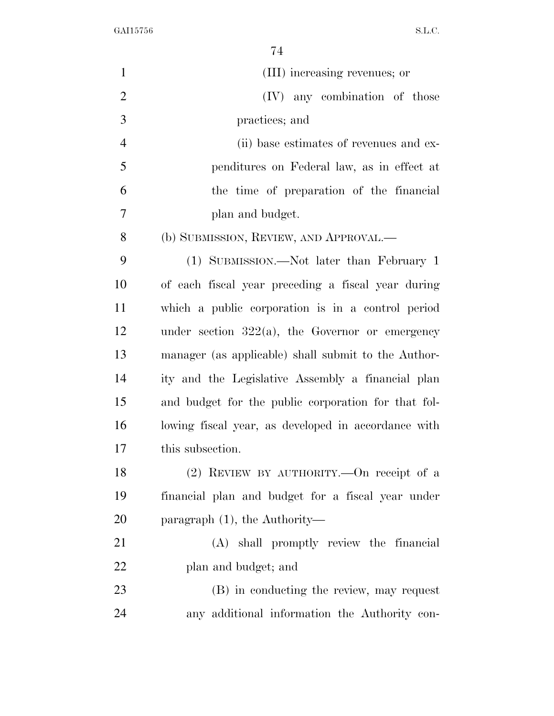| $\mathbf{1}$   | (III) increasing revenues; or                       |
|----------------|-----------------------------------------------------|
| $\overline{2}$ | (IV) any combination of those                       |
| 3              | practices; and                                      |
| $\overline{4}$ | (ii) base estimates of revenues and ex-             |
| 5              | penditures on Federal law, as in effect at          |
| 6              | the time of preparation of the financial            |
| 7              | plan and budget.                                    |
| 8              | (b) SUBMISSION, REVIEW, AND APPROVAL.—              |
| 9              | (1) SUBMISSION.—Not later than February 1           |
| 10             | of each fiscal year preceding a fiscal year during  |
| 11             | which a public corporation is in a control period   |
| 12             | under section $322(a)$ , the Governor or emergency  |
| 13             | manager (as applicable) shall submit to the Author- |
| 14             | ity and the Legislative Assembly a financial plan   |
| 15             | and budget for the public corporation for that fol- |
| 16             | lowing fiscal year, as developed in accordance with |
| 17             | this subsection.                                    |
| 18             | $(2)$ REVIEW BY AUTHORITY.—On receipt of a          |
| 19             | financial plan and budget for a fiscal year under   |
| 20             | paragraph $(1)$ , the Authority—                    |
| 21             | (A) shall promptly review the financial             |
| 22             | plan and budget; and                                |
| 23             | (B) in conducting the review, may request           |
| 24             | any additional information the Authority con-       |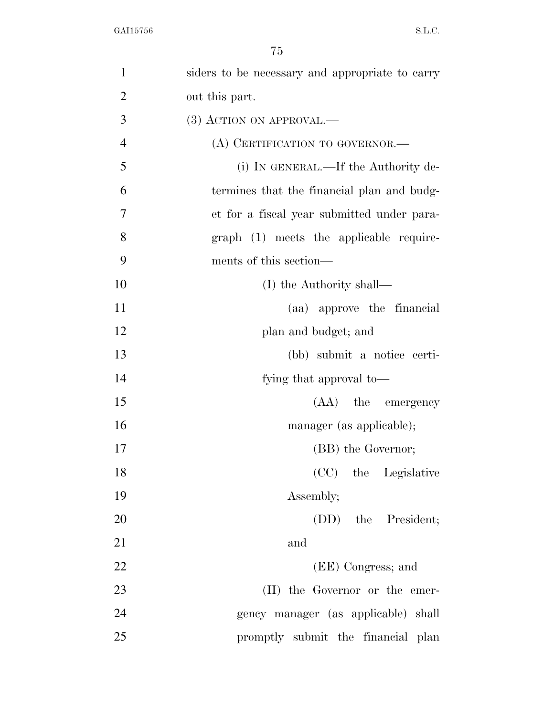| $\mathbf{1}$   | siders to be necessary and appropriate to carry |
|----------------|-------------------------------------------------|
| $\overline{2}$ | out this part.                                  |
| 3              | $(3)$ ACTION ON APPROVAL.—                      |
| $\overline{4}$ | (A) CERTIFICATION TO GOVERNOR.—                 |
| 5              | (i) IN GENERAL.—If the Authority de-            |
| 6              | termines that the financial plan and budg-      |
| $\overline{7}$ | et for a fiscal year submitted under para-      |
| 8              | graph (1) meets the applicable require-         |
| 9              | ments of this section—                          |
| 10             | (I) the Authority shall—                        |
| 11             | (aa) approve the financial                      |
| 12             | plan and budget; and                            |
| 13             | (bb) submit a notice certi-                     |
| 14             | fying that approval to—                         |
| 15             | (AA) the emergency                              |
| 16             | manager (as applicable);                        |
| 17             | (BB) the Governor;                              |
| 18             | (CC) the Legislative                            |
| 19             | Assembly;                                       |
| 20             | (DD) the President;                             |
| 21             | and                                             |
| 22             | (EE) Congress; and                              |
| 23             | (II) the Governor or the emer-                  |
| 24             | gency manager (as applicable) shall             |
| 25             | promptly submit the financial plan              |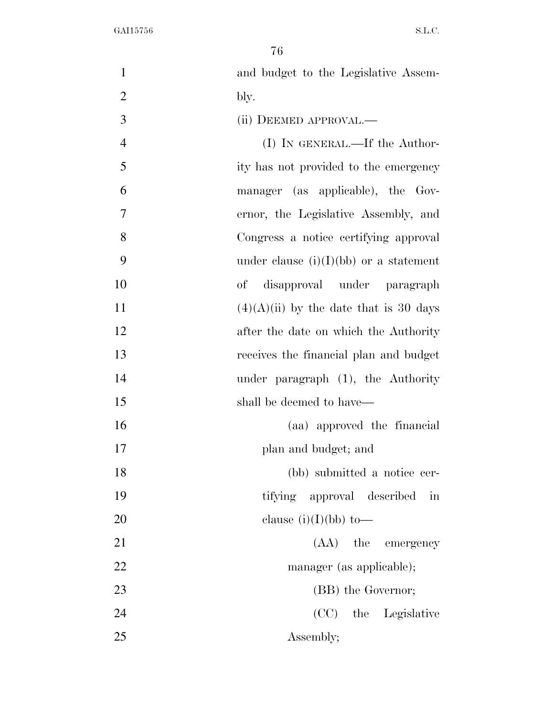| $\mathbf{1}$   | and budget to the Legislative Assem-                 |
|----------------|------------------------------------------------------|
| $\overline{2}$ | bly.                                                 |
| 3              | (ii) DEEMED APPROVAL.—                               |
| $\overline{4}$ | $(I)$ In GENERAL.—If the Author-                     |
| 5              | ity has not provided to the emergency                |
| 6              | manager (as applicable), the Gov-                    |
| $\overline{7}$ | ernor, the Legislative Assembly, and                 |
| 8              | Congress a notice certifying approval                |
| 9              | under clause $(i)(I)(bb)$ or a statement             |
| 10             | of disapproval under paragraph                       |
| 11             | $(4)(A)(ii)$ by the date that is 30 days             |
| 12             | after the date on which the Authority                |
| 13             | receives the financial plan and budget               |
| 14             | under paragraph $(1)$ , the Authority                |
| 15             | shall be deemed to have—                             |
| 16             | (aa) approved the financial                          |
| 17             | plan and budget; and                                 |
| 18             | (bb) submitted a notice cer-                         |
| 19             | tifying approval described<br>$\overline{\text{in}}$ |
| 20             | clause $(i)(I)(bb)$ to —                             |
| 21             | (AA) the emergency                                   |
| 22             | manager (as applicable);                             |
| 23             | (BB) the Governor;                                   |
| 24             | (CC) the Legislative                                 |
| 25             | Assembly;                                            |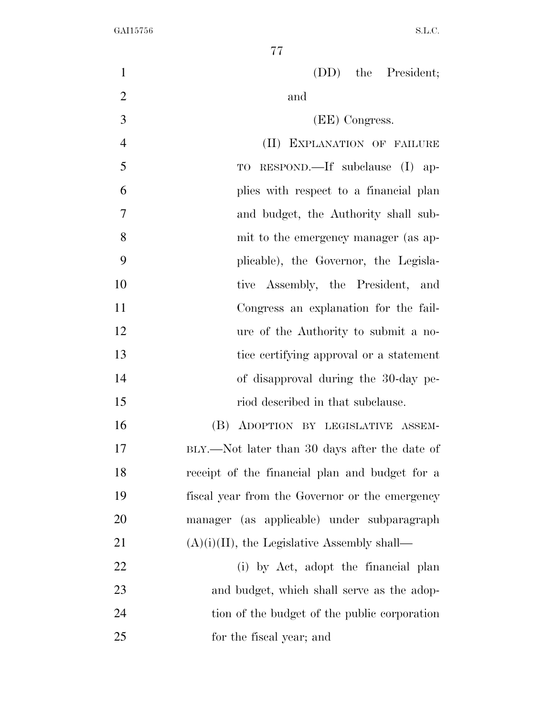(DD) the President; 2 and (EE) Congress. (II) EXPLANATION OF FAILURE TO RESPOND.—If subclause (I) ap- plies with respect to a financial plan and budget, the Authority shall sub- mit to the emergency manager (as ap- plicable), the Governor, the Legisla-10 tive Assembly, the President, and Congress an explanation for the fail- ure of the Authority to submit a no- tice certifying approval or a statement of disapproval during the 30-day pe-15 riod described in that subclause. (B) ADOPTION BY LEGISLATIVE ASSEM- BLY.—Not later than 30 days after the date of receipt of the financial plan and budget for a fiscal year from the Governor or the emergency manager (as applicable) under subparagraph  $(A)(i)(II)$ , the Legislative Assembly shall— 22 (i) by Act, adopt the financial plan 23 and budget, which shall serve as the adop- tion of the budget of the public corporation for the fiscal year; and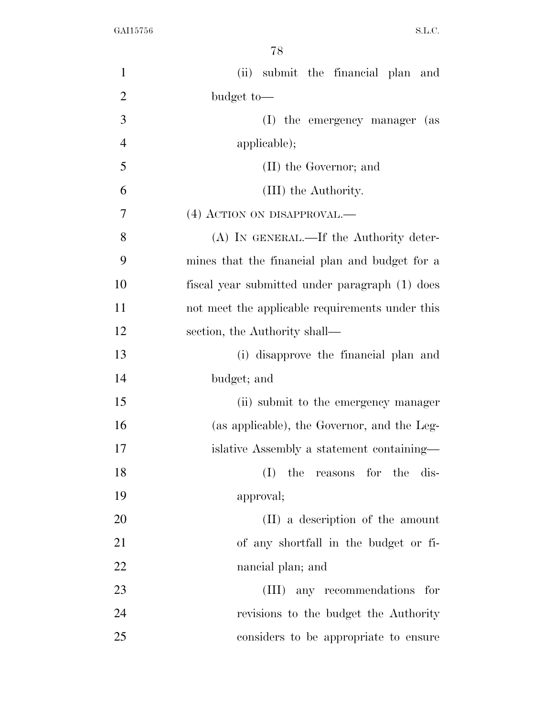| $\mathbf{1}$   | (ii) submit the financial plan and              |
|----------------|-------------------------------------------------|
| $\overline{2}$ | budget to-                                      |
| 3              | (I) the emergency manager (as                   |
| $\overline{4}$ | applicable);                                    |
| 5              | (II) the Governor; and                          |
| 6              | (III) the Authority.                            |
| 7              | (4) ACTION ON DISAPPROVAL.—                     |
| 8              | (A) IN GENERAL.—If the Authority deter-         |
| 9              | mines that the financial plan and budget for a  |
| 10             | fiscal year submitted under paragraph (1) does  |
| 11             | not meet the applicable requirements under this |
| 12             | section, the Authority shall—                   |
| 13             | (i) disapprove the financial plan and           |
| 14             | budget; and                                     |
| 15             | (ii) submit to the emergency manager            |
| 16             | (as applicable), the Governor, and the Leg-     |
| 17             | islative Assembly a statement containing—       |
| 18             | $(I)$ the reasons for the dis-                  |
| 19             | approval;                                       |
| 20             | (II) a description of the amount                |
| 21             | of any shortfall in the budget or fi-           |
| 22             | nancial plan; and                               |
| 23             | (III) any recommendations for                   |
| 24             | revisions to the budget the Authority           |
| 25             | considers to be appropriate to ensure           |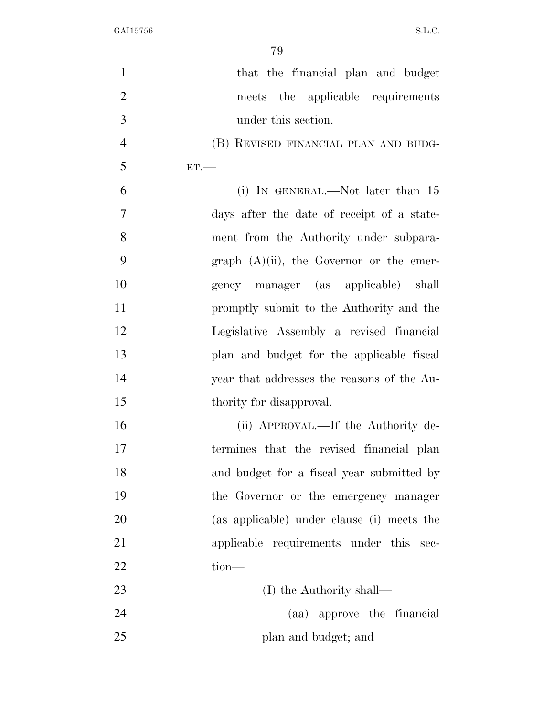| $\mathbf{1}$   | that the financial plan and budget          |
|----------------|---------------------------------------------|
| $\overline{2}$ | meets the applicable requirements           |
| 3              | under this section.                         |
| $\overline{4}$ | (B) REVISED FINANCIAL PLAN AND BUDG-        |
| 5              | ET.                                         |
| 6              | (i) IN GENERAL.—Not later than $15$         |
| $\overline{7}$ | days after the date of receipt of a state-  |
| 8              | ment from the Authority under subpara-      |
| 9              | graph $(A)(ii)$ , the Governor or the emer- |
| 10             | gency manager (as applicable) shall         |
| 11             | promptly submit to the Authority and the    |
| 12             | Legislative Assembly a revised financial    |
| 13             | plan and budget for the applicable fiscal   |
| 14             | year that addresses the reasons of the Au-  |
| 15             | thority for disapproval.                    |
| 16             | (ii) APPROVAL.—If the Authority de-         |
| 17             | termines that the revised financial plan    |
| 18             | and budget for a fiscal year submitted by   |
| 19             | the Governor or the emergency manager       |
| 20             | (as applicable) under clause (i) meets the  |
| 21             | applicable requirements under this sec-     |
| 22             | tion-                                       |
| 23             | (I) the Authority shall—                    |
| 24             | (aa) approve the financial                  |
| 25             | plan and budget; and                        |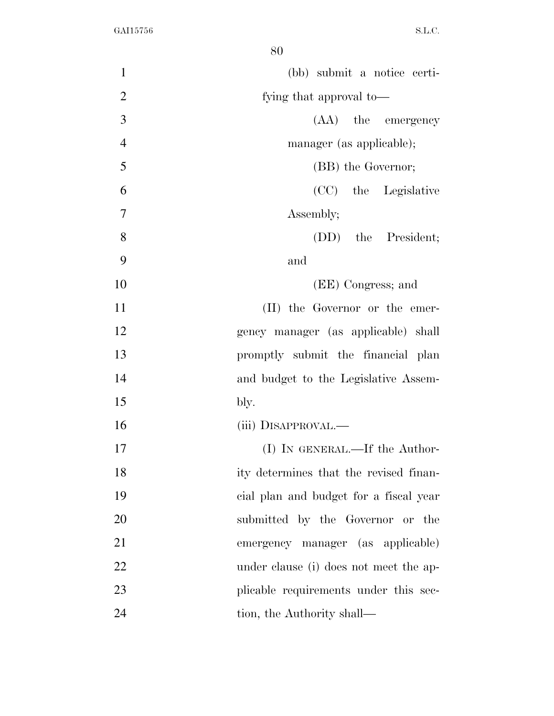| $\mathbf{1}$   | (bb) submit a notice certi-            |
|----------------|----------------------------------------|
| $\overline{2}$ | fying that approval to—                |
| 3              | (AA) the emergency                     |
| $\overline{4}$ | manager (as applicable);               |
| 5              | (BB) the Governor;                     |
| 6              | (CC) the Legislative                   |
| 7              | Assembly;                              |
| 8              | (DD) the President;                    |
| 9              | and                                    |
| 10             | (EE) Congress; and                     |
| 11             | (II) the Governor or the emer-         |
| 12             | gency manager (as applicable) shall    |
| 13             | promptly submit the financial plan     |
| 14             | and budget to the Legislative Assem-   |
| 15             | bly.                                   |
| 16             | (iii) DISAPPROVAL.—                    |
| 17             | (I) IN GENERAL.—If the Author-         |
| 18             | ity determines that the revised finan- |
| 19             | cial plan and budget for a fiscal year |
| 20             | submitted by the Governor or the       |
| 21             | emergency manager (as applicable)      |
| 22             | under clause (i) does not meet the ap- |
| 23             | plicable requirements under this sec-  |
| 24             | tion, the Authority shall—             |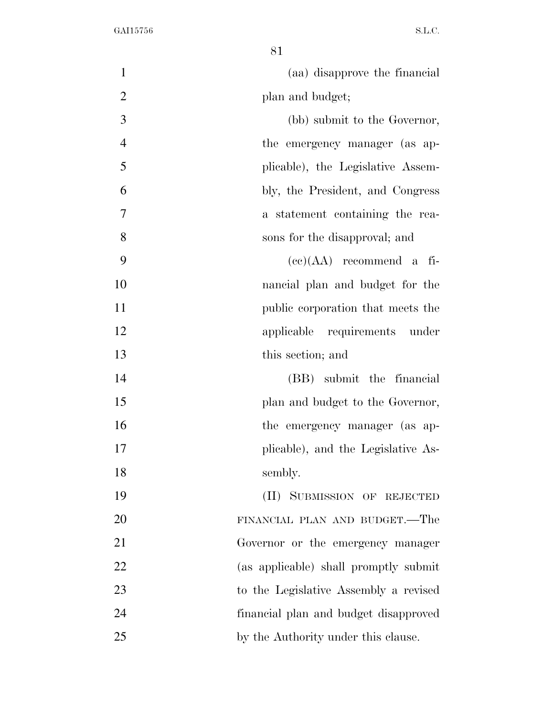| $\mathbf{1}$   | (aa) disapprove the financial         |
|----------------|---------------------------------------|
| $\overline{2}$ | plan and budget;                      |
| 3              | (bb) submit to the Governor,          |
| $\overline{4}$ | the emergency manager (as ap-         |
| 5              | plicable), the Legislative Assem-     |
| 6              | bly, the President, and Congress      |
| 7              | a statement containing the rea-       |
| 8              | sons for the disapproval; and         |
| 9              | $(ce)(AA)$ recommend a fi-            |
| 10             | nancial plan and budget for the       |
| 11             | public corporation that meets the     |
| 12             | applicable requirements under         |
| 13             | this section; and                     |
| 14             | (BB) submit the financial             |
| 15             | plan and budget to the Governor,      |
| 16             | the emergency manager (as ap-         |
| 17             | plicable), and the Legislative As-    |
| 18             | sembly.                               |
| 19             | (II) SUBMISSION OF REJECTED           |
| 20             | FINANCIAL PLAN AND BUDGET.—The        |
| 21             | Governor or the emergency manager     |
| 22             | (as applicable) shall promptly submit |
| 23             | to the Legislative Assembly a revised |
| 24             | financial plan and budget disapproved |
| 25             | by the Authority under this clause.   |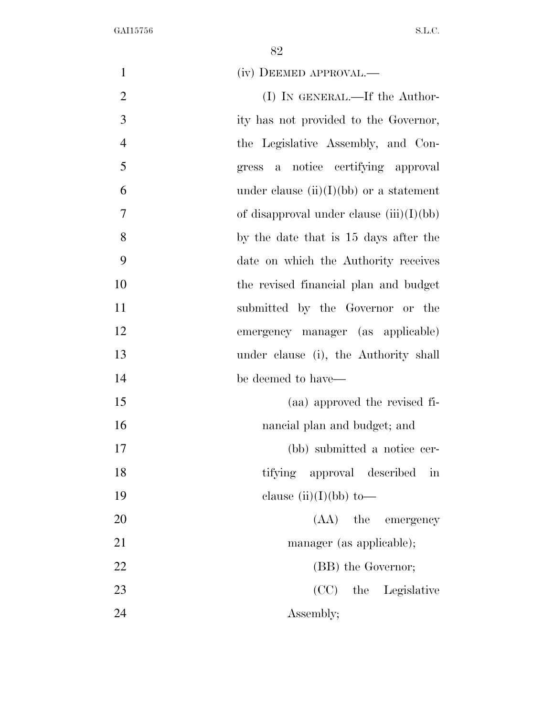| $\mathbf{1}$   | (iv) DEEMED APPROVAL.—                            |
|----------------|---------------------------------------------------|
| $\overline{2}$ | $(I)$ In GENERAL.—If the Author-                  |
| $\overline{3}$ | ity has not provided to the Governor,             |
| $\overline{4}$ | the Legislative Assembly, and Con-                |
| 5              | notice certifying approval<br>gress<br>a          |
| 6              | under clause $(ii)(I)(bb)$ or a statement         |
| $\overline{7}$ | of disapproval under clause $(iii)(I)(bb)$        |
| 8              | by the date that is 15 days after the             |
| 9              | date on which the Authority receives              |
| 10             | the revised financial plan and budget             |
| 11             | submitted by the Governor or the                  |
| 12             | emergency manager (as applicable)                 |
| 13             | under clause (i), the Authority shall             |
| 14             | be deemed to have—                                |
| 15             | (aa) approved the revised fi-                     |
| 16             | nancial plan and budget; and                      |
| 17             | (bb) submitted a notice cer-                      |
| 18             | tifying approval described<br>$\operatorname{in}$ |
| 19             | clause $(ii)(I)(bb)$ to-                          |
| 20             | $(AA)$ the<br>emergency                           |
| 21             | manager (as applicable);                          |
| 22             | (BB) the Governor;                                |
| 23             | (CC) the Legislative                              |
| 24             | Assembly;                                         |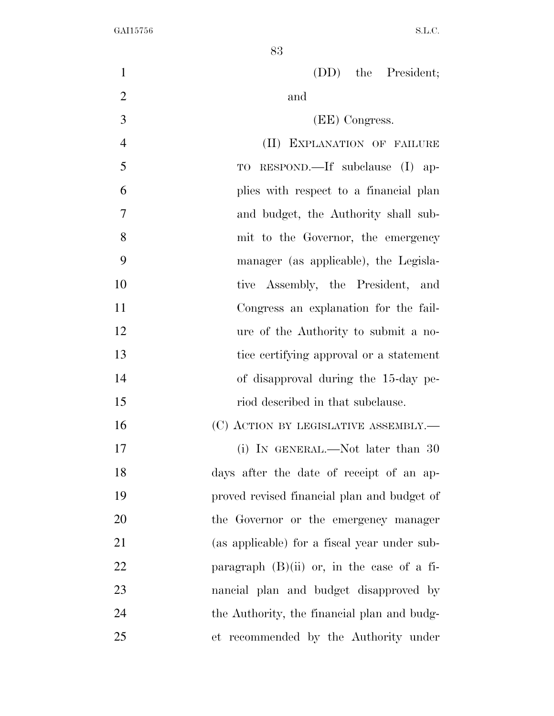(DD) the President; 2 and (EE) Congress. (II) EXPLANATION OF FAILURE TO RESPOND.—If subclause (I) ap- plies with respect to a financial plan and budget, the Authority shall sub- mit to the Governor, the emergency manager (as applicable), the Legisla- tive Assembly, the President, and Congress an explanation for the fail- ure of the Authority to submit a no- tice certifying approval or a statement of disapproval during the 15-day pe-15 riod described in that subclause. 16 (C) ACTION BY LEGISLATIVE ASSEMBLY.— 17 (i) IN GENERAL.—Not later than 30 days after the date of receipt of an ap- proved revised financial plan and budget of the Governor or the emergency manager (as applicable) for a fiscal year under sub-22 paragraph  $(B)(ii)$  or, in the case of a fi- nancial plan and budget disapproved by the Authority, the financial plan and budg-et recommended by the Authority under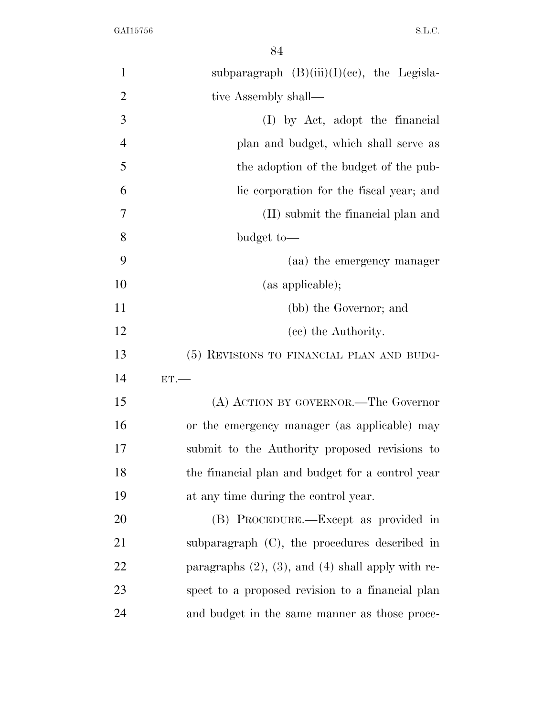| $\mathbf{1}$   | subparagraph $(B)(iii)(I)(ce)$ , the Legisla-             |
|----------------|-----------------------------------------------------------|
| $\overline{2}$ | tive Assembly shall—                                      |
| 3              | (I) by Act, adopt the financial                           |
| $\overline{4}$ | plan and budget, which shall serve as                     |
| 5              | the adoption of the budget of the pub-                    |
| 6              | lic corporation for the fiscal year; and                  |
| 7              | (II) submit the financial plan and                        |
| 8              | budget to-                                                |
| 9              | (aa) the emergency manager                                |
| 10             | (as applicable);                                          |
| 11             | (bb) the Governor; and                                    |
| 12             | (cc) the Authority.                                       |
| 13             | (5) REVISIONS TO FINANCIAL PLAN AND BUDG-                 |
| 14             | ET.                                                       |
| 15             | (A) ACTION BY GOVERNOR.—The Governor                      |
| 16             | or the emergency manager (as applicable) may              |
| 17             | submit to the Authority proposed revisions to             |
| 18             | the financial plan and budget for a control year          |
| 19             | at any time during the control year.                      |
| 20             | (B) PROCEDURE.—Except as provided in                      |
| 21             | subparagraph $(C)$ , the procedures described in          |
| 22             | paragraphs $(2)$ , $(3)$ , and $(4)$ shall apply with re- |
| 23             | spect to a proposed revision to a financial plan          |
| 24             | and budget in the same manner as those proce-             |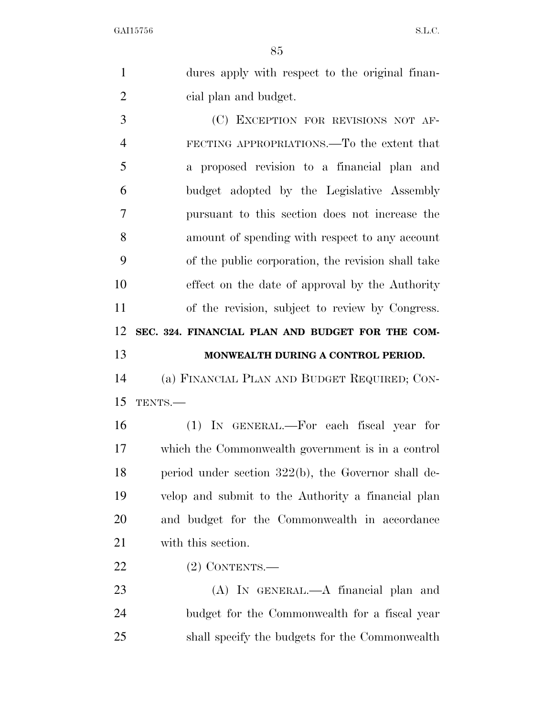|                | 85                                                  |
|----------------|-----------------------------------------------------|
| $\mathbf{1}$   | dures apply with respect to the original finan-     |
| $\overline{2}$ | cial plan and budget.                               |
| 3              | (C) EXCEPTION FOR REVISIONS NOT AF-                 |
| $\overline{4}$ | FECTING APPROPRIATIONS.—To the extent that          |
| 5              | a proposed revision to a financial plan and         |
| 6              | budget adopted by the Legislative Assembly          |
| 7              | pursuant to this section does not increase the      |
| 8              | amount of spending with respect to any account      |
| 9              | of the public corporation, the revision shall take  |
| 10             | effect on the date of approval by the Authority     |
| 11             | of the revision, subject to review by Congress.     |
| 12             | SEC. 324. FINANCIAL PLAN AND BUDGET FOR THE COM-    |
| 13             | MONWEALTH DURING A CONTROL PERIOD.                  |
| 14             | (a) FINANCIAL PLAN AND BUDGET REQUIRED; CON-        |
| 15             | TENTS.-                                             |
| 16             | (1) IN GENERAL.—For each fiscal year for            |
| 17             | which the Commonwealth government is in a control   |
| 18             | period under section 322(b), the Governor shall de- |
| 19             | velop and submit to the Authority a financial plan  |
| 20             | and budget for the Commonwealth in accordance       |
|                |                                                     |

- with this section.
- (2) CONTENTS.—

 (A) IN GENERAL.—A financial plan and budget for the Commonwealth for a fiscal year shall specify the budgets for the Commonwealth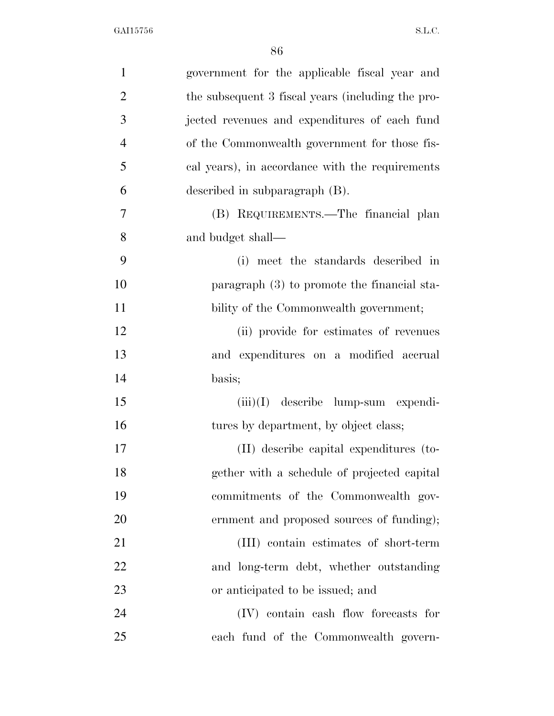| $\mathbf{1}$   | government for the applicable fiscal year and     |
|----------------|---------------------------------------------------|
| $\overline{2}$ | the subsequent 3 fiscal years (including the pro- |
| 3              | jected revenues and expenditures of each fund     |
| $\overline{4}$ | of the Commonwealth government for those fis-     |
| 5              | cal years), in accordance with the requirements   |
| 6              | described in subparagraph $(B)$ .                 |
| 7              | (B) REQUIREMENTS.—The financial plan              |
| 8              | and budget shall—                                 |
| 9              | (i) meet the standards described in               |
| 10             | paragraph $(3)$ to promote the financial sta-     |
| 11             | bility of the Commonwealth government;            |
| 12             | (ii) provide for estimates of revenues            |
| 13             | and expenditures on a modified accrual            |
| 14             | basis;                                            |
| 15             | $(iii)(I)$ describe lump-sum expendi-             |
| 16             | tures by department, by object class;             |
| 17             | (II) describe capital expenditures (to-           |
| 18             | gether with a schedule of projected capital       |
| 19             | commitments of the Commonwealth gov-              |
| 20             | ernment and proposed sources of funding);         |
| 21             | (III) contain estimates of short-term             |
| 22             | and long-term debt, whether outstanding           |
| 23             | or anticipated to be issued; and                  |
| 24             | (IV) contain eash flow forecasts for              |
| 25             | each fund of the Commonwealth govern-             |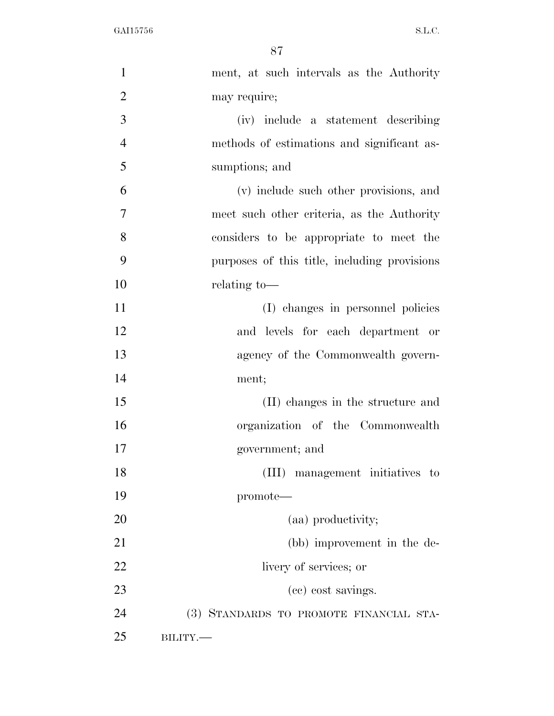| $\mathbf{1}$   | ment, at such intervals as the Authority     |
|----------------|----------------------------------------------|
| $\overline{2}$ | may require;                                 |
| 3              | (iv) include a statement describing          |
| $\overline{4}$ | methods of estimations and significant as-   |
| 5              | sumptions; and                               |
| 6              | (v) include such other provisions, and       |
| $\overline{7}$ | meet such other criteria, as the Authority   |
| 8              | considers to be appropriate to meet the      |
| 9              | purposes of this title, including provisions |
| 10             | relating to-                                 |
| 11             | (I) changes in personnel policies            |
| 12             | and levels for each department or            |
| 13             | agency of the Commonwealth govern-           |
| 14             | ment;                                        |
| 15             | (II) changes in the structure and            |
| 16             | organization of the Commonwealth             |
| 17             | government; and                              |
| 18             | (III) management initiatives to              |
| 19             | promote—                                     |
| 20             | (aa) productivity;                           |
| 21             | (bb) improvement in the de-                  |
| 22             | livery of services; or                       |
| 23             | (cc) cost savings.                           |
| 24             | (3) STANDARDS TO PROMOTE FINANCIAL STA-      |
| 25             | BILITY.                                      |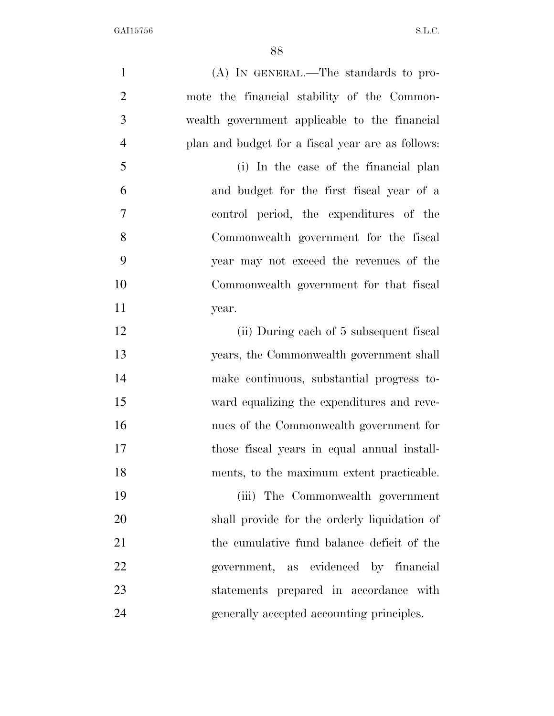| $\mathbf{1}$   | (A) IN GENERAL.—The standards to pro-             |
|----------------|---------------------------------------------------|
| $\overline{2}$ | mote the financial stability of the Common-       |
| 3              | wealth government applicable to the financial     |
| $\overline{4}$ | plan and budget for a fiscal year are as follows: |
| 5              | (i) In the case of the financial plan             |
| 6              | and budget for the first fiscal year of a         |
| 7              | control period, the expenditures of the           |
| 8              | Commonwealth government for the fiscal            |
| 9              | year may not exceed the revenues of the           |
| 10             | Commonwealth government for that fiscal           |
| 11             | year.                                             |
| 12             | (ii) During each of 5 subsequent fiscal           |
| 13             | years, the Commonwealth government shall          |
| 14             | make continuous, substantial progress to-         |
| 15             | ward equalizing the expenditures and reve-        |
| 16             | nues of the Commonwealth government for           |
| 17             | those fiscal years in equal annual install-       |
| 18             | ments, to the maximum extent practicable.         |
| 19             | (iii) The Commonwealth government                 |
| 20             | shall provide for the orderly liquidation of      |
| 21             | the cumulative fund balance deficit of the        |
| 22             | government, as evidenced by financial             |
| 23             | statements prepared in accordance with            |
| 24             | generally accepted accounting principles.         |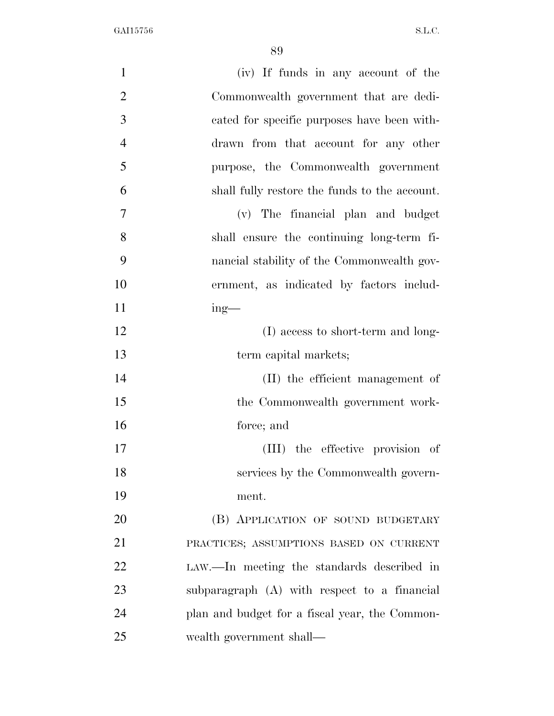| $\mathbf{1}$   | (iv) If funds in any account of the            |
|----------------|------------------------------------------------|
| $\overline{2}$ | Commonwealth government that are dedi-         |
| 3              | cated for specific purposes have been with-    |
| $\overline{4}$ | drawn from that account for any other          |
| 5              | purpose, the Commonwealth government           |
| 6              | shall fully restore the funds to the account.  |
| 7              | (v) The financial plan and budget              |
| 8              | shall ensure the continuing long-term fi-      |
| 9              | nancial stability of the Commonwealth gov-     |
| 10             | ernment, as indicated by factors includ-       |
| 11             | $ing$ —                                        |
| 12             | (I) access to short-term and long-             |
| 13             | term capital markets;                          |
| 14             | (II) the efficient management of               |
| 15             | the Commonwealth government work-              |
| 16             | force; and                                     |
| 17             | (III) the effective provision of               |
| 18             | services by the Commonwealth govern-           |
| 19             | ment.                                          |
| 20             | (B) APPLICATION OF SOUND BUDGETARY             |
| 21             | PRACTICES; ASSUMPTIONS BASED ON CURRENT        |
| 22             | LAW.—In meeting the standards described in     |
| 23             | subparagraph (A) with respect to a financial   |
| 24             | plan and budget for a fiscal year, the Common- |
| 25             | wealth government shall—                       |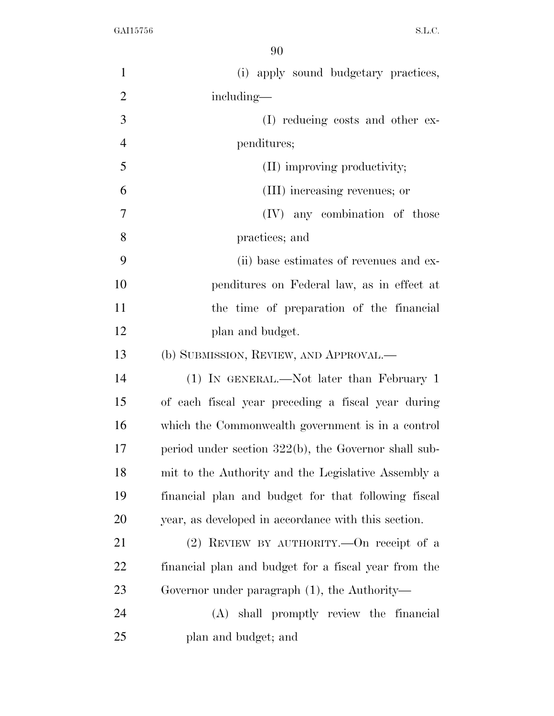| $\mathbf{1}$   | (i) apply sound budgetary practices,                    |
|----------------|---------------------------------------------------------|
| $\overline{2}$ | including—                                              |
| 3              | (I) reducing costs and other ex-                        |
| $\overline{4}$ | penditures;                                             |
| 5              | (II) improving productivity;                            |
| 6              | (III) increasing revenues; or                           |
| 7              | any combination of those<br>(IV)                        |
| 8              | practices; and                                          |
| 9              | (ii) base estimates of revenues and ex-                 |
| 10             | penditures on Federal law, as in effect at              |
| 11             | the time of preparation of the financial                |
| 12             | plan and budget.                                        |
| 13             | (b) SUBMISSION, REVIEW, AND APPROVAL.—                  |
| 14             | (1) IN GENERAL.—Not later than February 1               |
| 15             | of each fiscal year preceding a fiscal year during      |
| 16             | which the Commonwealth government is in a control       |
| 17             | period under section $322(b)$ , the Governor shall sub- |
| 18             | mit to the Authority and the Legislative Assembly a     |
| 19             | financial plan and budget for that following fiscal     |
| 20             | year, as developed in accordance with this section.     |
| 21             | $(2)$ REVIEW BY AUTHORITY.—On receipt of a              |
| 22             | financial plan and budget for a fiscal year from the    |
| 23             | Governor under paragraph $(1)$ , the Authority—         |
| 24             | (A) shall promptly review the financial                 |
| 25             | plan and budget; and                                    |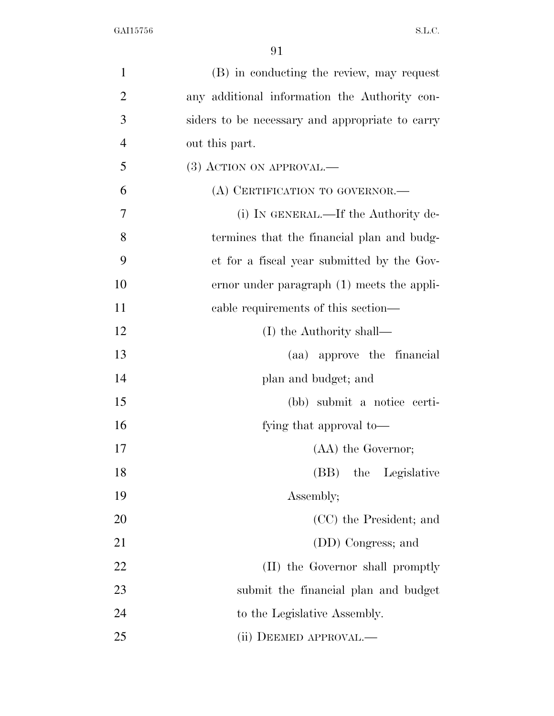| $\mathbf{1}$   | (B) in conducting the review, may request       |
|----------------|-------------------------------------------------|
| $\overline{2}$ | any additional information the Authority con-   |
| 3              | siders to be necessary and appropriate to carry |
| $\overline{4}$ | out this part.                                  |
| 5              | (3) ACTION ON APPROVAL.—                        |
| 6              | (A) CERTIFICATION TO GOVERNOR.-                 |
| 7              | (i) IN GENERAL.—If the Authority de-            |
| 8              | termines that the financial plan and budg-      |
| 9              | et for a fiscal year submitted by the Gov-      |
| 10             | ernor under paragraph (1) meets the appli-      |
| 11             | cable requirements of this section—             |
| 12             | (I) the Authority shall—                        |
| 13             | (aa) approve the financial                      |
| 14             | plan and budget; and                            |
| 15             | (bb) submit a notice certi-                     |
| 16             | fying that approval to—                         |
| 17             | (AA) the Governor;                              |
| 18             | (BB) the Legislative                            |
| 19             | Assembly;                                       |
| 20             | (CC) the President; and                         |
| 21             | (DD) Congress; and                              |
| 22             | (II) the Governor shall promptly                |
| 23             | submit the financial plan and budget            |
| 24             | to the Legislative Assembly.                    |
| 25             | (ii) DEEMED APPROVAL.—                          |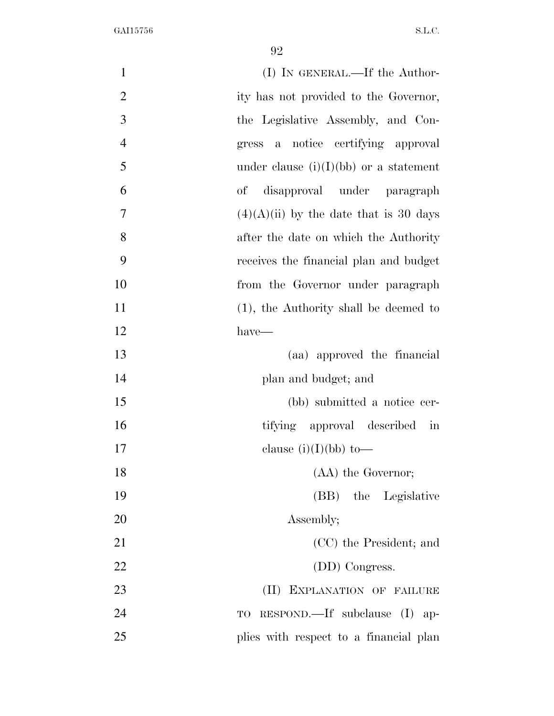| $\mathbf{1}$   | (I) IN GENERAL.—If the Author-                       |
|----------------|------------------------------------------------------|
| $\overline{2}$ | ity has not provided to the Governor,                |
| 3              | the Legislative Assembly, and Con-                   |
| $\overline{4}$ | notice certifying approval<br>gress<br>a             |
| 5              | under clause $(i)(I)(bb)$ or a statement             |
| 6              | disapproval under paragraph<br>of                    |
| 7              | $(4)(A)(ii)$ by the date that is 30 days             |
| 8              | after the date on which the Authority                |
| 9              | receives the financial plan and budget               |
| 10             | from the Governor under paragraph                    |
| 11             | $(1)$ , the Authority shall be deemed to             |
| 12             | have—                                                |
| 13             | (aa) approved the financial                          |
| 14             | plan and budget; and                                 |
| 15             | (bb) submitted a notice cer-                         |
| 16             | tifying approval described<br>$\overline{\text{in}}$ |
| 17             | clause $(i)(I)(bb)$ to-                              |
| 18             | (AA) the Governor;                                   |
| 19             | (BB) the Legislative                                 |
| 20             | Assembly;                                            |
| 21             | (CC) the President; and                              |
| 22             | (DD) Congress.                                       |
| 23             | $(\Pi)^{\mathsf{T}}$<br>EXPLANATION OF FAILURE       |
| 24             | $RESPOND$ subclause (I) ap-<br>TO                    |
| 25             | plies with respect to a financial plan               |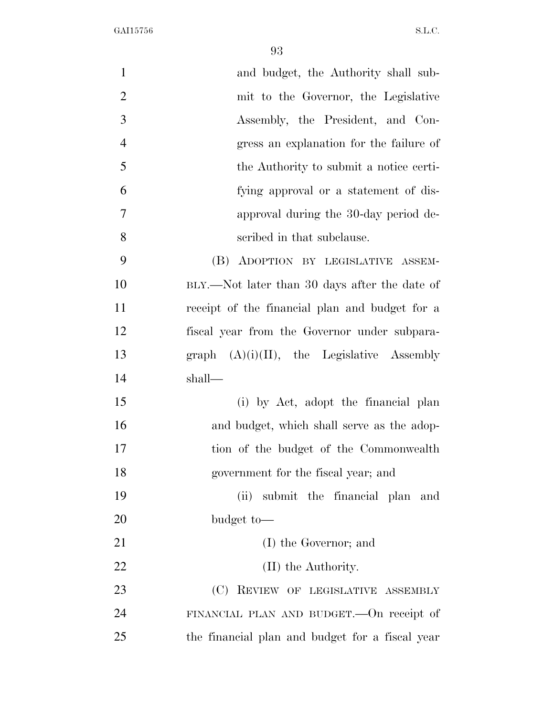| $\mathbf{1}$   | and budget, the Authority shall sub-            |
|----------------|-------------------------------------------------|
| $\overline{2}$ | mit to the Governor, the Legislative            |
| 3              | Assembly, the President, and Con-               |
| $\overline{4}$ | gress an explanation for the failure of         |
| 5              | the Authority to submit a notice certi-         |
| 6              | fying approval or a statement of dis-           |
| $\tau$         | approval during the 30-day period de-           |
| 8              | scribed in that subclause.                      |
| 9              | (B) ADOPTION BY LEGISLATIVE ASSEM-              |
| 10             | BLY.—Not later than 30 days after the date of   |
| 11             | receipt of the financial plan and budget for a  |
| 12             | fiscal year from the Governor under subpara-    |
| 13             | graph $(A)(i)(II)$ , the Legislative Assembly   |
| 14             | shall—                                          |
| 15             | (i) by Act, adopt the financial plan            |
| 16             | and budget, which shall serve as the adop-      |
| 17             | tion of the budget of the Commonwealth          |
| 18             | government for the fiscal year; and             |
| 19             | (ii)<br>submit the financial plan and           |
| <b>20</b>      | budget to-                                      |
| 21             | (I) the Governor; and                           |
| 22             | (II) the Authority.                             |
| 23             | (C) REVIEW OF LEGISLATIVE ASSEMBLY              |
| 24             | FINANCIAL PLAN AND BUDGET. On receipt of        |
| 25             | the financial plan and budget for a fiscal year |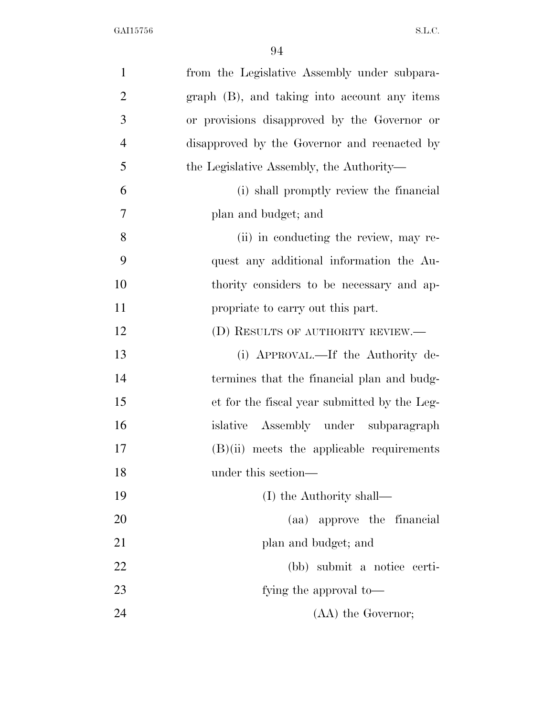| $\mathbf{1}$   | from the Legislative Assembly under subpara- |
|----------------|----------------------------------------------|
| $\overline{2}$ | graph (B), and taking into account any items |
| 3              | or provisions disapproved by the Governor or |
| $\overline{4}$ | disapproved by the Governor and reenacted by |
| 5              | the Legislative Assembly, the Authority—     |
| 6              | (i) shall promptly review the financial      |
| 7              | plan and budget; and                         |
| 8              | (ii) in conducting the review, may re-       |
| 9              | quest any additional information the Au-     |
| 10             | thority considers to be necessary and ap-    |
| 11             | propriate to carry out this part.            |
| 12             | (D) RESULTS OF AUTHORITY REVIEW.—            |
| 13             | (i) APPROVAL.—If the Authority de-           |
| 14             | termines that the financial plan and budg-   |
| 15             | et for the fiscal year submitted by the Leg- |
| 16             | islative Assembly under subparagraph         |
| 17             | $(B)(ii)$ meets the applicable requirements  |
| 18             | under this section—                          |
| 19             | (I) the Authority shall—                     |
| 20             | (aa) approve the financial                   |
| 21             | plan and budget; and                         |
| 22             | (bb) submit a notice certi-                  |
| 23             | fying the approval to-                       |
| 24             | (AA) the Governor;                           |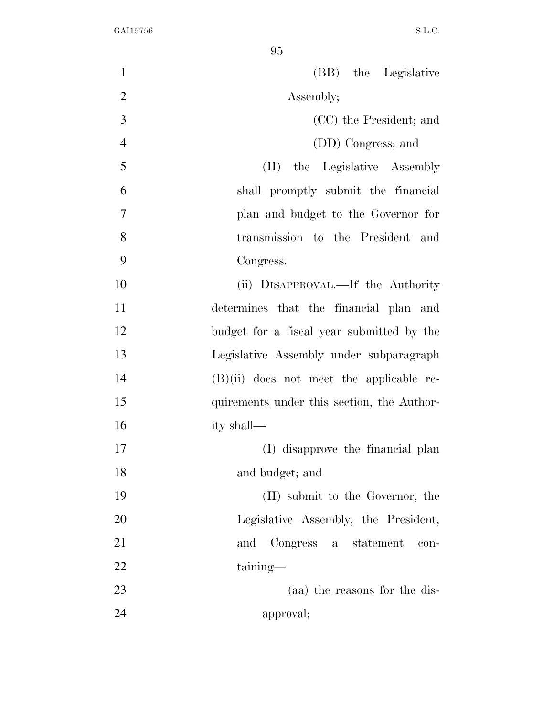(BB) the Legislative 2 Assembly; (CC) the President; and (DD) Congress; and (II) the Legislative Assembly shall promptly submit the financial plan and budget to the Governor for transmission to the President and Congress. (ii) DISAPPROVAL.—If the Authority determines that the financial plan and budget for a fiscal year submitted by the Legislative Assembly under subparagraph (B)(ii) does not meet the applicable re- quirements under this section, the Author- ity shall— (I) disapprove the financial plan and budget; and (II) submit to the Governor, the Legislative Assembly, the President, and Congress a statement con- taining— (aa) the reasons for the dis-approval;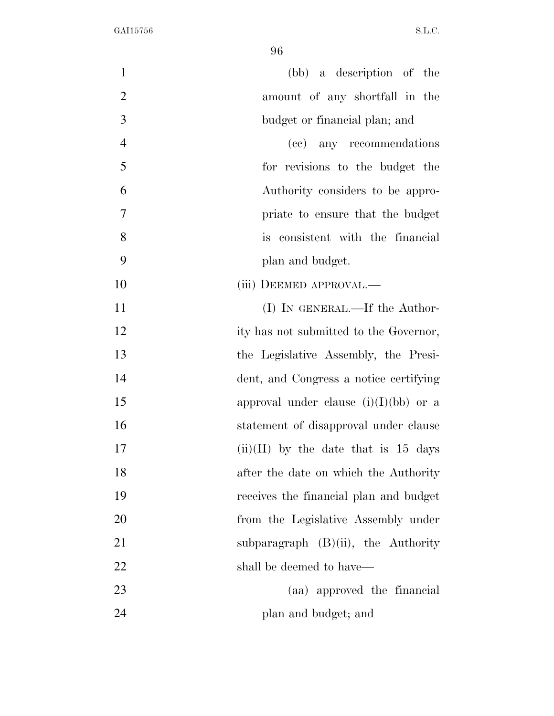| $\mathbf{1}$   | (bb) a description of the               |
|----------------|-----------------------------------------|
| $\overline{2}$ | amount of any shortfall in the          |
| 3              | budget or financial plan; and           |
| $\overline{4}$ | (cc) any recommendations                |
| 5              | for revisions to the budget the         |
| 6              | Authority considers to be appro-        |
| 7              | priate to ensure that the budget        |
| 8              | is consistent with the financial        |
| 9              | plan and budget.                        |
| 10             | (iii) DEEMED APPROVAL.—                 |
| 11             | $(I)$ In GENERAL.—If the Author-        |
| 12             | ity has not submitted to the Governor,  |
| 13             | the Legislative Assembly, the Presi-    |
| 14             | dent, and Congress a notice certifying  |
| 15             | approval under clause $(i)(I)(bb)$ or a |
| 16             | statement of disapproval under clause   |
| 17             | $(ii)(II)$ by the date that is 15 days  |
| 18             | after the date on which the Authority   |
| 19             | receives the financial plan and budget  |
| 20             | from the Legislative Assembly under     |
| 21             | subparagraph $(B)(ii)$ , the Authority  |
| 22             | shall be deemed to have—                |
| 23             | (aa) approved the financial             |
| 24             | plan and budget; and                    |
|                |                                         |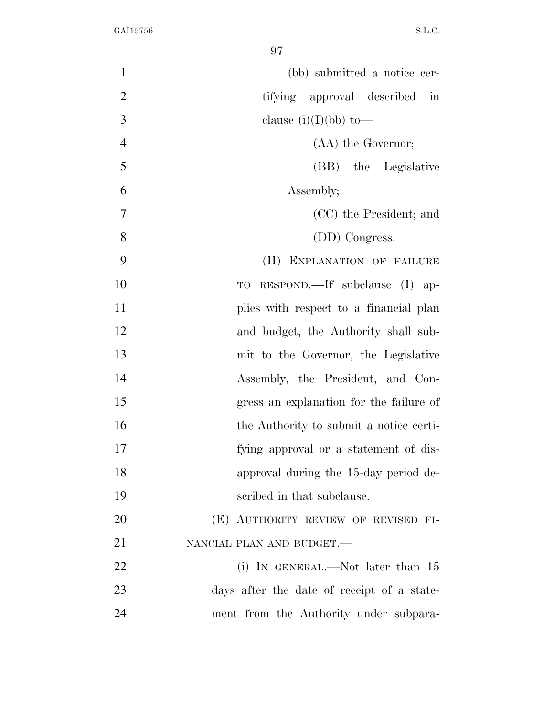| $\mathbf{1}$   | (bb) submitted a notice cer-                         |
|----------------|------------------------------------------------------|
| $\overline{2}$ | tifying approval described<br>$\overline{\text{in}}$ |
| 3              | clause $(i)(I)(bb)$ to —                             |
| $\overline{4}$ | (AA) the Governor;                                   |
| 5              | (BB) the Legislative                                 |
| 6              | Assembly;                                            |
| $\overline{7}$ | (CC) the President; and                              |
| 8              | (DD) Congress.                                       |
| 9              | (II) EXPLANATION OF FAILURE                          |
| 10             | TO RESPOND.—If subclause (I) ap-                     |
| 11             | plies with respect to a financial plan               |
| 12             | and budget, the Authority shall sub-                 |
| 13             | mit to the Governor, the Legislative                 |
| 14             | Assembly, the President, and Con-                    |
| 15             | gress an explanation for the failure of              |
| 16             | the Authority to submit a notice certi-              |
| 17             | fying approval or a statement of dis-                |
| 18             | approval during the 15-day period de-                |
| 19             | scribed in that subclause.                           |
| 20             | (E) AUTHORITY REVIEW OF REVISED FI-                  |
| 21             | NANCIAL PLAN AND BUDGET.                             |
| 22             | (i) IN GENERAL.—Not later than $15$                  |
| 23             | days after the date of receipt of a state-           |
| 24             | ment from the Authority under subpara-               |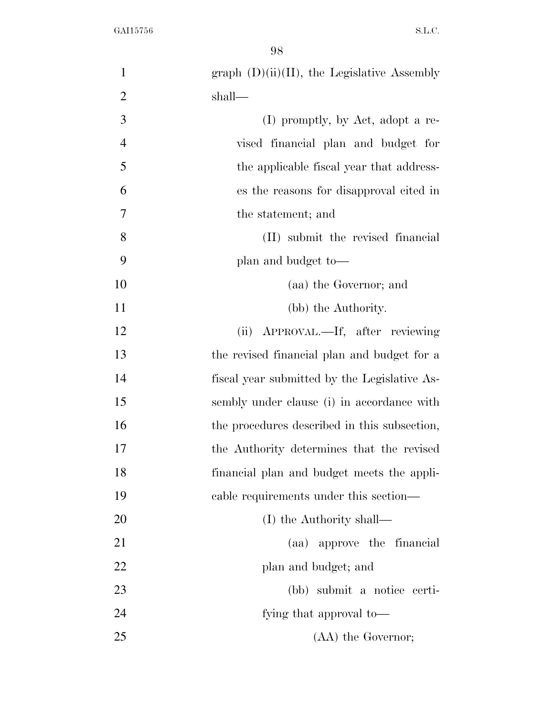| $\mathbf{1}$   | $graph (D)(ii)(II)$ , the Legislative Assembly |
|----------------|------------------------------------------------|
| $\overline{2}$ | shall—                                         |
| 3              | (I) promptly, by Act, adopt a re-              |
| $\overline{4}$ | vised financial plan and budget for            |
| 5              | the applicable fiscal year that address-       |
| 6              | es the reasons for disapproval cited in        |
| 7              | the statement; and                             |
| 8              | (II) submit the revised financial              |
| 9              | plan and budget to—                            |
| 10             | (aa) the Governor; and                         |
| 11             | (bb) the Authority.                            |
| 12             | (ii) APPROVAL.—If, after reviewing             |
| 13             | the revised financial plan and budget for a    |
| 14             | fiscal year submitted by the Legislative As-   |
| 15             | sembly under clause (i) in accordance with     |
| 16             | the procedures described in this subsection,   |
| 17             | the Authority determines that the revised      |
| 18             | financial plan and budget meets the appli-     |
| 19             | cable requirements under this section—         |
| 20             | (I) the Authority shall—                       |
| 21             | (aa) approve the financial                     |
| 22             | plan and budget; and                           |
| 23             | (bb) submit a notice certi-                    |
| 24             | fying that approval to-                        |
| 25             | (AA) the Governor;                             |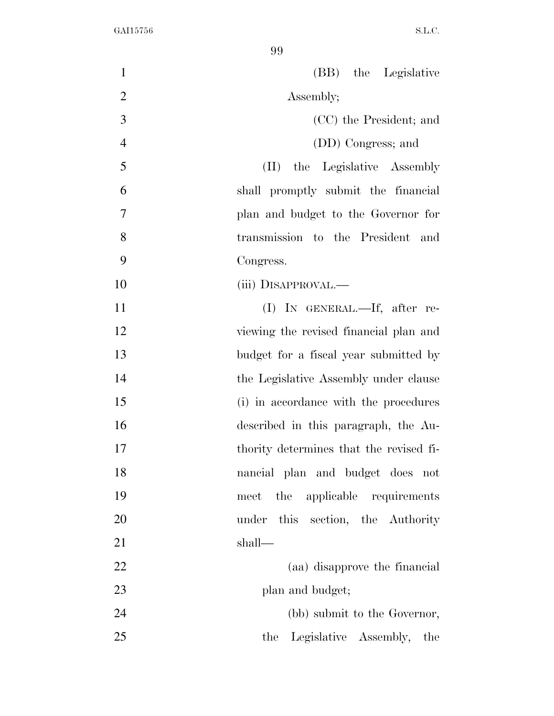(BB) the Legislative 2 Assembly; (CC) the President; and (DD) Congress; and (II) the Legislative Assembly shall promptly submit the financial plan and budget to the Governor for transmission to the President and Congress. 10 (iii) DISAPPROVAL.— (I) IN GENERAL.—If, after re- viewing the revised financial plan and budget for a fiscal year submitted by 14 the Legislative Assembly under clause (i) in accordance with the procedures described in this paragraph, the Au- thority determines that the revised fi- nancial plan and budget does not meet the applicable requirements 20 under this section, the Authority shall— (aa) disapprove the financial 23 plan and budget; (bb) submit to the Governor, 25 the Legislative Assembly, the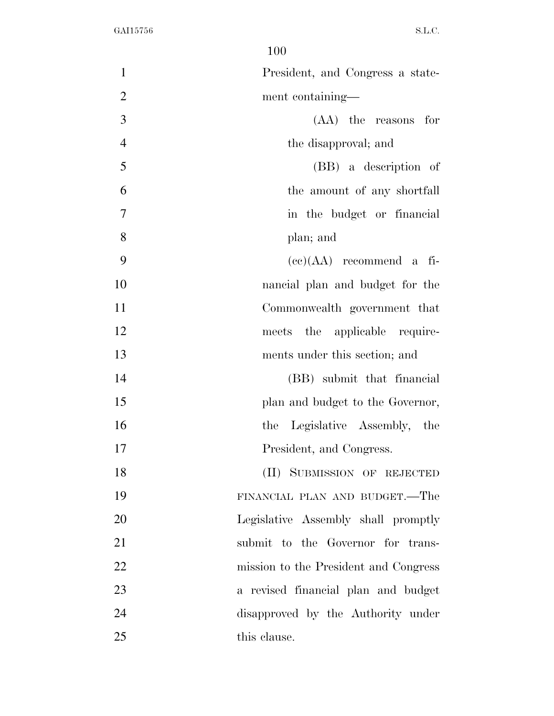| 1              | President, and Congress a state-      |
|----------------|---------------------------------------|
| $\overline{2}$ | ment containing—                      |
| 3              | $(AA)$ the reasons for                |
| $\overline{4}$ | the disapproval; and                  |
| 5              | (BB) a description of                 |
| 6              | the amount of any shortfall           |
| 7              | in the budget or financial            |
| 8              | plan; and                             |
| 9              | $(ce)(AA)$ recommend a fi-            |
| 10             | nancial plan and budget for the       |
| 11             | Commonwealth government that          |
| 12             | meets the applicable require-         |
| 13             | ments under this section; and         |
| 14             | (BB) submit that financial            |
| 15             | plan and budget to the Governor,      |
| 16             | the Legislative Assembly, the         |
| 17             | President, and Congress.              |
| 18             | (II) SUBMISSION OF REJECTED           |
| 19             | FINANCIAL PLAN AND BUDGET.—The        |
| 20             | Legislative Assembly shall promptly   |
| 21             | submit to the Governor for trans-     |
| 22             | mission to the President and Congress |
| 23             | a revised financial plan and budget   |
| 24             | disapproved by the Authority under    |
| 25             | this clause.                          |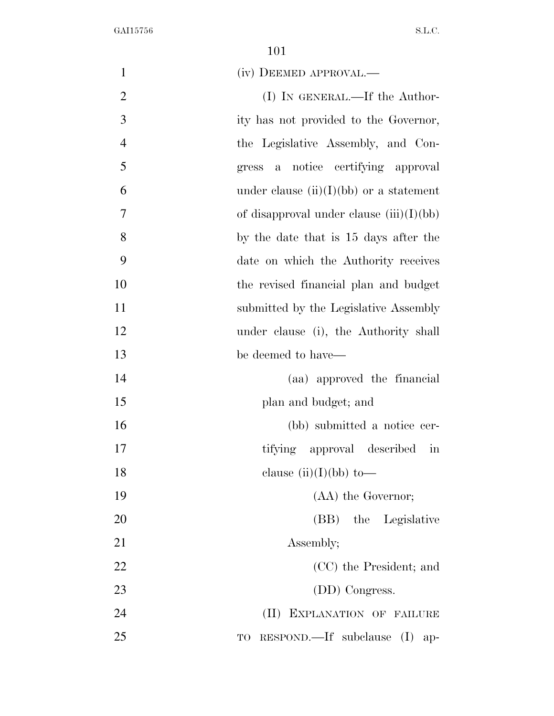| $\mathbf{1}$   | (iv) DEEMED APPROVAL.—                            |
|----------------|---------------------------------------------------|
| $\overline{2}$ | $(I)$ In GENERAL.—If the Author-                  |
| 3              | ity has not provided to the Governor,             |
| $\overline{4}$ | the Legislative Assembly, and Con-                |
| 5              | notice certifying approval<br>gress a             |
| 6              | under clause $(ii)(I)(bb)$ or a statement         |
| $\tau$         | of disapproval under clause $(iii)(I)(bb)$        |
| 8              | by the date that is 15 days after the             |
| 9              | date on which the Authority receives              |
| 10             | the revised financial plan and budget             |
| 11             | submitted by the Legislative Assembly             |
| 12             | under clause (i), the Authority shall             |
| 13             | be deemed to have—                                |
| 14             | (aa) approved the financial                       |
| 15             | plan and budget; and                              |
| 16             | (bb) submitted a notice cer-                      |
| 17             | tifying approval described in                     |
| 18             | clause $(ii)(I)(bb)$ to-                          |
| 19             | (AA) the Governor;                                |
| 20             | (BB) the Legislative                              |
| 21             | Assembly;                                         |
| 22             | (CC) the President; and                           |
| 23             | (DD) Congress.                                    |
| 24             | (II) EXPLANATION OF FAILURE                       |
| 25             | $RESPOND$ . If subclause (I)<br>$\rm TO$<br>$ap-$ |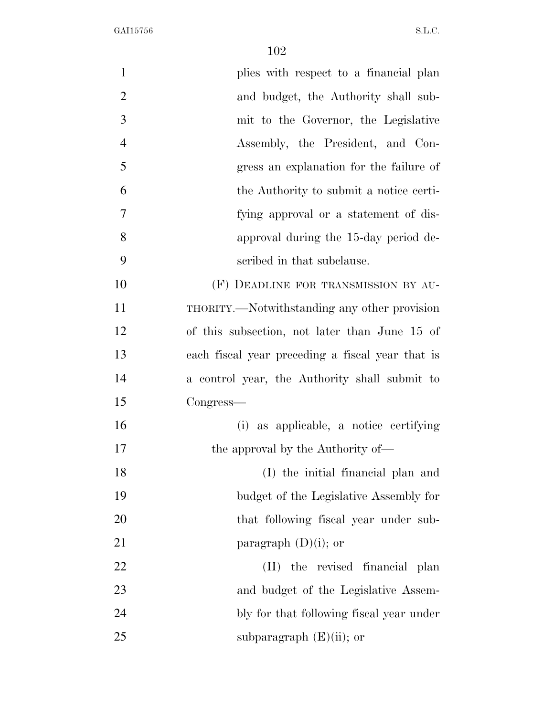| $\mathbf{1}$   | plies with respect to a financial plan           |
|----------------|--------------------------------------------------|
| $\overline{2}$ | and budget, the Authority shall sub-             |
| 3              | mit to the Governor, the Legislative             |
| $\overline{4}$ | Assembly, the President, and Con-                |
| 5              | gress an explanation for the failure of          |
| 6              | the Authority to submit a notice certi-          |
| $\overline{7}$ | fying approval or a statement of dis-            |
| 8              | approval during the 15-day period de-            |
| 9              | scribed in that subclause.                       |
| 10             | (F) DEADLINE FOR TRANSMISSION BY AU-             |
| 11             | THORITY.—Notwithstanding any other provision     |
| 12             | of this subsection, not later than June 15 of    |
| 13             | each fiscal year preceding a fiscal year that is |
| 14             | a control year, the Authority shall submit to    |
| 15             | Congress—                                        |
| 16             | (i) as applicable, a notice certifying           |
| 17             | the approval by the Authority of—                |
| 18             | (I) the initial financial plan and               |
| 19             | budget of the Legislative Assembly for           |
| 20             | that following fiscal year under sub-            |
| 21             | paragraph $(D)(i)$ ; or                          |
| 22             | the revised financial plan<br>(II)               |
| 23             | and budget of the Legislative Assem-             |
| 24             | bly for that following fiscal year under         |
| 25             | subparagraph $(E)(ii)$ ; or                      |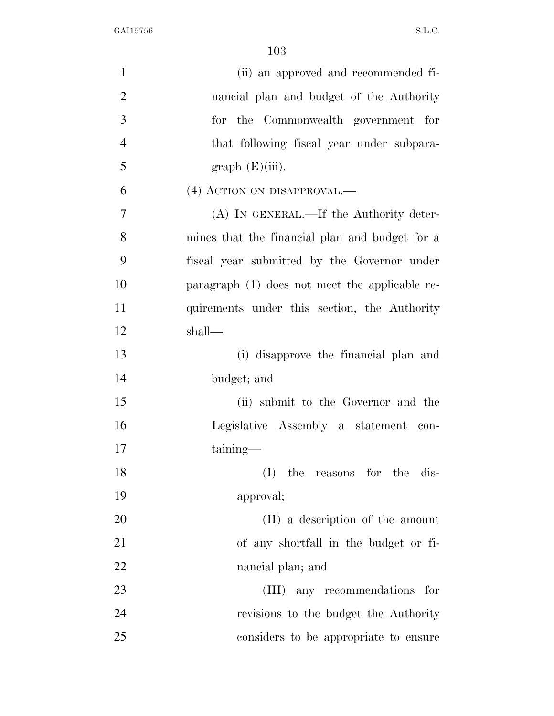| $\mathbf{1}$   | (ii) an approved and recommended fi-           |
|----------------|------------------------------------------------|
| $\overline{2}$ | nancial plan and budget of the Authority       |
| 3              | for the Commonwealth government for            |
| $\overline{4}$ | that following fiscal year under subpara-      |
| 5              | graph(E(iii)).                                 |
| 6              | (4) ACTION ON DISAPPROVAL.—                    |
| 7              | (A) IN GENERAL.—If the Authority deter-        |
| 8              | mines that the financial plan and budget for a |
| 9              | fiscal year submitted by the Governor under    |
| 10             | paragraph (1) does not meet the applicable re- |
| 11             | quirements under this section, the Authority   |
| 12             | shall—                                         |
| 13             | (i) disapprove the financial plan and          |
| 14             | budget; and                                    |
| 15             | (ii) submit to the Governor and the            |
| 16             | Legislative Assembly a statement con-          |
| 17             | taining—                                       |
| 18             | $(I)$ the reasons for the dis-                 |
| 19             | approval;                                      |
| 20             | (II) a description of the amount               |
| 21             | of any shortfall in the budget or fi-          |
| 22             | nancial plan; and                              |
| 23             | (III) any recommendations for                  |
| 24             | revisions to the budget the Authority          |
| 25             | considers to be appropriate to ensure          |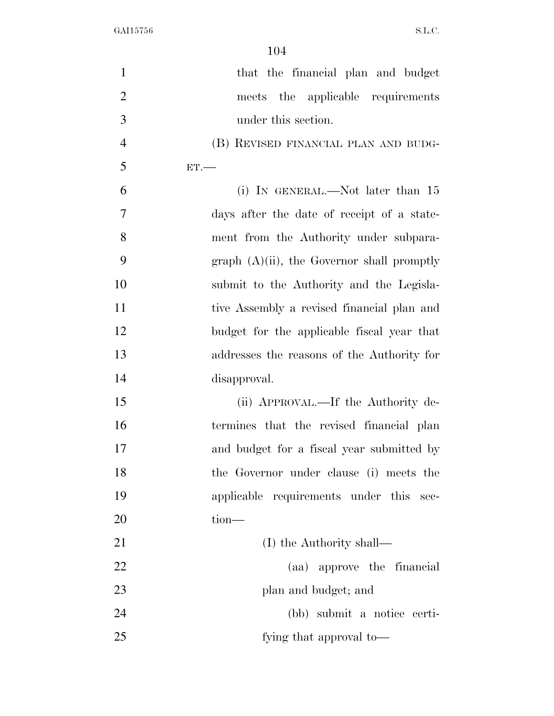| $\mathbf{1}$   | that the financial plan and budget            |
|----------------|-----------------------------------------------|
| $\overline{2}$ | meets the applicable requirements             |
| 3              | under this section.                           |
| $\overline{4}$ | (B) REVISED FINANCIAL PLAN AND BUDG-          |
| 5              | ET.                                           |
| 6              | (i) IN GENERAL.—Not later than $15$           |
| 7              | days after the date of receipt of a state-    |
| 8              | ment from the Authority under subpara-        |
| 9              | $graph (A)(ii)$ , the Governor shall promptly |
| 10             | submit to the Authority and the Legisla-      |
| 11             | tive Assembly a revised financial plan and    |
| 12             | budget for the applicable fiscal year that    |
| 13             | addresses the reasons of the Authority for    |
| 14             | disapproval.                                  |
| 15             | (ii) APPROVAL.—If the Authority de-           |
| 16             | termines that the revised financial plan      |
| 17             | and budget for a fiscal year submitted by     |
| 18             | the Governor under clause (i) meets the       |
| 19             | applicable requirements under this sec-       |
| 20             | $tion$ —                                      |
| 21             | (I) the Authority shall—                      |
| 22             | (aa) approve the financial                    |
| 23             | plan and budget; and                          |
| 24             | (bb) submit a notice certi-                   |
| 25             | fying that approval to—                       |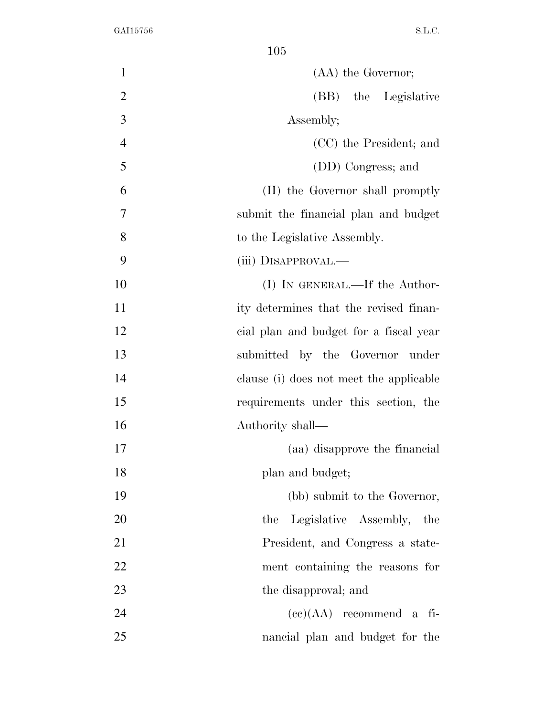| $\mathbf{1}$   | (AA) the Governor;                      |
|----------------|-----------------------------------------|
| $\overline{2}$ | (BB) the Legislative                    |
| 3              | Assembly;                               |
| $\overline{4}$ | (CC) the President; and                 |
| 5              | (DD) Congress; and                      |
| 6              | (II) the Governor shall promptly        |
| 7              | submit the financial plan and budget    |
| 8              | to the Legislative Assembly.            |
| 9              | (iii) DISAPPROVAL.—                     |
| 10             | (I) IN GENERAL.—If the Author-          |
| 11             | ity determines that the revised finan-  |
| 12             | cial plan and budget for a fiscal year  |
| 13             | submitted by the Governor under         |
| 14             | clause (i) does not meet the applicable |
| 15             | requirements under this section, the    |
| 16             | Authority shall—                        |
| 17             | (aa) disapprove the financial           |
| 18             | plan and budget;                        |
| 19             | (bb) submit to the Governor,            |
| 20             | Legislative Assembly, the<br>the        |
| 21             | President, and Congress a state-        |
| 22             | ment containing the reasons for         |
| 23             | the disapproval; and                    |
| 24             | $(ce)(AA)$ recommend a fi-              |
| 25             | nancial plan and budget for the         |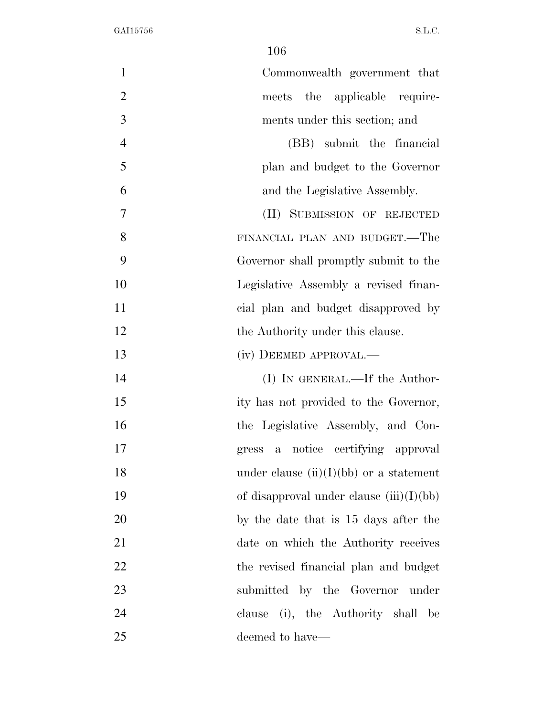| $\mathbf{1}$   | Commonwealth government that               |
|----------------|--------------------------------------------|
| $\overline{2}$ | meets the applicable require-              |
| 3              | ments under this section; and              |
| $\overline{4}$ | (BB) submit the financial                  |
| 5              | plan and budget to the Governor            |
| 6              | and the Legislative Assembly.              |
| 7              | (II) SUBMISSION OF REJECTED                |
| 8              | FINANCIAL PLAN AND BUDGET.—The             |
| 9              | Governor shall promptly submit to the      |
| 10             | Legislative Assembly a revised finan-      |
| 11             | cial plan and budget disapproved by        |
| 12             | the Authority under this clause.           |
| 13             | (iv) DEEMED APPROVAL.—                     |
| 14             | (I) IN GENERAL.—If the Author-             |
| 15             | ity has not provided to the Governor,      |
| 16             | the Legislative Assembly, and Con-         |
| 17             | a notice certifying approval<br>gress      |
| 18             | under clause $(ii)(I)(bb)$ or a statement  |
| 19             | of disapproval under clause $(iii)(I)(bb)$ |
| 20             | by the date that is 15 days after the      |
| 21             | date on which the Authority receives       |
| 22             | the revised financial plan and budget      |
| 23             | submitted by the Governor under            |
| 24             | clause (i), the Authority shall<br>– be    |
| 25             | deemed to have—                            |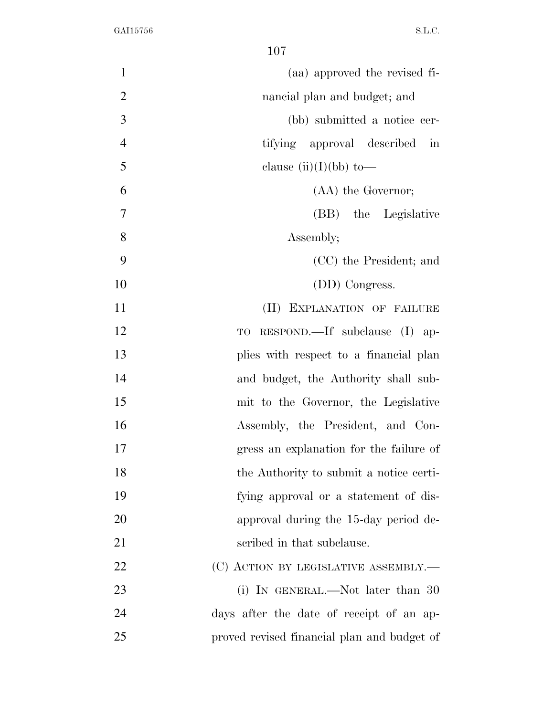| (aa) approved the revised fi-               | $\mathbf{1}$   |
|---------------------------------------------|----------------|
| nancial plan and budget; and                | $\overline{2}$ |
| (bb) submitted a notice cer-                | 3              |
| tifying approval described<br>in            | $\overline{4}$ |
| clause $(ii)(I)(bb)$ to-                    | 5              |
| (AA) the Governor;                          | 6              |
| (BB) the Legislative                        | 7              |
| Assembly;                                   | 8              |
| (CC) the President; and                     | 9              |
| (DD) Congress.                              | 10             |
| (II) EXPLANATION OF FAILURE                 | 11             |
| $RESPOND$ .—If subclause (I) ap-<br>TO      | 12             |
| plies with respect to a financial plan      | 13             |
| and budget, the Authority shall sub-        | 14             |
| mit to the Governor, the Legislative        | 15             |
| Assembly, the President, and Con-           | 16             |
| gress an explanation for the failure of     | 17             |
| the Authority to submit a notice certi-     | 18             |
| fying approval or a statement of dis-       | 19             |
| approval during the 15-day period de-       | 20             |
| scribed in that subclause.                  | 21             |
| (C) ACTION BY LEGISLATIVE ASSEMBLY.—        | 22             |
| (i) IN GENERAL.—Not later than $30$         | 23             |
| days after the date of receipt of an ap-    | 24             |
| proved revised financial plan and budget of | 25             |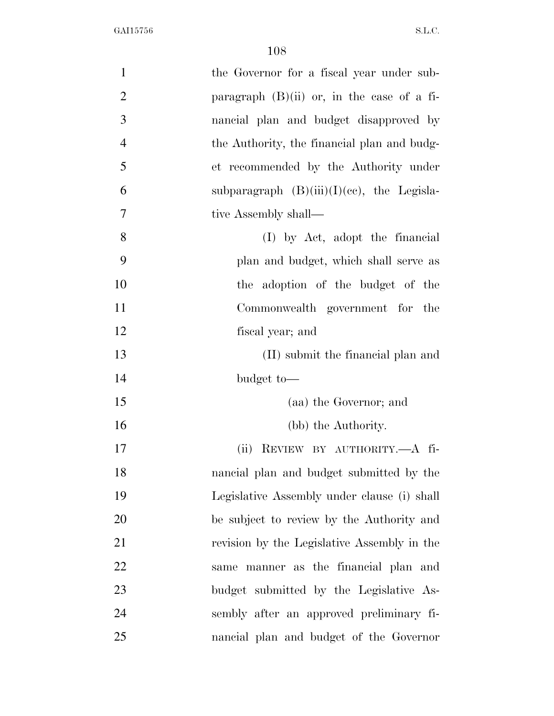| $\mathbf{1}$   | the Governor for a fiscal year under sub-     |
|----------------|-----------------------------------------------|
| $\mathbf{2}$   | paragraph $(B)(ii)$ or, in the case of a fi-  |
| $\mathfrak{Z}$ | nancial plan and budget disapproved by        |
| $\overline{4}$ | the Authority, the financial plan and budg-   |
| 5              | et recommended by the Authority under         |
| 6              | subparagraph $(B)(iii)(I)(ce)$ , the Legisla- |
| $\overline{7}$ | tive Assembly shall—                          |
| 8              | (I) by Act, adopt the financial               |
| 9              | plan and budget, which shall serve as         |
| 10             | the adoption of the budget of the             |
| 11             | Commonwealth government for the               |
| 12             | fiscal year; and                              |
| 13             | (II) submit the financial plan and            |
| 14             | budget to-                                    |
| 15             | (aa) the Governor; and                        |
| 16             | (bb) the Authority.                           |
| 17             | REVIEW BY AUTHORITY.- A fi-<br>(ii)           |
| 18             | nancial plan and budget submitted by the      |
| 19             | Legislative Assembly under clause (i) shall   |
| 20             | be subject to review by the Authority and     |
| 21             | revision by the Legislative Assembly in the   |
| 22             | same manner as the financial plan and         |
| 23             | budget submitted by the Legislative As-       |
| 24             | sembly after an approved preliminary fi-      |
| 25             | nancial plan and budget of the Governor       |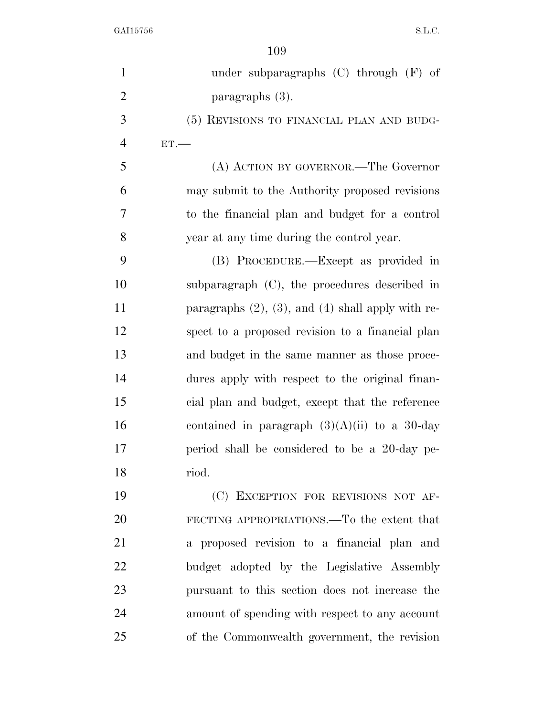| $\mathbf{1}$   | under subparagraphs $(C)$ through $(F)$ of                |
|----------------|-----------------------------------------------------------|
| $\overline{2}$ | paragraphs (3).                                           |
| 3              | (5) REVISIONS TO FINANCIAL PLAN AND BUDG-                 |
| $\overline{4}$ | ET.                                                       |
| 5              | (A) ACTION BY GOVERNOR.—The Governor                      |
| 6              | may submit to the Authority proposed revisions            |
| 7              | to the financial plan and budget for a control            |
| 8              | year at any time during the control year.                 |
| 9              | (B) PROCEDURE.—Except as provided in                      |
| 10             | subparagraph $(C)$ , the procedures described in          |
| 11             | paragraphs $(2)$ , $(3)$ , and $(4)$ shall apply with re- |
| 12             | spect to a proposed revision to a financial plan          |
| 13             | and budget in the same manner as those proce-             |
| 14             | dures apply with respect to the original finan-           |
| 15             | cial plan and budget, except that the reference           |
| 16             | contained in paragraph $(3)(A)(ii)$ to a 30-day           |
| 17             | period shall be considered to be a 20-day pe-             |
| 18             | riod.                                                     |
| 19             | (C) EXCEPTION FOR REVISIONS NOT AF-                       |
| 20             | FECTING APPROPRIATIONS.—To the extent that                |
| 21             | a proposed revision to a financial plan and               |
| 22             | budget adopted by the Legislative Assembly                |
| 23             | pursuant to this section does not increase the            |
| 24             | amount of spending with respect to any account            |
| 25             | of the Commonwealth government, the revision              |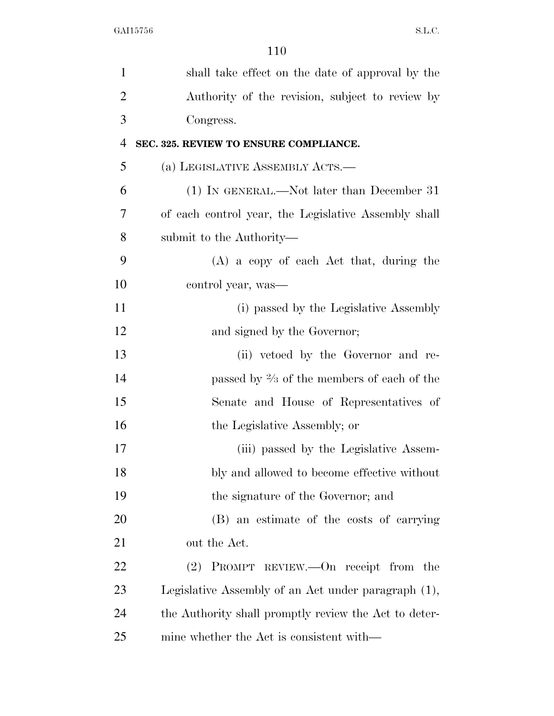| $\mathbf 1$    | shall take effect on the date of approval by the      |
|----------------|-------------------------------------------------------|
| $\overline{2}$ | Authority of the revision, subject to review by       |
| 3              | Congress.                                             |
| 4              | SEC. 325. REVIEW TO ENSURE COMPLIANCE.                |
| 5              | (a) LEGISLATIVE ASSEMBLY ACTS.—                       |
| 6              | (1) IN GENERAL.—Not later than December 31            |
| 7              | of each control year, the Legislative Assembly shall  |
| 8              | submit to the Authority—                              |
| 9              | $(A)$ a copy of each Act that, during the             |
| 10             | control year, was—                                    |
| 11             | (i) passed by the Legislative Assembly                |
| 12             | and signed by the Governor;                           |
| 13             | (ii) vetoed by the Governor and re-                   |
| 14             | passed by $\frac{2}{3}$ of the members of each of the |
| 15             | Senate and House of Representatives of                |
| 16             | the Legislative Assembly; or                          |
| 17             | (iii) passed by the Legislative Assem-                |
| 18             | bly and allowed to become effective without           |
| 19             | the signature of the Governor; and                    |
| 20             | (B) an estimate of the costs of carrying              |
| 21             | out the Act.                                          |
| 22             | $(2)$ PROMPT REVIEW.—On receipt from the              |
| 23             | Legislative Assembly of an Act under paragraph (1),   |
| 24             | the Authority shall promptly review the Act to deter- |
| 25             | mine whether the Act is consistent with—              |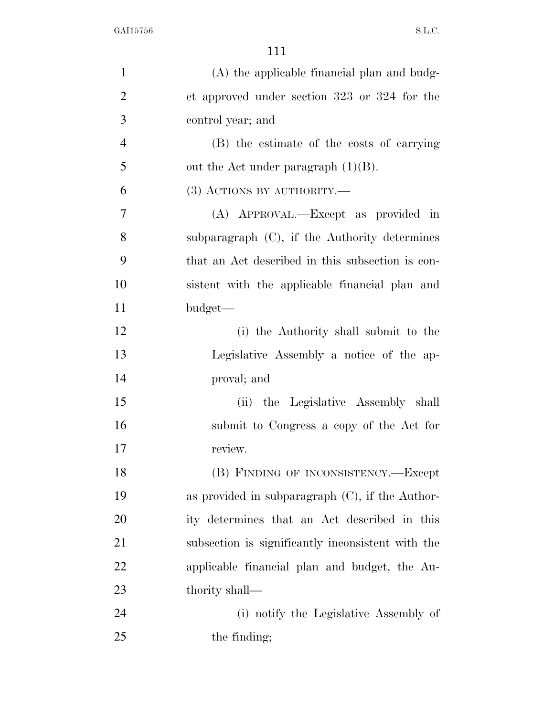| $\mathbf{1}$   | (A) the applicable financial plan and budg-        |
|----------------|----------------------------------------------------|
| $\overline{2}$ | et approved under section 323 or 324 for the       |
| 3              | control year; and                                  |
| $\overline{4}$ | (B) the estimate of the costs of carrying          |
| 5              | out the Act under paragraph $(1)(B)$ .             |
| 6              | $(3)$ ACTIONS BY AUTHORITY.—                       |
| $\overline{7}$ | (A) APPROVAL.—Except as provided in                |
| 8              | subparagraph $(C)$ , if the Authority determines   |
| 9              | that an Act described in this subsection is con-   |
| 10             | sistent with the applicable financial plan and     |
| 11             | budget—                                            |
| 12             | (i) the Authority shall submit to the              |
| 13             | Legislative Assembly a notice of the ap-           |
| 14             | proval; and                                        |
| 15             | (ii) the Legislative Assembly shall                |
| 16             | submit to Congress a copy of the Act for           |
| 17             | review.                                            |
| 18             | (B) FINDING OF INCONSISTENCY.-Except               |
| 19             | as provided in subparagraph $(C)$ , if the Author- |
| 20             | ity determines that an Act described in this       |
| 21             | subsection is significantly inconsistent with the  |
| 22             | applicable financial plan and budget, the Au-      |
| 23             | thority shall—                                     |
| 24             | (i) notify the Legislative Assembly of             |
| 25             | the finding;                                       |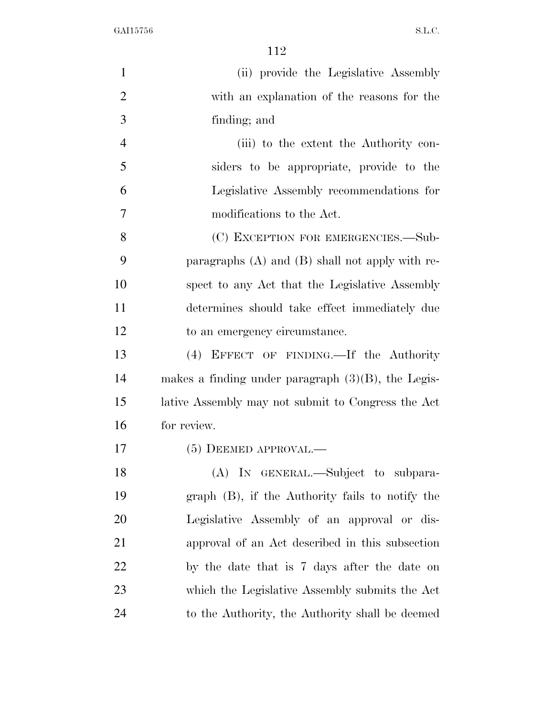| $\mathbf{1}$   | (ii) provide the Legislative Assembly                 |
|----------------|-------------------------------------------------------|
| $\overline{2}$ | with an explanation of the reasons for the            |
| 3              | finding; and                                          |
| $\overline{4}$ | (iii) to the extent the Authority con-                |
| 5              | siders to be appropriate, provide to the              |
| 6              | Legislative Assembly recommendations for              |
| $\overline{7}$ | modifications to the Act.                             |
| 8              | (C) EXCEPTION FOR EMERGENCIES.—Sub-                   |
| 9              | paragraphs $(A)$ and $(B)$ shall not apply with re-   |
| 10             | spect to any Act that the Legislative Assembly        |
| 11             | determines should take effect immediately due         |
| 12             | to an emergency circumstance.                         |
| 13             | (4) EFFECT OF FINDING.—If the Authority               |
| 14             | makes a finding under paragraph $(3)(B)$ , the Legis- |
| 15             | lative Assembly may not submit to Congress the Act    |
| 16             | for review.                                           |
| 17             | $(5)$ DEEMED APPROVAL.—                               |
| 18             | (A) IN GENERAL.—Subject to subpara-                   |
| 19             | $graph$ (B), if the Authority fails to notify the     |
| 20             | Legislative Assembly of an approval or dis-           |
| 21             | approval of an Act described in this subsection       |
| 22             | by the date that is 7 days after the date on          |
| 23             | which the Legislative Assembly submits the Act        |
| 24             | to the Authority, the Authority shall be deemed       |
|                |                                                       |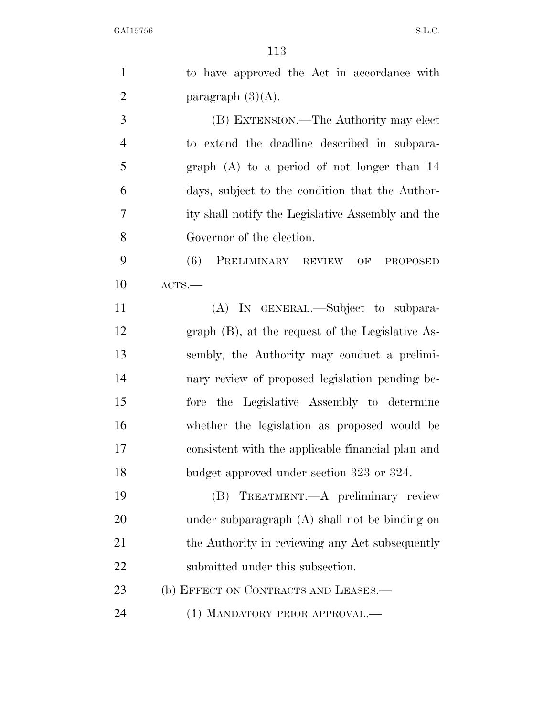| $\mathbf{1}$   | to have approved the Act in accordance with        |
|----------------|----------------------------------------------------|
| $\overline{2}$ | paragraph $(3)(A)$ .                               |
| 3              | (B) EXTENSION.—The Authority may elect             |
| $\overline{4}$ | to extend the deadline described in subpara-       |
| 5              | graph $(A)$ to a period of not longer than 14      |
| 6              | days, subject to the condition that the Author-    |
| 7              | ity shall notify the Legislative Assembly and the  |
| 8              | Governor of the election.                          |
| 9              | PRELIMINARY REVIEW OF<br>(6)<br><b>PROPOSED</b>    |
| 10             | ACTS.                                              |
| 11             | (A) IN GENERAL.—Subject to subpara-                |
| 12             | $graph$ (B), at the request of the Legislative As- |
| 13             | sembly, the Authority may conduct a prelimi-       |
| 14             | nary review of proposed legislation pending be-    |
| 15             | the Legislative Assembly to determine<br>fore      |
| 16             | whether the legislation as proposed would be       |
| 17             | consistent with the applicable financial plan and  |
| 18             | budget approved under section 323 or 324.          |
| 19             | (B) TREATMENT.—A preliminary review                |
| 20             | under subparagraph $(A)$ shall not be binding on   |
| 21             | the Authority in reviewing any Act subsequently    |
| 22             | submitted under this subsection.                   |
| 23             | (b) EFFECT ON CONTRACTS AND LEASES.-               |
| 24             | (1) MANDATORY PRIOR APPROVAL.—                     |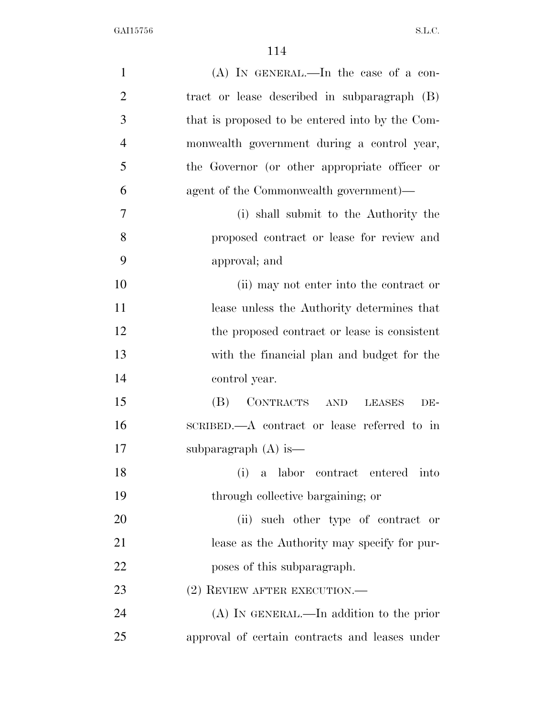| $\mathbf{1}$   | $(A)$ In GENERAL.—In the case of a con-         |
|----------------|-------------------------------------------------|
| $\overline{2}$ | tract or lease described in subparagraph (B)    |
| 3              | that is proposed to be entered into by the Com- |
| $\overline{4}$ | monwealth government during a control year,     |
| 5              | the Governor (or other appropriate officer or   |
| 6              | agent of the Commonwealth government)—          |
| $\tau$         | (i) shall submit to the Authority the           |
| 8              | proposed contract or lease for review and       |
| 9              | approval; and                                   |
| 10             | (ii) may not enter into the contract or         |
| 11             | lease unless the Authority determines that      |
| 12             | the proposed contract or lease is consistent    |
| 13             | with the financial plan and budget for the      |
| 14             | control year.                                   |
| 15             | (B)<br>CONTRACTS<br>AND<br><b>LEASES</b><br>DE- |
| 16             | SCRIBED.—A contract or lease referred to in     |
| 17             | subparagraph $(A)$ is —                         |
| 18             | a labor contract entered into<br>(i)            |
| 19             | through collective bargaining; or               |
| 20             | (ii) such other type of contract or             |
| 21             | lease as the Authority may specify for pur-     |
| 22             | poses of this subparagraph.                     |
| 23             | $(2)$ REVIEW AFTER EXECUTION.—                  |
| 24             | $(A)$ In GENERAL.—In addition to the prior      |
| 25             | approval of certain contracts and leases under  |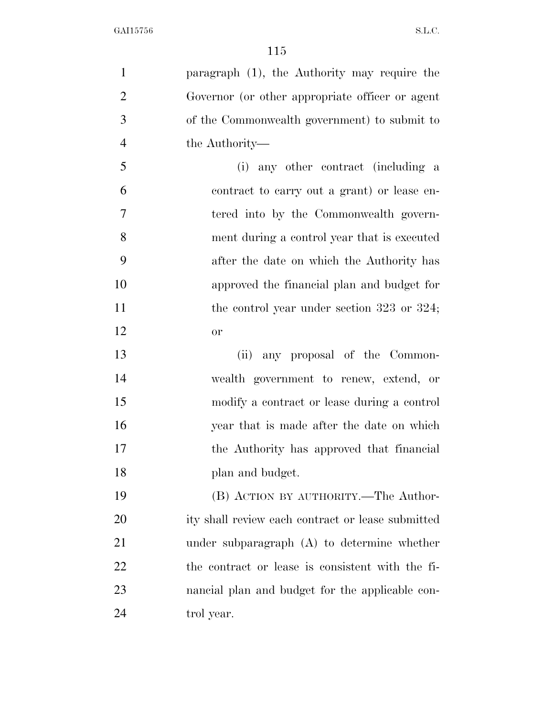| $\mathbf{1}$   | paragraph (1), the Authority may require the      |
|----------------|---------------------------------------------------|
| $\overline{2}$ | Governor (or other appropriate officer or agent   |
| 3              | of the Commonwealth government) to submit to      |
| $\overline{4}$ | the Authority—                                    |
| 5              | (i) any other contract (including a               |
| 6              | contract to carry out a grant) or lease en-       |
| 7              | tered into by the Commonwealth govern-            |
| 8              | ment during a control year that is executed       |
| 9              | after the date on which the Authority has         |
| 10             | approved the financial plan and budget for        |
| 11             | the control year under section $323$ or $324$ ;   |
| 12             | <b>or</b>                                         |
| 13             | (ii) any proposal of the Common-                  |
| 14             | wealth government to renew, extend, or            |
| 15             | modify a contract or lease during a control       |
| 16             | year that is made after the date on which         |
| 17             | the Authority has approved that financial         |
| 18             | plan and budget.                                  |
| 19             | (B) ACTION BY AUTHORITY.—The Author-              |
| 20             | ity shall review each contract or lease submitted |
| 21             | under subparagraph $(A)$ to determine whether     |
| 22             | the contract or lease is consistent with the fi-  |
|                |                                                   |
| 23             | nancial plan and budget for the applicable con-   |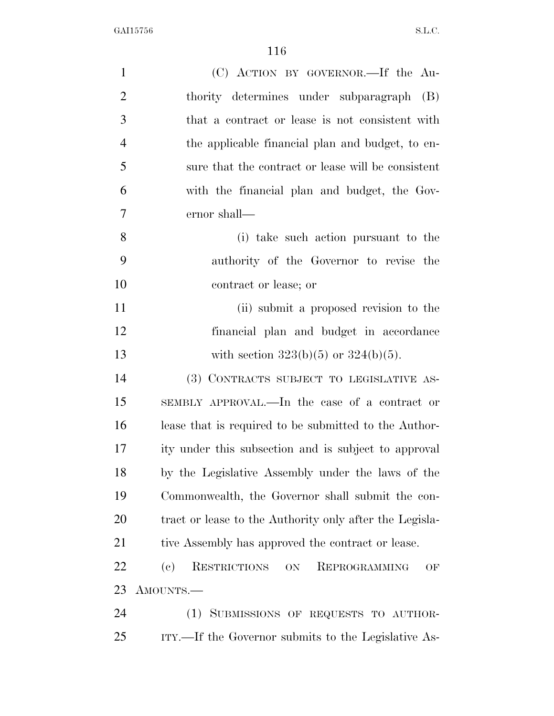| $\mathbf{1}$   | (C) ACTION BY GOVERNOR.—If the Au-                        |
|----------------|-----------------------------------------------------------|
| $\overline{2}$ | thority determines under subparagraph (B)                 |
| 3              | that a contract or lease is not consistent with           |
| $\overline{4}$ | the applicable financial plan and budget, to en-          |
| 5              | sure that the contract or lease will be consistent        |
| 6              | with the financial plan and budget, the Gov-              |
| 7              | ernor shall—                                              |
| 8              | (i) take such action pursuant to the                      |
| 9              | authority of the Governor to revise the                   |
| 10             | contract or lease; or                                     |
| 11             | (ii) submit a proposed revision to the                    |
| 12             | financial plan and budget in accordance                   |
| 13             | with section $323(b)(5)$ or $324(b)(5)$ .                 |
| 14             | (3) CONTRACTS SUBJECT TO LEGISLATIVE AS-                  |
| 15             | SEMBLY APPROVAL.—In the case of a contract or             |
| 16             | lease that is required to be submitted to the Author-     |
| 17             | ity under this subsection and is subject to approval      |
| 18             | by the Legislative Assembly under the laws of the         |
| 19             | Commonwealth, the Governor shall submit the con-          |
| 20             | tract or lease to the Authority only after the Legisla-   |
| 21             | tive Assembly has approved the contract or lease.         |
| 22             | RESTRICTIONS<br>(e)<br>REPROGRAMMING<br>$\mbox{ON}$<br>OF |
| 23             | AMOUNTS.—                                                 |
| 24             | (1) SUBMISSIONS OF REQUESTS TO AUTHOR-                    |
| 25             | ITY.—If the Governor submits to the Legislative As-       |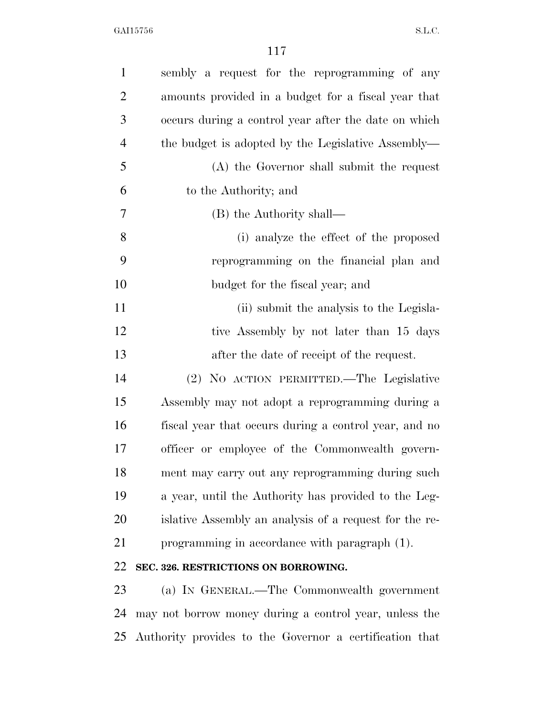| $\mathbf{1}$   | sembly a request for the reprogramming of any           |
|----------------|---------------------------------------------------------|
| $\overline{c}$ | amounts provided in a budget for a fiscal year that     |
| 3              | occurs during a control year after the date on which    |
| $\overline{4}$ | the budget is adopted by the Legislative Assembly—      |
| 5              | (A) the Governor shall submit the request               |
| 6              | to the Authority; and                                   |
| $\overline{7}$ | (B) the Authority shall—                                |
| 8              | (i) analyze the effect of the proposed                  |
| 9              | reprogramming on the financial plan and                 |
| 10             | budget for the fiscal year; and                         |
| 11             | (ii) submit the analysis to the Legisla-                |
| 12             | tive Assembly by not later than 15 days                 |
| 13             | after the date of receipt of the request.               |
| 14             | (2) NO ACTION PERMITTED.—The Legislative                |
| 15             | Assembly may not adopt a reprogramming during a         |
| 16             | fiscal year that occurs during a control year, and no   |
| 17             | officer or employee of the Commonwealth govern-         |
| 18             | ment may carry out any reprogramming during such        |
| 19             | a year, until the Authority has provided to the Leg-    |
| 20             | islative Assembly an analysis of a request for the re-  |
| 21             | programming in accordance with paragraph (1).           |
| 22             | SEC. 326. RESTRICTIONS ON BORROWING.                    |
| 23             | (a) IN GENERAL.—The Commonwealth government             |
| 24             | may not borrow money during a control year, unless the  |
| 25             | Authority provides to the Governor a certification that |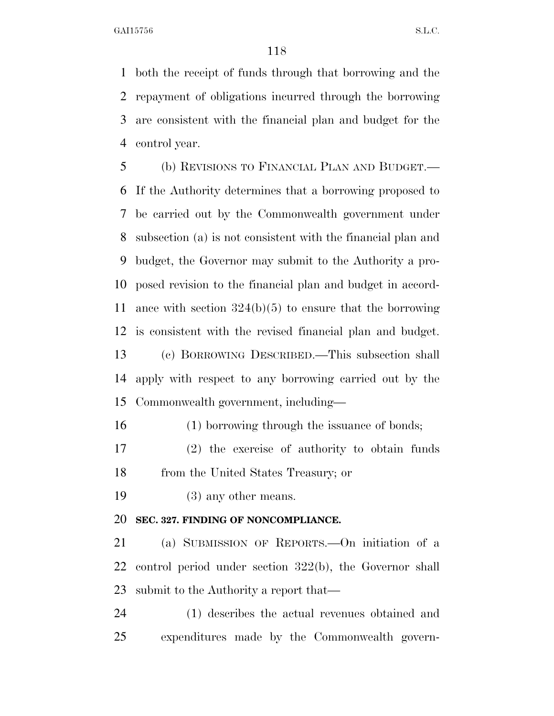both the receipt of funds through that borrowing and the repayment of obligations incurred through the borrowing are consistent with the financial plan and budget for the control year.

 (b) REVISIONS TO FINANCIAL PLAN AND BUDGET.— If the Authority determines that a borrowing proposed to be carried out by the Commonwealth government under subsection (a) is not consistent with the financial plan and budget, the Governor may submit to the Authority a pro- posed revision to the financial plan and budget in accord- ance with section 324(b)(5) to ensure that the borrowing is consistent with the revised financial plan and budget. (c) BORROWING DESCRIBED.—This subsection shall apply with respect to any borrowing carried out by the Commonwealth government, including—

(1) borrowing through the issuance of bonds;

 (2) the exercise of authority to obtain funds from the United States Treasury; or

19 (3) any other means.

#### **SEC. 327. FINDING OF NONCOMPLIANCE.**

 (a) SUBMISSION OF REPORTS.—On initiation of a control period under section 322(b), the Governor shall submit to the Authority a report that—

 (1) describes the actual revenues obtained and expenditures made by the Commonwealth govern-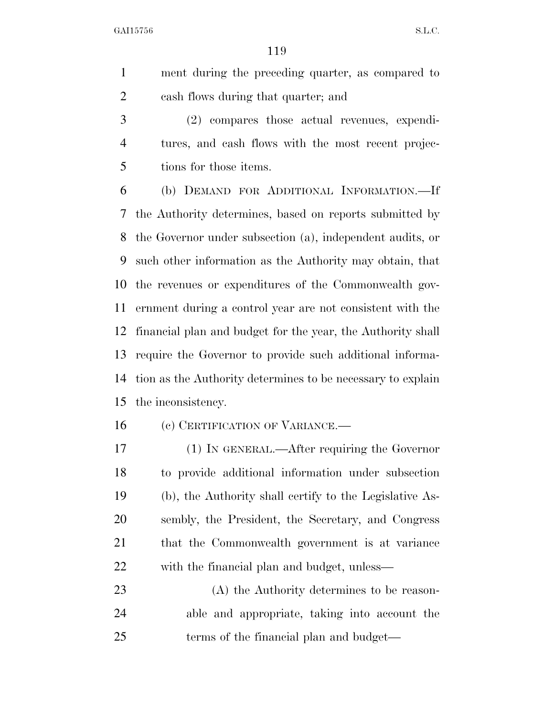ment during the preceding quarter, as compared to cash flows during that quarter; and

 (2) compares those actual revenues, expendi- tures, and cash flows with the most recent projec-tions for those items.

 (b) DEMAND FOR ADDITIONAL INFORMATION.—If the Authority determines, based on reports submitted by the Governor under subsection (a), independent audits, or such other information as the Authority may obtain, that the revenues or expenditures of the Commonwealth gov- ernment during a control year are not consistent with the financial plan and budget for the year, the Authority shall require the Governor to provide such additional informa- tion as the Authority determines to be necessary to explain the inconsistency.

16 (c) CERTIFICATION OF VARIANCE.—

 (1) IN GENERAL.—After requiring the Governor to provide additional information under subsection (b), the Authority shall certify to the Legislative As- sembly, the President, the Secretary, and Congress that the Commonwealth government is at variance with the financial plan and budget, unless—

 (A) the Authority determines to be reason- able and appropriate, taking into account the 25 terms of the financial plan and budget—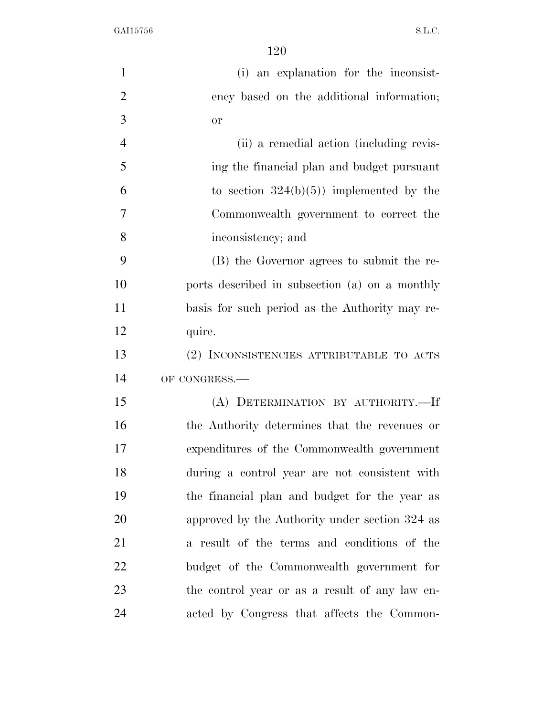| $\mathbf{1}$   | (i) an explanation for the inconsist-          |
|----------------|------------------------------------------------|
| $\overline{2}$ | ency based on the additional information;      |
| 3              | <b>or</b>                                      |
| $\overline{4}$ | (ii) a remedial action (including revis-       |
| 5              | ing the financial plan and budget pursuant     |
| 6              | to section $324(b)(5)$ implemented by the      |
| 7              | Commonwealth government to correct the         |
| 8              | inconsistency; and                             |
| 9              | (B) the Governor agrees to submit the re-      |
| 10             | ports described in subsection (a) on a monthly |
| 11             | basis for such period as the Authority may re- |
| 12             | quire.                                         |
| 13             | (2) INCONSISTENCIES ATTRIBUTABLE TO ACTS       |
| 14             | OF CONGRESS.-                                  |
| 15             | (A) DETERMINATION BY AUTHORITY.-If             |
| 16             | the Authority determines that the revenues or  |
| 17             | expenditures of the Commonwealth government    |
| 18             | during a control year are not consistent with  |
| 19             | the financial plan and budget for the year as  |
| 20             | approved by the Authority under section 324 as |
| 21             | a result of the terms and conditions of the    |
| 22             | budget of the Commonwealth government for      |
| 23             | the control year or as a result of any law en- |
| 24             | acted by Congress that affects the Common-     |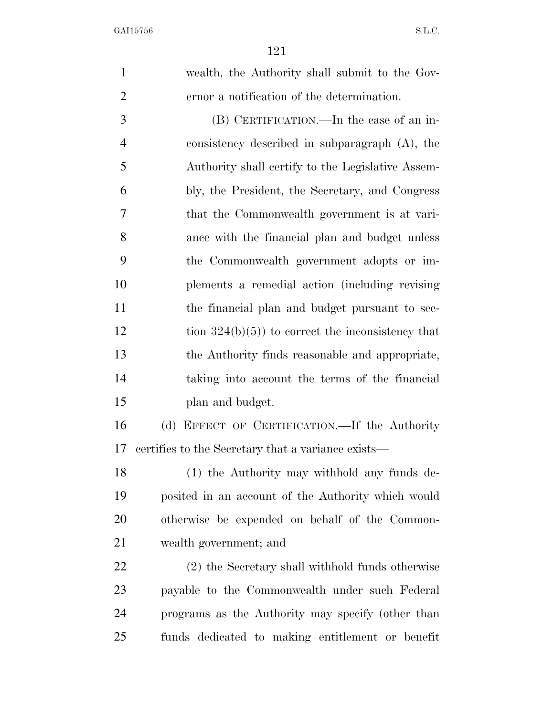wealth, the Authority shall submit to the Gov- ernor a notification of the determination. (B) CERTIFICATION.—In the case of an in- consistency described in subparagraph (A), the Authority shall certify to the Legislative Assem- bly, the President, the Secretary, and Congress that the Commonwealth government is at vari- ance with the financial plan and budget unless the Commonwealth government adopts or im- plements a remedial action (including revising the financial plan and budget pursuant to sec-12 tion  $324(b)(5)$  to correct the inconsistency that the Authority finds reasonable and appropriate, taking into account the terms of the financial plan and budget. (d) EFFECT OF CERTIFICATION.—If the Authority certifies to the Secretary that a variance exists— (1) the Authority may withhold any funds de- posited in an account of the Authority which would otherwise be expended on behalf of the Common- wealth government; and (2) the Secretary shall withhold funds otherwise payable to the Commonwealth under such Federal programs as the Authority may specify (other than funds dedicated to making entitlement or benefit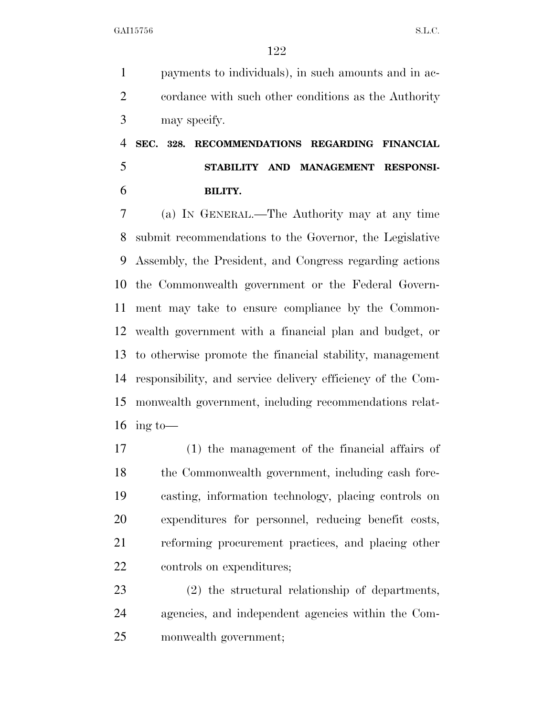payments to individuals), in such amounts and in ac- cordance with such other conditions as the Authority may specify.

## **SEC. 328. RECOMMENDATIONS REGARDING FINANCIAL STABILITY AND MANAGEMENT RESPONSI-BILITY.**

 (a) IN GENERAL.—The Authority may at any time submit recommendations to the Governor, the Legislative Assembly, the President, and Congress regarding actions the Commonwealth government or the Federal Govern- ment may take to ensure compliance by the Common- wealth government with a financial plan and budget, or to otherwise promote the financial stability, management responsibility, and service delivery efficiency of the Com- monwealth government, including recommendations relat-16 ing to-

 (1) the management of the financial affairs of the Commonwealth government, including cash fore- casting, information technology, placing controls on expenditures for personnel, reducing benefit costs, reforming procurement practices, and placing other controls on expenditures;

 (2) the structural relationship of departments, agencies, and independent agencies within the Com-monwealth government;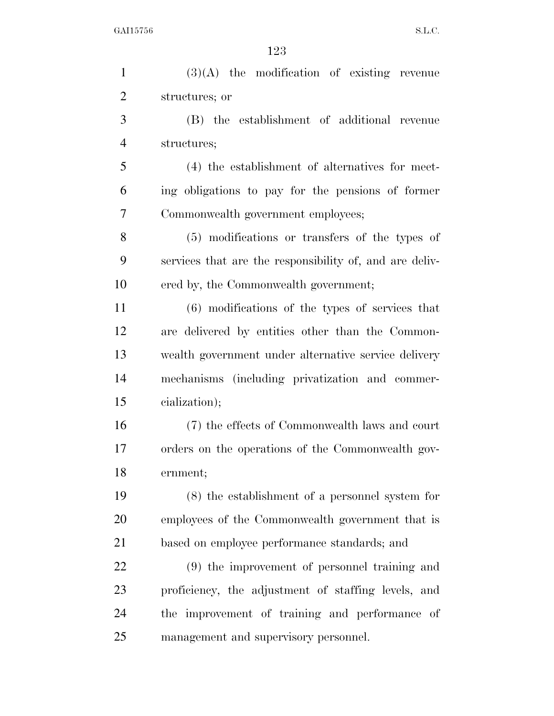(3)(A) the modification of existing revenue structures; or (B) the establishment of additional revenue structures; (4) the establishment of alternatives for meet- ing obligations to pay for the pensions of former Commonwealth government employees; (5) modifications or transfers of the types of services that are the responsibility of, and are deliv- ered by, the Commonwealth government; (6) modifications of the types of services that are delivered by entities other than the Common- wealth government under alternative service delivery mechanisms (including privatization and commer- cialization); (7) the effects of Commonwealth laws and court orders on the operations of the Commonwealth gov- ernment; (8) the establishment of a personnel system for employees of the Commonwealth government that is based on employee performance standards; and (9) the improvement of personnel training and proficiency, the adjustment of staffing levels, and the improvement of training and performance of management and supervisory personnel.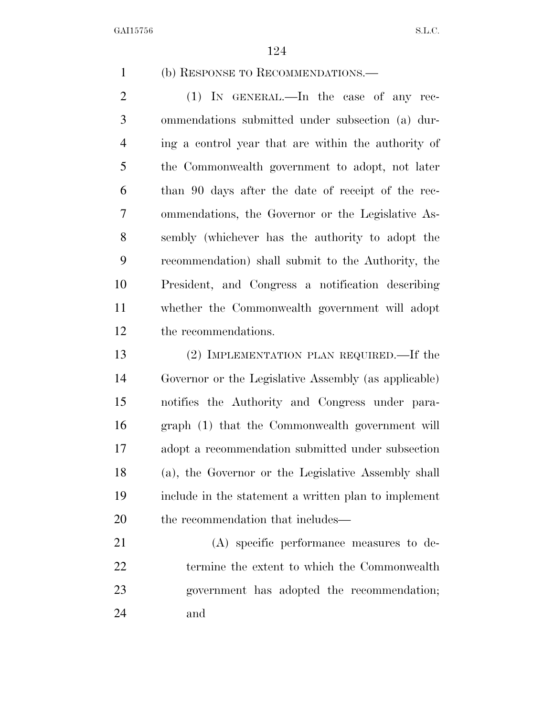(b) RESPONSE TO RECOMMENDATIONS.—

2 (1) IN GENERAL.—In the case of any rec- ommendations submitted under subsection (a) dur- ing a control year that are within the authority of the Commonwealth government to adopt, not later than 90 days after the date of receipt of the rec- ommendations, the Governor or the Legislative As- sembly (whichever has the authority to adopt the recommendation) shall submit to the Authority, the President, and Congress a notification describing whether the Commonwealth government will adopt the recommendations.

 (2) IMPLEMENTATION PLAN REQUIRED.—If the Governor or the Legislative Assembly (as applicable) notifies the Authority and Congress under para- graph (1) that the Commonwealth government will adopt a recommendation submitted under subsection (a), the Governor or the Legislative Assembly shall include in the statement a written plan to implement 20 the recommendation that includes—

 (A) specific performance measures to de- termine the extent to which the Commonwealth government has adopted the recommendation; and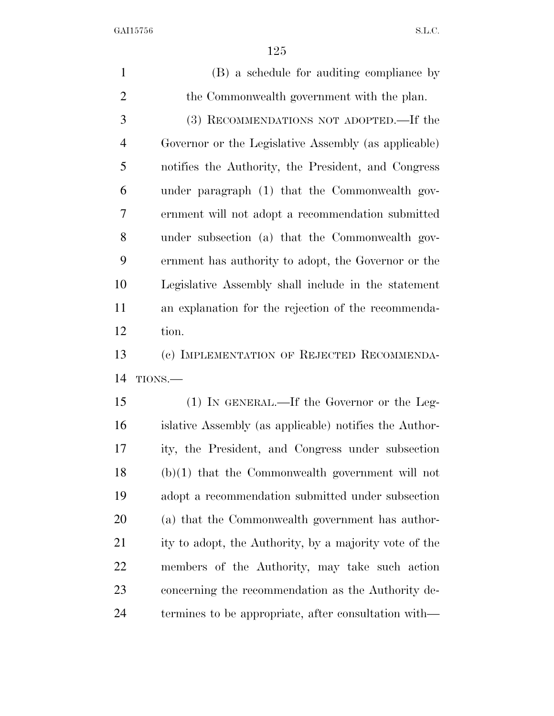(B) a schedule for auditing compliance by the Commonwealth government with the plan. (3) RECOMMENDATIONS NOT ADOPTED.—If the Governor or the Legislative Assembly (as applicable) notifies the Authority, the President, and Congress under paragraph (1) that the Commonwealth gov- ernment will not adopt a recommendation submitted under subsection (a) that the Commonwealth gov- ernment has authority to adopt, the Governor or the Legislative Assembly shall include in the statement an explanation for the rejection of the recommenda- tion. (c) IMPLEMENTATION OF REJECTED RECOMMENDA- TIONS.— (1) IN GENERAL.—If the Governor or the Leg- islative Assembly (as applicable) notifies the Author- ity, the President, and Congress under subsection (b)(1) that the Commonwealth government will not adopt a recommendation submitted under subsection (a) that the Commonwealth government has author- ity to adopt, the Authority, by a majority vote of the members of the Authority, may take such action concerning the recommendation as the Authority de-termines to be appropriate, after consultation with—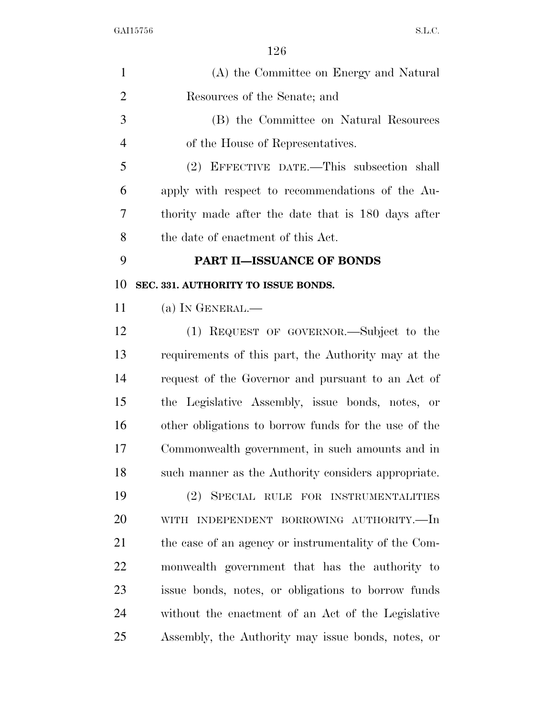| $\mathbf{1}$   | (A) the Committee on Energy and Natural              |
|----------------|------------------------------------------------------|
| $\overline{2}$ | Resources of the Senate; and                         |
| 3              | (B) the Committee on Natural Resources               |
| $\overline{4}$ | of the House of Representatives.                     |
| 5              | (2) EFFECTIVE DATE.—This subsection shall            |
| 6              | apply with respect to recommendations of the Au-     |
| 7              | thority made after the date that is 180 days after   |
| 8              | the date of enactment of this Act.                   |
| 9              | <b>PART II-ISSUANCE OF BONDS</b>                     |
| 10             | SEC. 331. AUTHORITY TO ISSUE BONDS.                  |
| 11             | (a) IN GENERAL.-                                     |
| 12             | (1) REQUEST OF GOVERNOR.—Subject to the              |
| 13             | requirements of this part, the Authority may at the  |
| 14             | request of the Governor and pursuant to an Act of    |
| 15             | the Legislative Assembly, issue bonds, notes, or     |
| 16             | other obligations to borrow funds for the use of the |
| 17             | Commonwealth government, in such amounts and in      |
| 18             | such manner as the Authority considers appropriate.  |
| 19             | (2) SPECIAL RULE FOR INSTRUMENTALITIES               |
| 20             | WITH INDEPENDENT BORROWING AUTHORITY.—In             |
| 21             | the case of an agency or instrumentality of the Com- |
| 22             | monwealth government that has the authority to       |
| 23             | issue bonds, notes, or obligations to borrow funds   |
| 24             | without the enactment of an Act of the Legislative   |
| 25             | Assembly, the Authority may issue bonds, notes, or   |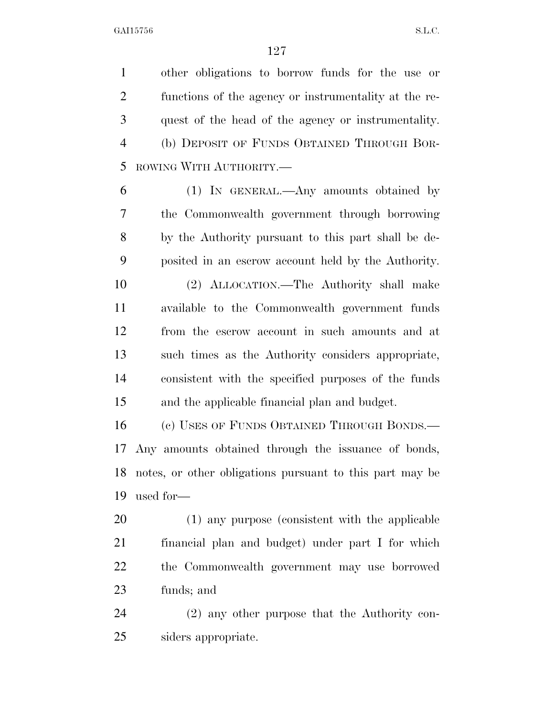other obligations to borrow funds for the use or functions of the agency or instrumentality at the re- quest of the head of the agency or instrumentality. (b) DEPOSIT OF FUNDS OBTAINED THROUGH BOR-ROWING WITH AUTHORITY.—

 (1) IN GENERAL.—Any amounts obtained by the Commonwealth government through borrowing by the Authority pursuant to this part shall be de-posited in an escrow account held by the Authority.

 (2) ALLOCATION.—The Authority shall make available to the Commonwealth government funds from the escrow account in such amounts and at such times as the Authority considers appropriate, consistent with the specified purposes of the funds and the applicable financial plan and budget.

 (c) USES OF FUNDS OBTAINED THROUGH BONDS.— Any amounts obtained through the issuance of bonds, notes, or other obligations pursuant to this part may be used for—

 (1) any purpose (consistent with the applicable financial plan and budget) under part I for which the Commonwealth government may use borrowed funds; and

 (2) any other purpose that the Authority con-siders appropriate.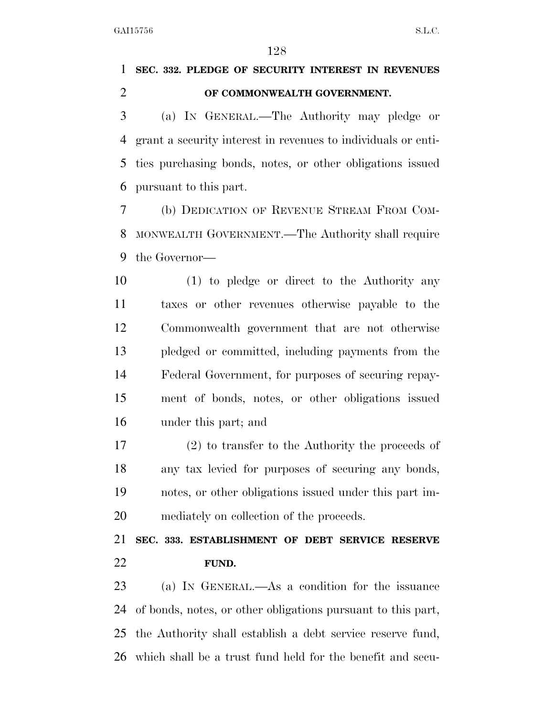## **SEC. 332. PLEDGE OF SECURITY INTEREST IN REVENUES OF COMMONWEALTH GOVERNMENT.**

 (a) IN GENERAL.—The Authority may pledge or grant a security interest in revenues to individuals or enti- ties purchasing bonds, notes, or other obligations issued pursuant to this part.

 (b) DEDICATION OF REVENUE STREAM FROM COM- MONWEALTH GOVERNMENT.—The Authority shall require the Governor—

 (1) to pledge or direct to the Authority any taxes or other revenues otherwise payable to the Commonwealth government that are not otherwise pledged or committed, including payments from the Federal Government, for purposes of securing repay- ment of bonds, notes, or other obligations issued under this part; and

 (2) to transfer to the Authority the proceeds of any tax levied for purposes of securing any bonds, notes, or other obligations issued under this part im-mediately on collection of the proceeds.

## **SEC. 333. ESTABLISHMENT OF DEBT SERVICE RESERVE FUND.**

 (a) IN GENERAL.—As a condition for the issuance of bonds, notes, or other obligations pursuant to this part, the Authority shall establish a debt service reserve fund, which shall be a trust fund held for the benefit and secu-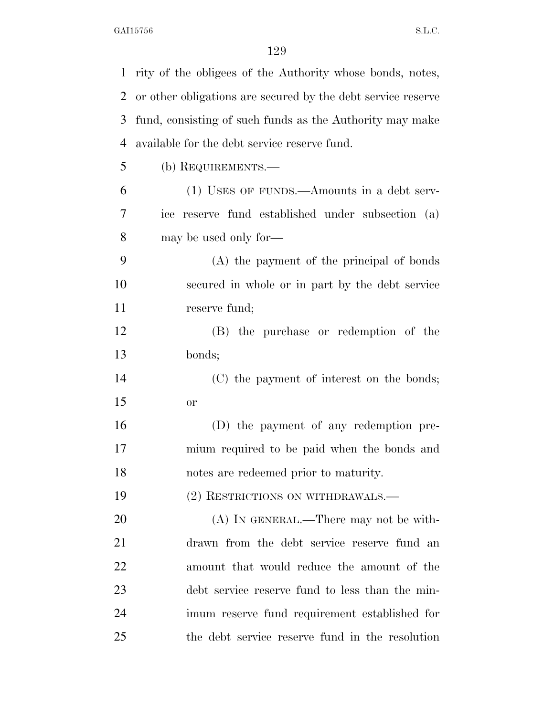| $\mathbf{1}$   | rity of the obligees of the Authority whose bonds, notes,    |
|----------------|--------------------------------------------------------------|
| $\overline{2}$ | or other obligations are secured by the debt service reserve |
| 3              | fund, consisting of such funds as the Authority may make     |
| $\overline{4}$ | available for the debt service reserve fund.                 |
| 5              | (b) REQUIREMENTS.—                                           |
| 6              | (1) USES OF FUNDS.—Amounts in a debt serv-                   |
| 7              | ice reserve fund established under subsection (a)            |
| 8              | may be used only for—                                        |
| 9              | (A) the payment of the principal of bonds                    |
| 10             | secured in whole or in part by the debt service              |
| 11             | reserve fund;                                                |
| 12             | (B) the purchase or redemption of the                        |
| 13             | bonds;                                                       |
| 14             | (C) the payment of interest on the bonds;                    |
| 15             | <b>or</b>                                                    |
| 16             | (D) the payment of any redemption pre-                       |
| 17             | mium required to be paid when the bonds and                  |
| 18             | notes are redeemed prior to maturity.                        |
| 19             | (2) RESTRICTIONS ON WITHDRAWALS.—                            |
| 20             | $(A)$ IN GENERAL.—There may not be with-                     |
| 21             | drawn from the debt service reserve fund an                  |
| 22             | amount that would reduce the amount of the                   |
| 23             | debt service reserve fund to less than the min-              |
| 24             | imum reserve fund requirement established for                |
| 25             | the debt service reserve fund in the resolution              |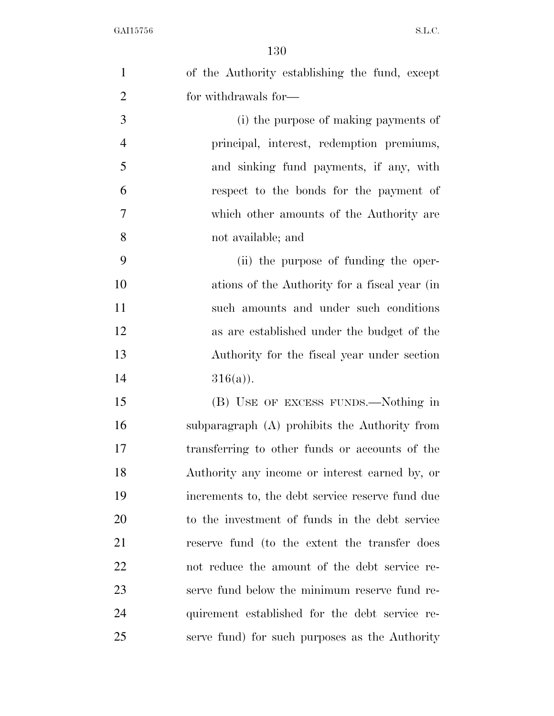| $\mathbf{1}$   | of the Authority establishing the fund, except   |
|----------------|--------------------------------------------------|
| $\overline{2}$ | for withdrawals for-                             |
| 3              | (i) the purpose of making payments of            |
| $\overline{4}$ | principal, interest, redemption premiums,        |
| 5              | and sinking fund payments, if any, with          |
| 6              | respect to the bonds for the payment of          |
| 7              | which other amounts of the Authority are         |
| 8              | not available; and                               |
| 9              | (ii) the purpose of funding the oper-            |
| 10             | ations of the Authority for a fiscal year (in    |
| 11             | such amounts and under such conditions           |
| 12             | as are established under the budget of the       |
| 13             | Authority for the fiscal year under section      |
| 14             | $316(a)$ ).                                      |
| 15             | (B) USE OF EXCESS FUNDS.—Nothing in              |
| 16             | subparagraph (A) prohibits the Authority from    |
| 17             | transferring to other funds or accounts of the   |
| 18             | Authority any income or interest earned by, or   |
| 19             | increments to, the debt service reserve fund due |
| 20             | to the investment of funds in the debt service   |
| 21             | reserve fund (to the extent the transfer does    |
| 22             | not reduce the amount of the debt service re-    |
| 23             | serve fund below the minimum reserve fund re-    |
| 24             | quirement established for the debt service re-   |
| 25             | serve fund) for such purposes as the Authority   |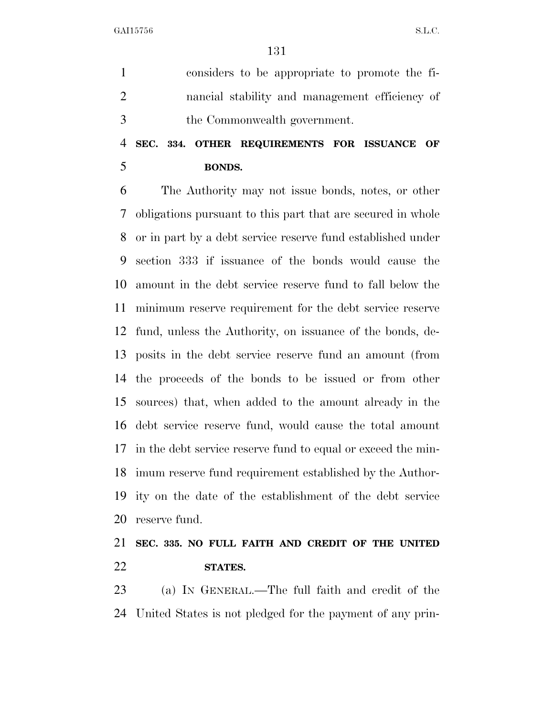considers to be appropriate to promote the fi- nancial stability and management efficiency of the Commonwealth government.

### **SEC. 334. OTHER REQUIREMENTS FOR ISSUANCE OF BONDS.**

 The Authority may not issue bonds, notes, or other obligations pursuant to this part that are secured in whole or in part by a debt service reserve fund established under section 333 if issuance of the bonds would cause the amount in the debt service reserve fund to fall below the minimum reserve requirement for the debt service reserve fund, unless the Authority, on issuance of the bonds, de- posits in the debt service reserve fund an amount (from the proceeds of the bonds to be issued or from other sources) that, when added to the amount already in the debt service reserve fund, would cause the total amount in the debt service reserve fund to equal or exceed the min- imum reserve fund requirement established by the Author- ity on the date of the establishment of the debt service reserve fund.

 **SEC. 335. NO FULL FAITH AND CREDIT OF THE UNITED STATES.** 

 (a) IN GENERAL.—The full faith and credit of the United States is not pledged for the payment of any prin-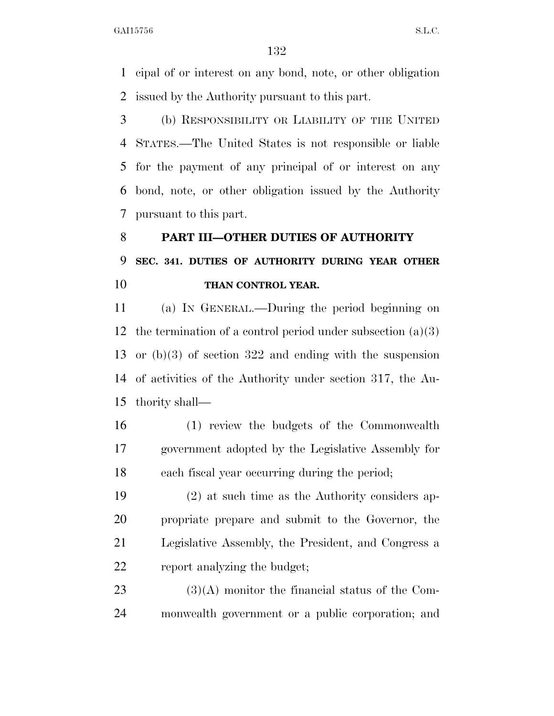cipal of or interest on any bond, note, or other obligation issued by the Authority pursuant to this part.

 (b) RESPONSIBILITY OR LIABILITY OF THE UNITED STATES.—The United States is not responsible or liable for the payment of any principal of or interest on any bond, note, or other obligation issued by the Authority pursuant to this part.

# **PART III—OTHER DUTIES OF AUTHORITY SEC. 341. DUTIES OF AUTHORITY DURING YEAR OTHER THAN CONTROL YEAR.**

 (a) IN GENERAL.—During the period beginning on 12 the termination of a control period under subsection  $(a)(3)$  or (b)(3) of section 322 and ending with the suspension of activities of the Authority under section 317, the Au-thority shall—

 (1) review the budgets of the Commonwealth government adopted by the Legislative Assembly for each fiscal year occurring during the period;

 (2) at such time as the Authority considers ap- propriate prepare and submit to the Governor, the Legislative Assembly, the President, and Congress a report analyzing the budget;

23  $(3)(A)$  monitor the financial status of the Com-monwealth government or a public corporation; and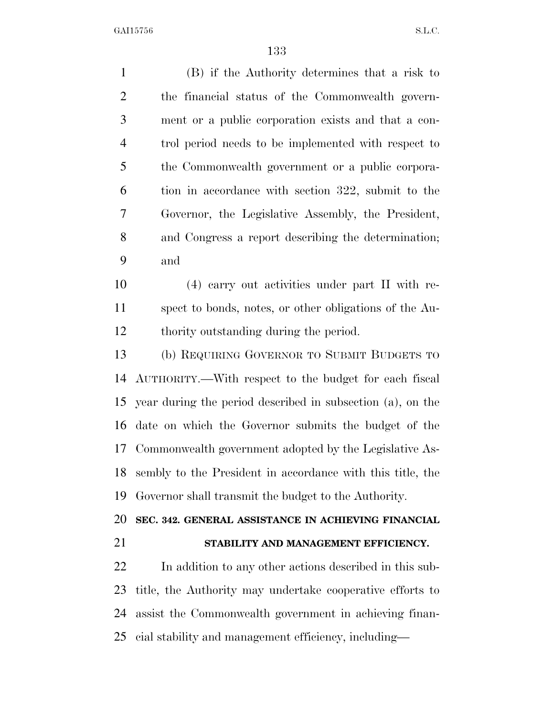(B) if the Authority determines that a risk to the financial status of the Commonwealth govern- ment or a public corporation exists and that a con- trol period needs to be implemented with respect to the Commonwealth government or a public corpora- tion in accordance with section 322, submit to the Governor, the Legislative Assembly, the President, and Congress a report describing the determination; and (4) carry out activities under part II with re- spect to bonds, notes, or other obligations of the Au- thority outstanding during the period. (b) REQUIRING GOVERNOR TO SUBMIT BUDGETS TO AUTHORITY.—With respect to the budget for each fiscal year during the period described in subsection (a), on the date on which the Governor submits the budget of the Commonwealth government adopted by the Legislative As- sembly to the President in accordance with this title, the Governor shall transmit the budget to the Authority. **SEC. 342. GENERAL ASSISTANCE IN ACHIEVING FINANCIAL STABILITY AND MANAGEMENT EFFICIENCY.**  In addition to any other actions described in this sub- title, the Authority may undertake cooperative efforts to assist the Commonwealth government in achieving finan-

cial stability and management efficiency, including—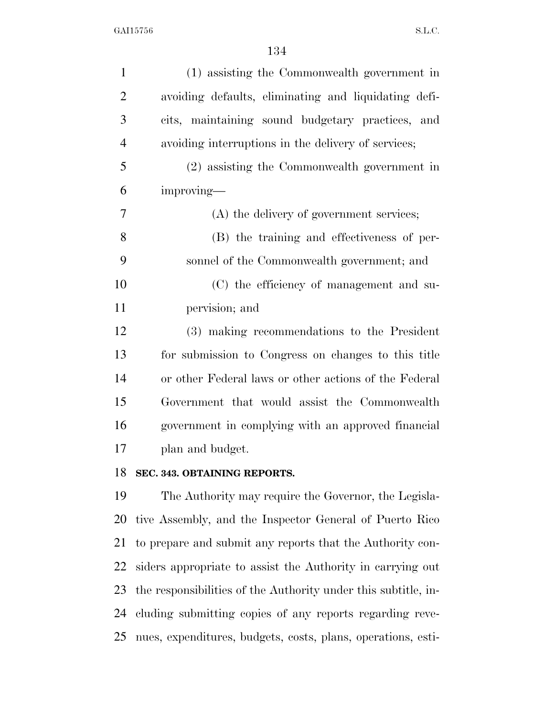| $\mathbf{1}$   | (1) assisting the Commonwealth government in          |
|----------------|-------------------------------------------------------|
| $\overline{2}$ | avoiding defaults, eliminating and liquidating defi-  |
| 3              | cits, maintaining sound budgetary practices, and      |
| $\overline{4}$ | avoiding interruptions in the delivery of services;   |
| 5              | (2) assisting the Commonwealth government in          |
| 6              | improving-                                            |
| $\overline{7}$ | (A) the delivery of government services;              |
| 8              | (B) the training and effectiveness of per-            |
| 9              | sonnel of the Commonwealth government; and            |
| 10             | (C) the efficiency of management and su-              |
| 11             | pervision; and                                        |
| 12             | (3) making recommendations to the President           |
| 13             | for submission to Congress on changes to this title   |
| 14             | or other Federal laws or other actions of the Federal |
| 15             | Government that would assist the Commonwealth         |
| 16             | government in complying with an approved financial    |
| 17             | plan and budget.                                      |
| 18             | SEC. 343. OBTAINING REPORTS.                          |
| 19             | The Authority may require the Governor, the Legisla-  |

 tive Assembly, and the Inspector General of Puerto Rico to prepare and submit any reports that the Authority con- siders appropriate to assist the Authority in carrying out the responsibilities of the Authority under this subtitle, in- cluding submitting copies of any reports regarding reve-nues, expenditures, budgets, costs, plans, operations, esti-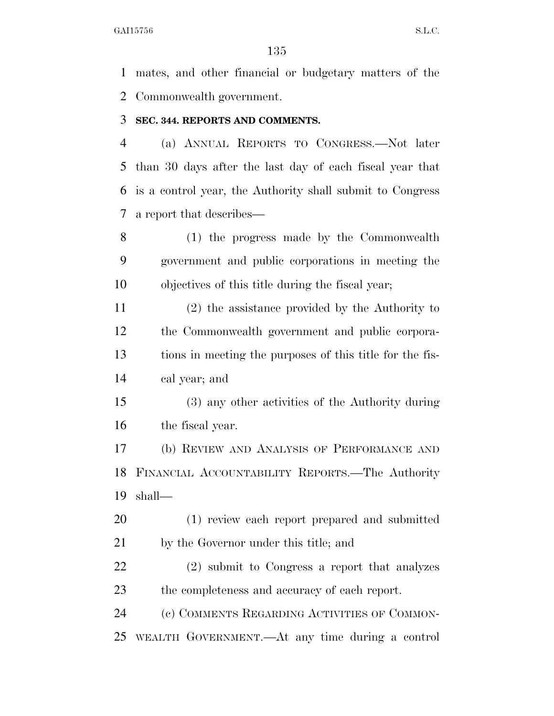mates, and other financial or budgetary matters of the Commonwealth government.

#### **SEC. 344. REPORTS AND COMMENTS.**

 (a) ANNUAL REPORTS TO CONGRESS.—Not later than 30 days after the last day of each fiscal year that is a control year, the Authority shall submit to Congress a report that describes—

 (1) the progress made by the Commonwealth government and public corporations in meeting the objectives of this title during the fiscal year;

 (2) the assistance provided by the Authority to the Commonwealth government and public corpora- tions in meeting the purposes of this title for the fis-cal year; and

 (3) any other activities of the Authority during the fiscal year.

 (b) REVIEW AND ANALYSIS OF PERFORMANCE AND FINANCIAL ACCOUNTABILITY REPORTS.—The Authority shall—

 (1) review each report prepared and submitted by the Governor under this title; and

 (2) submit to Congress a report that analyzes the completeness and accuracy of each report.

 (c) COMMENTS REGARDING ACTIVITIES OF COMMON-WEALTH GOVERNMENT.—At any time during a control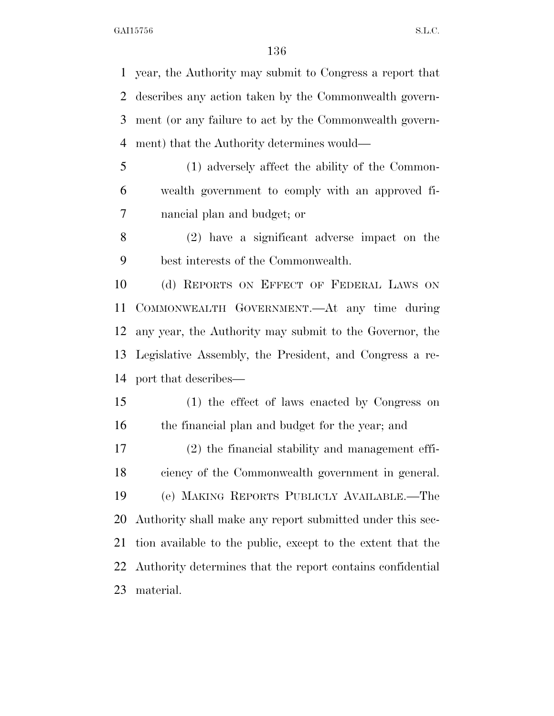year, the Authority may submit to Congress a report that describes any action taken by the Commonwealth govern- ment (or any failure to act by the Commonwealth govern-ment) that the Authority determines would—

- (1) adversely affect the ability of the Common- wealth government to comply with an approved fi-nancial plan and budget; or
- (2) have a significant adverse impact on the best interests of the Commonwealth.

 (d) REPORTS ON EFFECT OF FEDERAL LAWS ON COMMONWEALTH GOVERNMENT.—At any time during any year, the Authority may submit to the Governor, the Legislative Assembly, the President, and Congress a re-port that describes—

 (1) the effect of laws enacted by Congress on the financial plan and budget for the year; and (2) the financial stability and management effi-

 ciency of the Commonwealth government in general. (e) MAKING REPORTS PUBLICLY AVAILABLE.—The Authority shall make any report submitted under this sec- tion available to the public, except to the extent that the Authority determines that the report contains confidential material.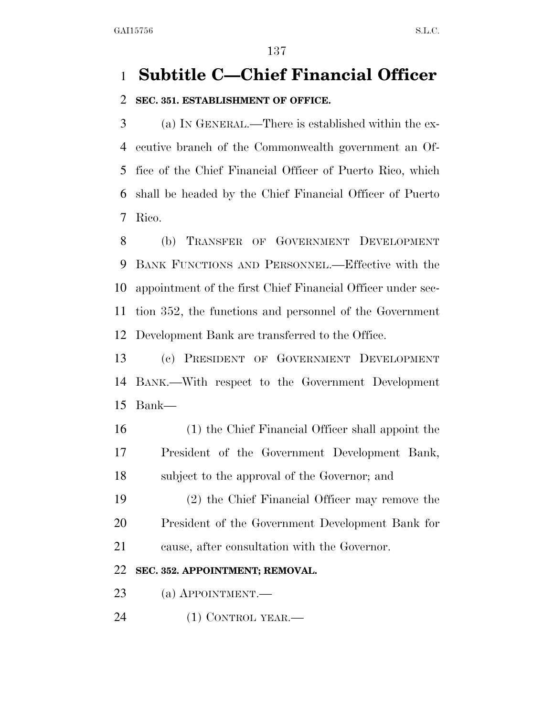## **Subtitle C—Chief Financial Officer**

### **SEC. 351. ESTABLISHMENT OF OFFICE.**

 (a) IN GENERAL.—There is established within the ex- ecutive branch of the Commonwealth government an Of- fice of the Chief Financial Officer of Puerto Rico, which shall be headed by the Chief Financial Officer of Puerto Rico.

 (b) TRANSFER OF GOVERNMENT DEVELOPMENT BANK FUNCTIONS AND PERSONNEL.—Effective with the appointment of the first Chief Financial Officer under sec- tion 352, the functions and personnel of the Government Development Bank are transferred to the Office.

 (c) PRESIDENT OF GOVERNMENT DEVELOPMENT BANK.—With respect to the Government Development Bank—

 (1) the Chief Financial Officer shall appoint the President of the Government Development Bank, subject to the approval of the Governor; and

 (2) the Chief Financial Officer may remove the President of the Government Development Bank for cause, after consultation with the Governor.

### **SEC. 352. APPOINTMENT; REMOVAL.**

(a) APPOINTMENT.—

24 (1) CONTROL YEAR.—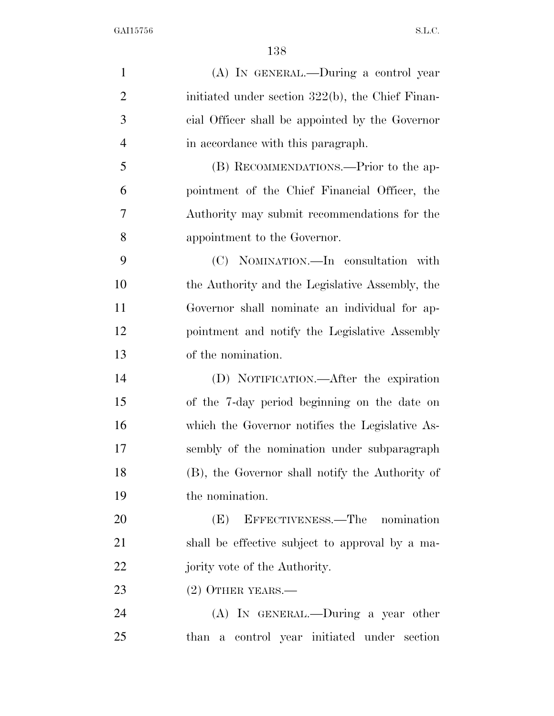(A) IN GENERAL.—During a control year 2 initiated under section 322(b), the Chief Finan- cial Officer shall be appointed by the Governor in accordance with this paragraph. (B) RECOMMENDATIONS.—Prior to the ap- pointment of the Chief Financial Officer, the Authority may submit recommendations for the appointment to the Governor. (C) NOMINATION.—In consultation with the Authority and the Legislative Assembly, the Governor shall nominate an individual for ap- pointment and notify the Legislative Assembly of the nomination. (D) NOTIFICATION.—After the expiration of the 7-day period beginning on the date on which the Governor notifies the Legislative As- sembly of the nomination under subparagraph (B), the Governor shall notify the Authority of the nomination. (E) EFFECTIVENESS.—The nomination shall be effective subject to approval by a ma-22 jority vote of the Authority. 23 (2) OTHER YEARS.— (A) IN GENERAL.—During a year other than a control year initiated under section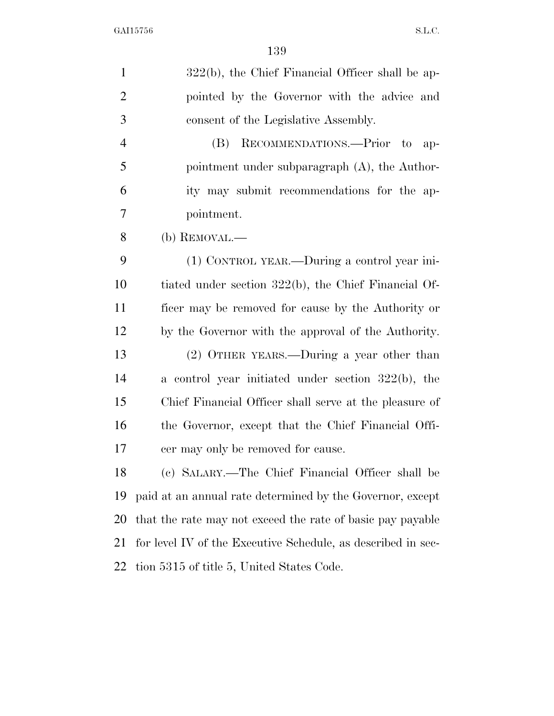| $\mathbf{1}$   | $322(b)$ , the Chief Financial Officer shall be ap-          |
|----------------|--------------------------------------------------------------|
| $\overline{2}$ | pointed by the Governor with the advice and                  |
| 3              | consent of the Legislative Assembly.                         |
| $\overline{4}$ | RECOMMENDATIONS.-Prior to<br>(B)<br>$ap-$                    |
| 5              | pointment under subparagraph $(A)$ , the Author-             |
| 6              | ity may submit recommendations for the ap-                   |
| 7              | pointment.                                                   |
| 8              | (b) REMOVAL.—                                                |
| 9              | (1) CONTROL YEAR.—During a control year ini-                 |
| 10             | tiated under section 322(b), the Chief Financial Of-         |
| 11             | ficer may be removed for cause by the Authority or           |
| 12             | by the Governor with the approval of the Authority.          |
| 13             | $(2)$ OTHER YEARS.—During a year other than                  |
| 14             | a control year initiated under section $322(b)$ , the        |
| 15             | Chief Financial Officer shall serve at the pleasure of       |
| 16             | the Governor, except that the Chief Financial Offi-          |
| 17             | cer may only be removed for cause.                           |
| 18             | (c) SALARY.—The Chief Financial Officer shall be             |
| 19             | paid at an annual rate determined by the Governor, except    |
| 20             | that the rate may not exceed the rate of basic pay payable   |
| 21             | for level IV of the Executive Schedule, as described in sec- |
| 22             | tion 5315 of title 5, United States Code.                    |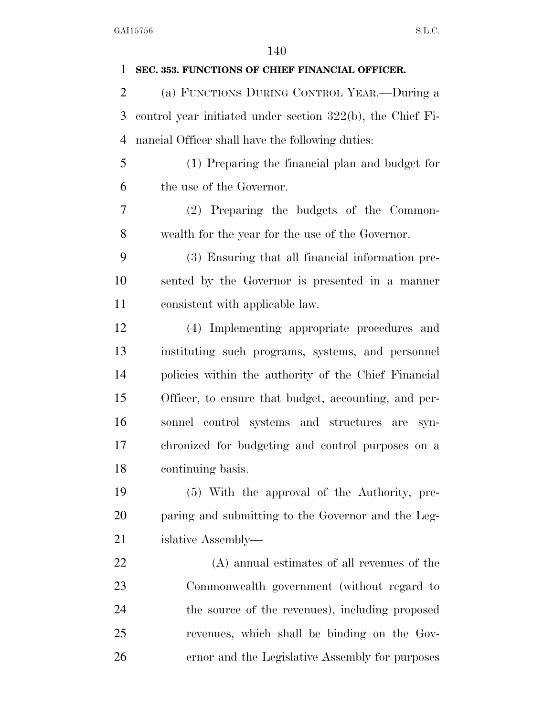| 1              | SEC. 353. FUNCTIONS OF CHIEF FINANCIAL OFFICER.               |
|----------------|---------------------------------------------------------------|
| $\overline{2}$ | (a) FUNCTIONS DURING CONTROL YEAR.-During a                   |
| 3              | control year initiated under section $322(b)$ , the Chief Fi- |
| $\overline{4}$ | nancial Officer shall have the following duties:              |
| 5              | (1) Preparing the financial plan and budget for               |
| 6              | the use of the Governor.                                      |
| 7              | (2) Preparing the budgets of the Common-                      |
| 8              | wealth for the year for the use of the Governor.              |
| 9              | (3) Ensuring that all financial information pre-              |
| 10             | sented by the Governor is presented in a manner               |
| 11             | consistent with applicable law.                               |
| 12             | (4) Implementing appropriate procedures and                   |
| 13             | instituting such programs, systems, and personnel             |
| 14             | policies within the authority of the Chief Financial          |
| 15             | Officer, to ensure that budget, accounting, and per-          |
| 16             | sonnel control systems and structures are<br>$syn-$           |
| 17             | chronized for budgeting and control purposes on a             |
| 18             | continuing basis.                                             |
| 19             | (5) With the approval of the Authority, pre-                  |
| 20             | paring and submitting to the Governor and the Leg-            |
| 21             | islative Assembly—                                            |
| 22             | (A) annual estimates of all revenues of the                   |
| 23             | Commonwealth government (without regard to                    |
| 24             | the source of the revenues), including proposed               |
| 25             | revenues, which shall be binding on the Gov-                  |
| 26             | ernor and the Legislative Assembly for purposes               |
|                |                                                               |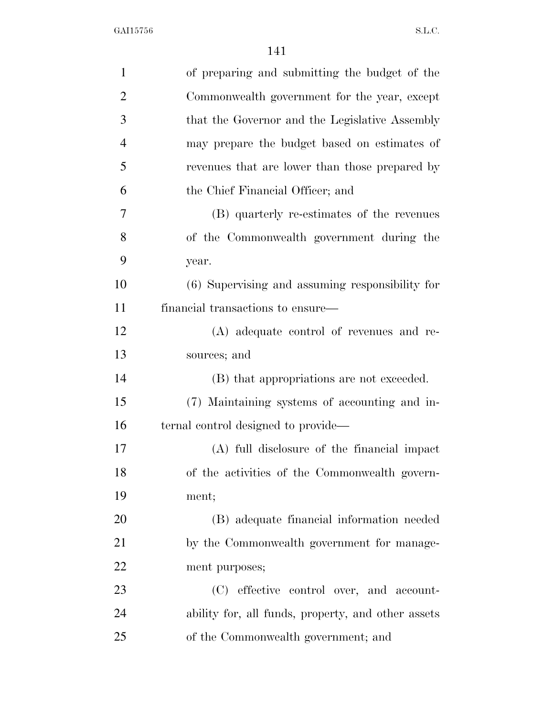| $\mathbf{1}$   | of preparing and submitting the budget of the      |
|----------------|----------------------------------------------------|
| $\overline{2}$ | Commonwealth government for the year, except       |
| 3              | that the Governor and the Legislative Assembly     |
| $\overline{4}$ | may prepare the budget based on estimates of       |
| 5              | revenues that are lower than those prepared by     |
| 6              | the Chief Financial Officer; and                   |
| 7              | (B) quarterly re-estimates of the revenues         |
| 8              | of the Commonwealth government during the          |
| 9              | year.                                              |
| 10             | (6) Supervising and assuming responsibility for    |
| 11             | financial transactions to ensure—                  |
| 12             | (A) adequate control of revenues and re-           |
| 13             | sources; and                                       |
| 14             | (B) that appropriations are not exceeded.          |
| 15             | (7) Maintaining systems of accounting and in-      |
| 16             | ternal control designed to provide—                |
| 17             | (A) full disclosure of the financial impact        |
| 18             | of the activities of the Commonwealth govern-      |
| 19             | ment;                                              |
| 20             | (B) adequate financial information needed          |
| 21             | by the Commonwealth government for manage-         |
| 22             | ment purposes;                                     |
| 23             | (C) effective control over, and account-           |
| 24             | ability for, all funds, property, and other assets |
| 25             | of the Commonwealth government; and                |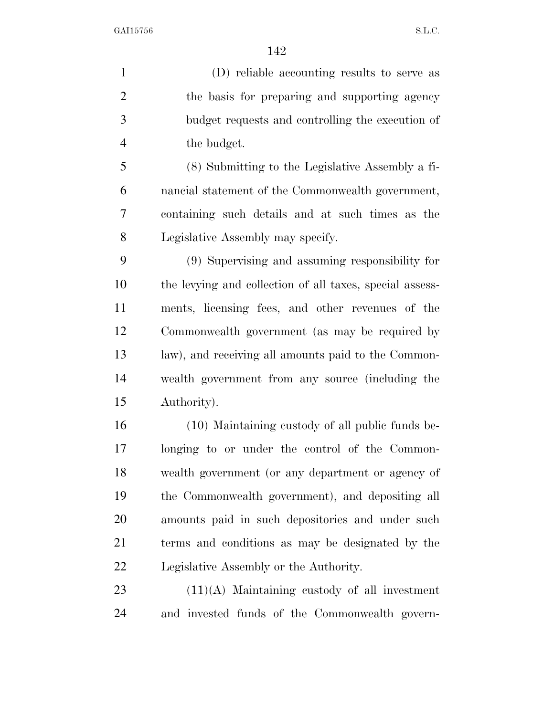(D) reliable accounting results to serve as the basis for preparing and supporting agency budget requests and controlling the execution of the budget.

 (8) Submitting to the Legislative Assembly a fi- nancial statement of the Commonwealth government, containing such details and at such times as the Legislative Assembly may specify.

 (9) Supervising and assuming responsibility for the levying and collection of all taxes, special assess- ments, licensing fees, and other revenues of the Commonwealth government (as may be required by law), and receiving all amounts paid to the Common- wealth government from any source (including the Authority).

 (10) Maintaining custody of all public funds be- longing to or under the control of the Common- wealth government (or any department or agency of the Commonwealth government), and depositing all amounts paid in such depositories and under such terms and conditions as may be designated by the Legislative Assembly or the Authority.

 (11)(A) Maintaining custody of all investment and invested funds of the Commonwealth govern-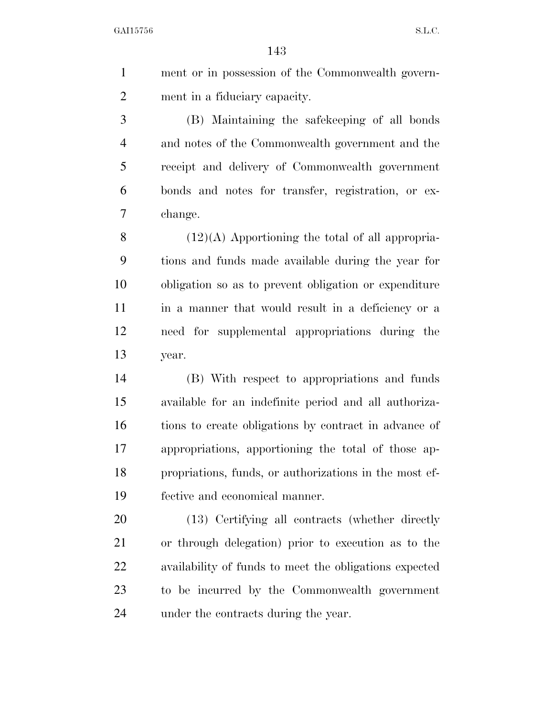ment or in possession of the Commonwealth govern-ment in a fiduciary capacity.

 (B) Maintaining the safekeeping of all bonds and notes of the Commonwealth government and the receipt and delivery of Commonwealth government bonds and notes for transfer, registration, or ex-change.

 $(12)(A)$  Apportioning the total of all appropria- tions and funds made available during the year for obligation so as to prevent obligation or expenditure in a manner that would result in a deficiency or a need for supplemental appropriations during the year.

 (B) With respect to appropriations and funds available for an indefinite period and all authoriza- tions to create obligations by contract in advance of appropriations, apportioning the total of those ap- propriations, funds, or authorizations in the most ef-fective and economical manner.

 (13) Certifying all contracts (whether directly or through delegation) prior to execution as to the availability of funds to meet the obligations expected to be incurred by the Commonwealth government under the contracts during the year.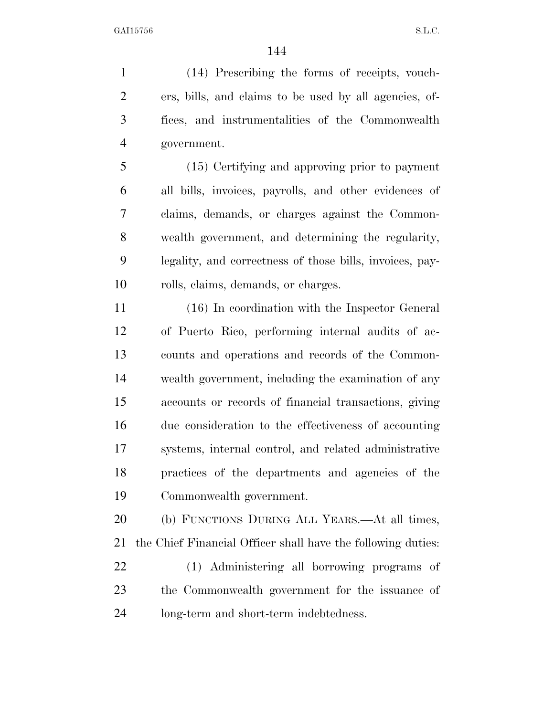(14) Prescribing the forms of receipts, vouch- ers, bills, and claims to be used by all agencies, of- fices, and instrumentalities of the Commonwealth government.

 (15) Certifying and approving prior to payment all bills, invoices, payrolls, and other evidences of claims, demands, or charges against the Common- wealth government, and determining the regularity, legality, and correctness of those bills, invoices, pay-rolls, claims, demands, or charges.

 (16) In coordination with the Inspector General of Puerto Rico, performing internal audits of ac- counts and operations and records of the Common- wealth government, including the examination of any accounts or records of financial transactions, giving due consideration to the effectiveness of accounting systems, internal control, and related administrative practices of the departments and agencies of the Commonwealth government.

 (b) FUNCTIONS DURING ALL YEARS.—At all times, the Chief Financial Officer shall have the following duties: (1) Administering all borrowing programs of the Commonwealth government for the issuance of

long-term and short-term indebtedness.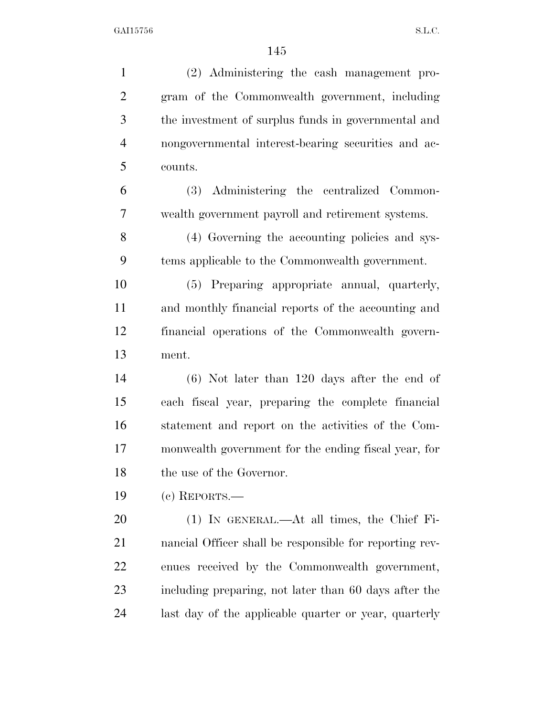(2) Administering the cash management pro- gram of the Commonwealth government, including the investment of surplus funds in governmental and nongovernmental interest-bearing securities and ac- counts. (3) Administering the centralized Common- wealth government payroll and retirement systems. (4) Governing the accounting policies and sys- tems applicable to the Commonwealth government. (5) Preparing appropriate annual, quarterly, and monthly financial reports of the accounting and financial operations of the Commonwealth govern- ment. (6) Not later than 120 days after the end of each fiscal year, preparing the complete financial statement and report on the activities of the Com- monwealth government for the ending fiscal year, for the use of the Governor. (c) REPORTS.— (1) IN GENERAL.—At all times, the Chief Fi- nancial Officer shall be responsible for reporting rev- enues received by the Commonwealth government, including preparing, not later than 60 days after the last day of the applicable quarter or year, quarterly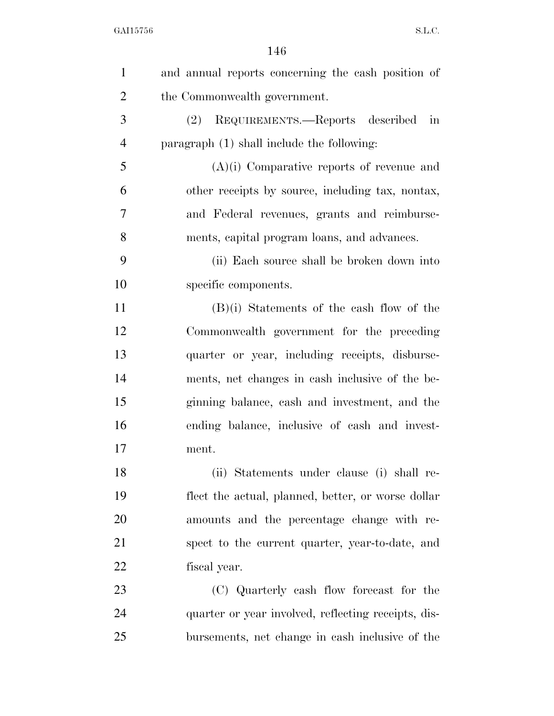| $\mathbf{1}$   | and annual reports concerning the cash position of  |
|----------------|-----------------------------------------------------|
| $\overline{2}$ | the Commonwealth government.                        |
| 3              | (2) REQUIREMENTS.—Reports described in              |
| $\overline{4}$ | paragraph (1) shall include the following:          |
| 5              | $(A)(i)$ Comparative reports of revenue and         |
| 6              | other receipts by source, including tax, nontax,    |
| 7              | and Federal revenues, grants and reimburse-         |
| 8              | ments, capital program loans, and advances.         |
| 9              | (ii) Each source shall be broken down into          |
| 10             | specific components.                                |
| 11             | $(B)(i)$ Statements of the cash flow of the         |
| 12             | Commonwealth government for the preceding           |
| 13             | quarter or year, including receipts, disburse-      |
| 14             | ments, net changes in cash inclusive of the be-     |
| 15             | ginning balance, cash and investment, and the       |
| 16             | ending balance, inclusive of cash and invest-       |
| 17             | ment.                                               |
| 18             | (ii) Statements under clause (i) shall re-          |
| 19             | flect the actual, planned, better, or worse dollar  |
| 20             | amounts and the percentage change with re-          |
| 21             | spect to the current quarter, year-to-date, and     |
| 22             | fiscal year.                                        |
| 23             | (C) Quarterly cash flow forecast for the            |
| 24             | quarter or year involved, reflecting receipts, dis- |
| 25             | bursements, net change in cash inclusive of the     |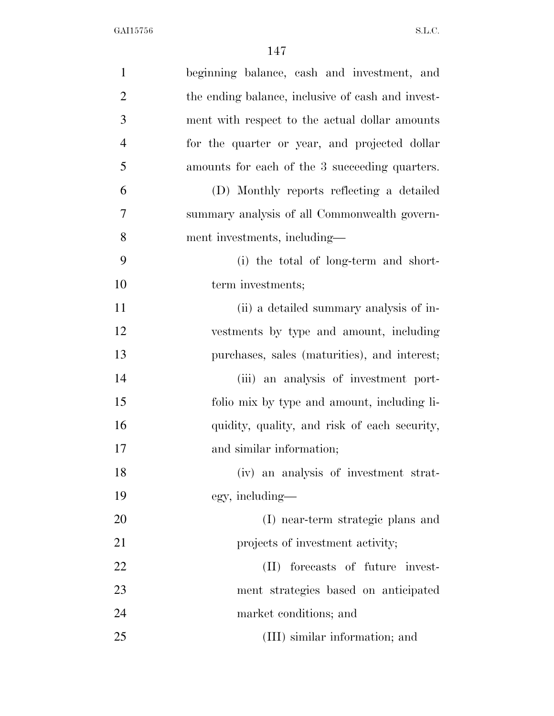| $\mathbf{1}$   | beginning balance, cash and investment, and       |
|----------------|---------------------------------------------------|
| $\overline{2}$ | the ending balance, inclusive of cash and invest- |
| 3              | ment with respect to the actual dollar amounts    |
| $\overline{4}$ | for the quarter or year, and projected dollar     |
| 5              | amounts for each of the 3 succeeding quarters.    |
| 6              | (D) Monthly reports reflecting a detailed         |
| 7              | summary analysis of all Commonwealth govern-      |
| 8              | ment investments, including—                      |
| 9              | (i) the total of long-term and short-             |
| 10             | term investments;                                 |
| 11             | (ii) a detailed summary analysis of in-           |
| 12             | vestments by type and amount, including           |
| 13             | purchases, sales (maturities), and interest;      |
| 14             | (iii) an analysis of investment port-             |
| 15             | folio mix by type and amount, including li-       |
| 16             | quidity, quality, and risk of each security,      |
| 17             | and similar information;                          |
| 18             | (iv) an analysis of investment strat-             |
| 19             | egy, including—                                   |
| 20             | (I) near-term strategic plans and                 |
| 21             | projects of investment activity;                  |
| <u>22</u>      | (II) forecasts of future invest-                  |
| 23             | ment strategies based on anticipated              |
| 24             | market conditions; and                            |
| 25             | (III) similar information; and                    |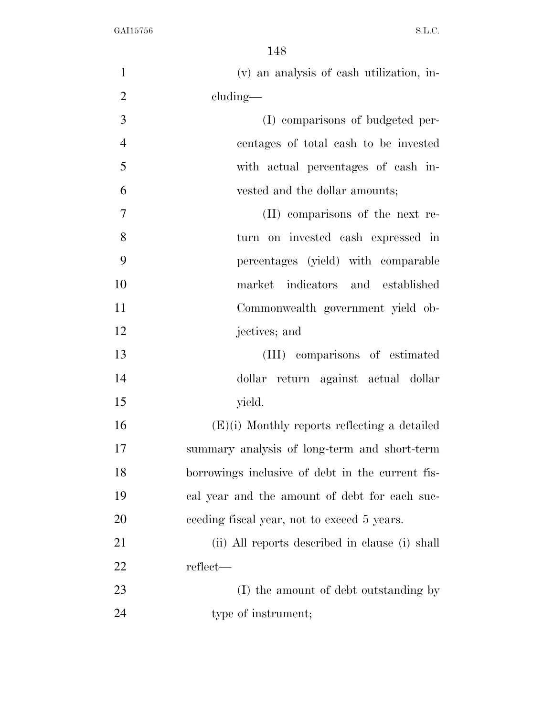| $\mathbf{1}$   | (v) an analysis of eash utilization, in-         |
|----------------|--------------------------------------------------|
| $\overline{2}$ | cluding—                                         |
| 3              | (I) comparisons of budgeted per-                 |
| $\overline{4}$ | centages of total cash to be invested            |
| 5              | with actual percentages of cash in-              |
| 6              | vested and the dollar amounts;                   |
| 7              | (II) comparisons of the next re-                 |
| 8              | turn on invested cash expressed in               |
| 9              | percentages (yield) with comparable              |
| 10             | indicators and established<br>market             |
| 11             | Commonwealth government yield ob-                |
| 12             | jectives; and                                    |
| 13             | (III) comparisons of estimated                   |
| 14             | dollar return against actual dollar              |
| 15             | yield.                                           |
| 16             | $(E)(i)$ Monthly reports reflecting a detailed   |
| 17             | summary analysis of long-term and short-term     |
| 18             | borrowings inclusive of debt in the current fis- |
| 19             | cal year and the amount of debt for each suc-    |
| 20             | ceeding fiscal year, not to exceed 5 years.      |
| 21             | (ii) All reports described in clause (i) shall   |
| 22             | reflect—                                         |
| 23             | (I) the amount of debt outstanding by            |
| 24             | type of instrument;                              |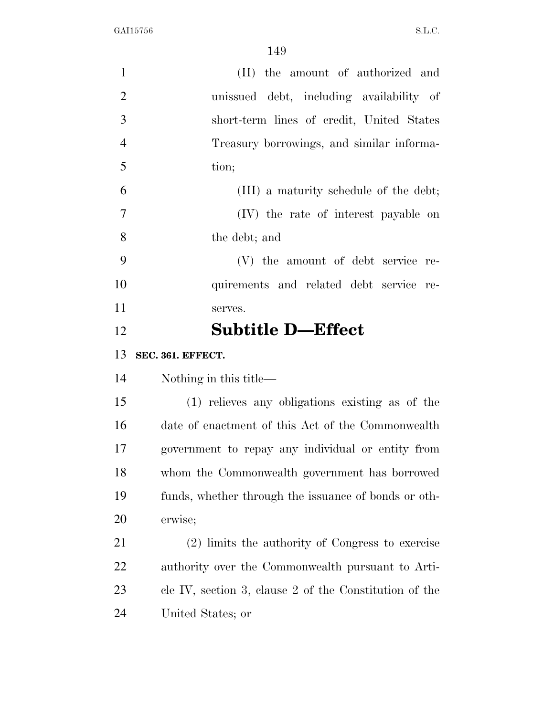| $\mathbf{1}$   | (II) the amount of authorized and                        |
|----------------|----------------------------------------------------------|
| $\overline{2}$ | unissued debt, including availability of                 |
| 3              | short-term lines of credit, United States                |
| $\overline{4}$ | Treasury borrowings, and similar informa-                |
| 5              | tion;                                                    |
| 6              | (III) a maturity schedule of the debt;                   |
| $\overline{7}$ | (IV) the rate of interest payable on                     |
| 8              | the debt; and                                            |
| 9              | (V) the amount of debt service re-                       |
| 10             | quirements and related debt service re-                  |
| 11             | serves.                                                  |
| 12             | <b>Subtitle D-Effect</b>                                 |
|                |                                                          |
| 13             | SEC. 361. EFFECT.                                        |
| 14             | Nothing in this title—                                   |
| 15             | (1) relieves any obligations existing as of the          |
| 16             | date of enactment of this Act of the Commonwealth        |
| 17             | government to repay any individual or entity from        |
| 18             | whom the Commonwealth government has borrowed            |
| 19             | funds, whether through the issuance of bonds or oth-     |
| 20             | erwise;                                                  |
| 21             | (2) limits the authority of Congress to exercise         |
| 22             | authority over the Commonwealth pursuant to Arti-        |
| 23             | cle IV, section 3, clause $2$ of the Constitution of the |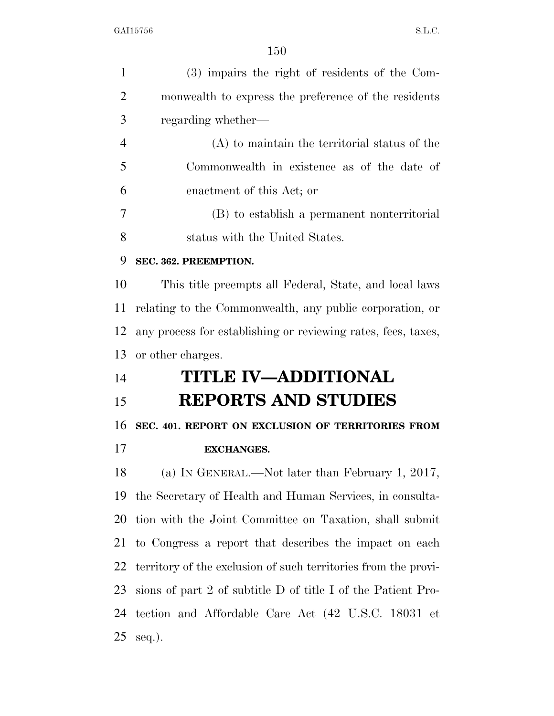| $\mathbf{1}$   | (3) impairs the right of residents of the Com-                 |
|----------------|----------------------------------------------------------------|
| $\overline{2}$ | monwealth to express the preference of the residents           |
| 3              | regarding whether—                                             |
| $\overline{4}$ | $(A)$ to maintain the territorial status of the                |
| 5              | Commonwealth in existence as of the date of                    |
| 6              | enactment of this Act; or                                      |
| 7              | (B) to establish a permanent nonterritorial                    |
| 8              | status with the United States.                                 |
| 9              | SEC. 362. PREEMPTION.                                          |
| 10             | This title preempts all Federal, State, and local laws         |
| 11             | relating to the Commonwealth, any public corporation, or       |
| 12             | any process for establishing or reviewing rates, fees, taxes,  |
| 13             | or other charges.                                              |
| 14             | <b>TITLE IV-ADDITIONAL</b>                                     |
| 15             | <b>REPORTS AND STUDIES</b>                                     |
| 16             | SEC. 401. REPORT ON EXCLUSION OF TERRITORIES FROM              |
| 17             | <b>EXCHANGES.</b>                                              |
| 18             | (a) IN GENERAL.—Not later than February 1, 2017,               |
| 19             | the Secretary of Health and Human Services, in consulta-       |
| 20             | tion with the Joint Committee on Taxation, shall submit        |
| 21             | to Congress a report that describes the impact on each         |
| 22             | territory of the exclusion of such territories from the provi- |
| 23             | sions of part 2 of subtitle D of title I of the Patient Pro-   |
| 24             | tection and Affordable Care Act (42 U.S.C. 18031 et            |
| 25             | $seq.$ ).                                                      |
|                |                                                                |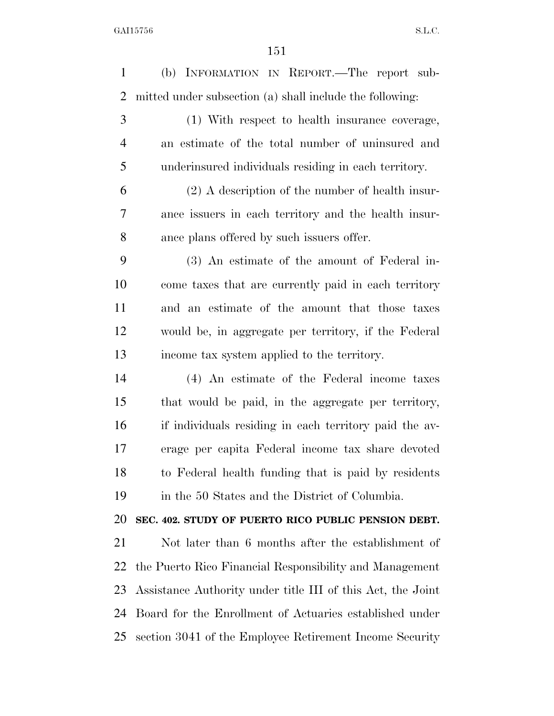| $\mathbf{1}$   | (b) INFORMATION IN REPORT.—The report sub-                  |
|----------------|-------------------------------------------------------------|
| $\overline{2}$ | mitted under subsection (a) shall include the following:    |
| 3              | (1) With respect to health insurance coverage,              |
| $\overline{4}$ | an estimate of the total number of uninsured and            |
| 5              | underinsured individuals residing in each territory.        |
| 6              | $(2)$ A description of the number of health insur-          |
| 7              | ance issuers in each territory and the health insur-        |
| 8              | ance plans offered by such issuers offer.                   |
| 9              | (3) An estimate of the amount of Federal in-                |
| 10             | come taxes that are currently paid in each territory        |
| 11             | and an estimate of the amount that those taxes              |
| 12             | would be, in aggregate per territory, if the Federal        |
| 13             | income tax system applied to the territory.                 |
| 14             | (4) An estimate of the Federal income taxes                 |
| 15             | that would be paid, in the aggregate per territory,         |
| 16             | if individuals residing in each territory paid the av-      |
| 17             | erage per capita Federal income tax share devoted           |
| 18             | to Federal health funding that is paid by residents         |
| 19             | in the 50 States and the District of Columbia.              |
| 20             | SEC. 402. STUDY OF PUERTO RICO PUBLIC PENSION DEBT.         |
| 21             | Not later than 6 months after the establishment of          |
| 22             | the Puerto Rico Financial Responsibility and Management     |
| 23             | Assistance Authority under title III of this Act, the Joint |
| 24             | Board for the Enrollment of Actuaries established under     |
| 25             | section 3041 of the Employee Retirement Income Security     |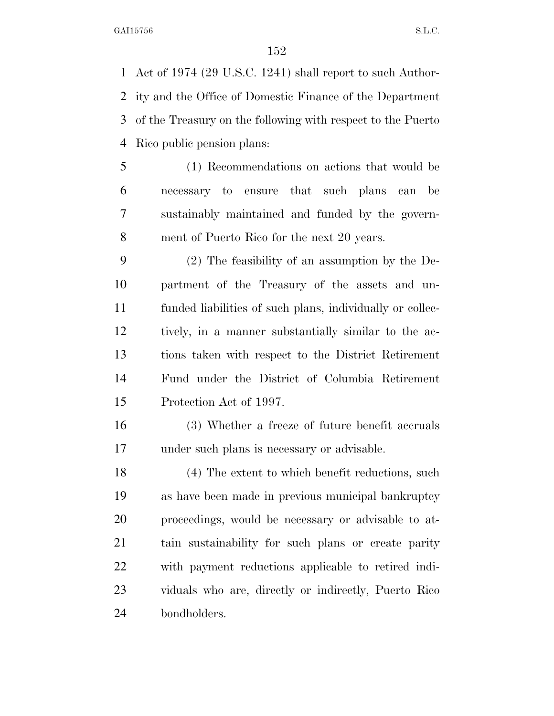Act of 1974 (29 U.S.C. 1241) shall report to such Author- ity and the Office of Domestic Finance of the Department of the Treasury on the following with respect to the Puerto Rico public pension plans:

 (1) Recommendations on actions that would be necessary to ensure that such plans can be sustainably maintained and funded by the govern-ment of Puerto Rico for the next 20 years.

 (2) The feasibility of an assumption by the De- partment of the Treasury of the assets and un- funded liabilities of such plans, individually or collec- tively, in a manner substantially similar to the ac- tions taken with respect to the District Retirement Fund under the District of Columbia Retirement Protection Act of 1997.

 (3) Whether a freeze of future benefit accruals under such plans is necessary or advisable.

 (4) The extent to which benefit reductions, such as have been made in previous municipal bankruptcy proceedings, would be necessary or advisable to at- tain sustainability for such plans or create parity with payment reductions applicable to retired indi- viduals who are, directly or indirectly, Puerto Rico bondholders.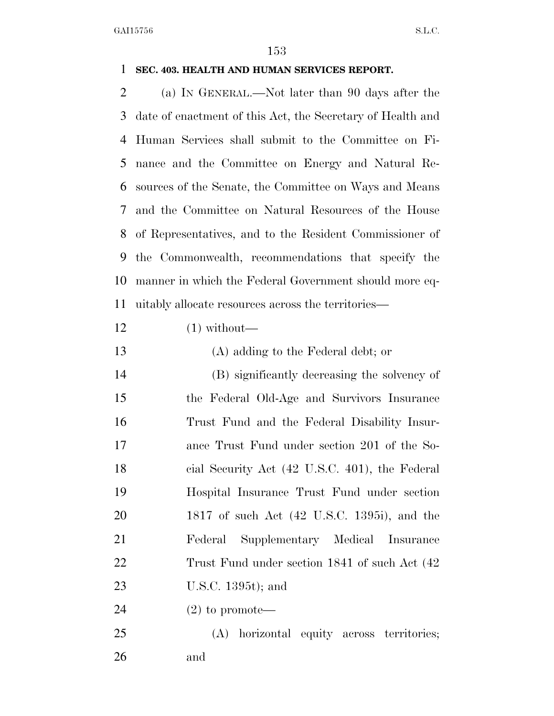## **SEC. 403. HEALTH AND HUMAN SERVICES REPORT.**

 (a) IN GENERAL.—Not later than 90 days after the date of enactment of this Act, the Secretary of Health and Human Services shall submit to the Committee on Fi- nance and the Committee on Energy and Natural Re- sources of the Senate, the Committee on Ways and Means and the Committee on Natural Resources of the House of Representatives, and to the Resident Commissioner of the Commonwealth, recommendations that specify the manner in which the Federal Government should more eq-uitably allocate resources across the territories—

- $12 \qquad \qquad (1) \text{ without}$ —
- (A) adding to the Federal debt; or (B) significantly decreasing the solvency of the Federal Old-Age and Survivors Insurance Trust Fund and the Federal Disability Insur- ance Trust Fund under section 201 of the So- cial Security Act (42 U.S.C. 401), the Federal Hospital Insurance Trust Fund under section 1817 of such Act (42 U.S.C. 1395i), and the Federal Supplementary Medical Insurance Trust Fund under section 1841 of such Act (42 U.S.C. 1395t); and
- (2) to promote—
- (A) horizontal equity across territories; and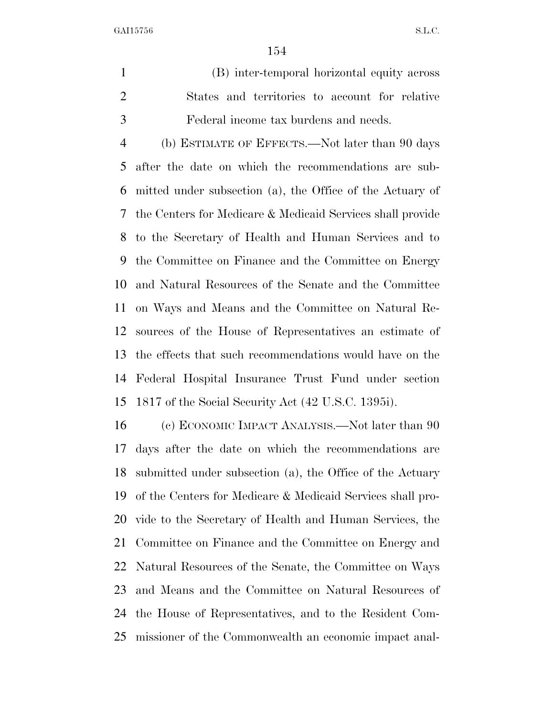(B) inter-temporal horizontal equity across States and territories to account for relative Federal income tax burdens and needs.

 (b) ESTIMATE OF EFFECTS.—Not later than 90 days after the date on which the recommendations are sub- mitted under subsection (a), the Office of the Actuary of the Centers for Medicare & Medicaid Services shall provide to the Secretary of Health and Human Services and to the Committee on Finance and the Committee on Energy and Natural Resources of the Senate and the Committee on Ways and Means and the Committee on Natural Re- sources of the House of Representatives an estimate of the effects that such recommendations would have on the Federal Hospital Insurance Trust Fund under section 1817 of the Social Security Act (42 U.S.C. 1395i).

 (c) ECONOMIC IMPACT ANALYSIS.—Not later than 90 days after the date on which the recommendations are submitted under subsection (a), the Office of the Actuary of the Centers for Medicare & Medicaid Services shall pro- vide to the Secretary of Health and Human Services, the Committee on Finance and the Committee on Energy and Natural Resources of the Senate, the Committee on Ways and Means and the Committee on Natural Resources of the House of Representatives, and to the Resident Com-missioner of the Commonwealth an economic impact anal-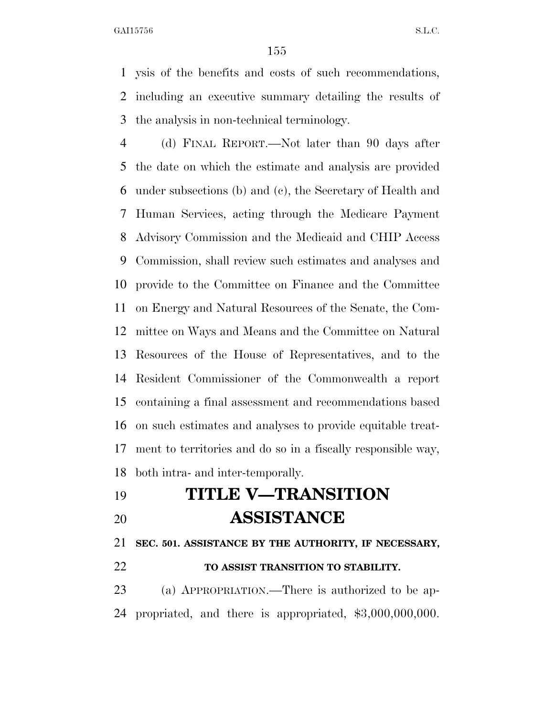ysis of the benefits and costs of such recommendations, including an executive summary detailing the results of the analysis in non-technical terminology.

 (d) FINAL REPORT.—Not later than 90 days after the date on which the estimate and analysis are provided under subsections (b) and (c), the Secretary of Health and Human Services, acting through the Medicare Payment Advisory Commission and the Medicaid and CHIP Access Commission, shall review such estimates and analyses and provide to the Committee on Finance and the Committee on Energy and Natural Resources of the Senate, the Com- mittee on Ways and Means and the Committee on Natural Resources of the House of Representatives, and to the Resident Commissioner of the Commonwealth a report containing a final assessment and recommendations based on such estimates and analyses to provide equitable treat- ment to territories and do so in a fiscally responsible way, both intra- and inter-temporally.

## **TITLE V—TRANSITION ASSISTANCE**

**SEC. 501. ASSISTANCE BY THE AUTHORITY, IF NECESSARY,** 

## **TO ASSIST TRANSITION TO STABILITY.**

 (a) APPROPRIATION.—There is authorized to be ap-propriated, and there is appropriated, \$3,000,000,000.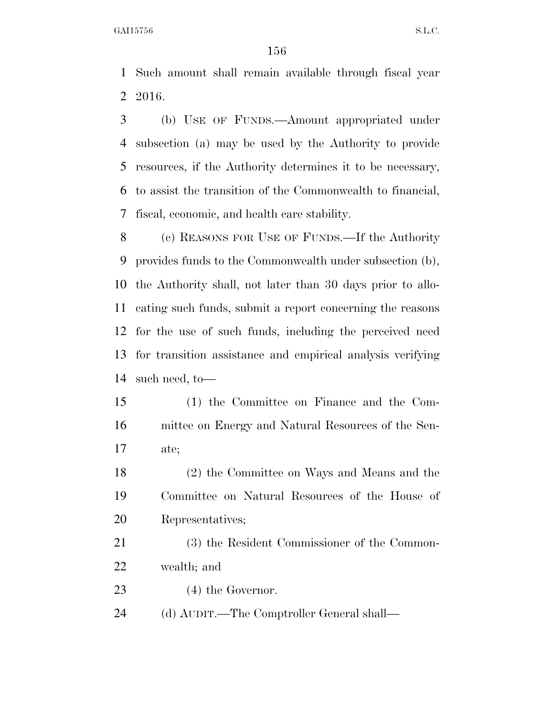Such amount shall remain available through fiscal year 2016.

 (b) USE OF FUNDS.—Amount appropriated under subsection (a) may be used by the Authority to provide resources, if the Authority determines it to be necessary, to assist the transition of the Commonwealth to financial, fiscal, economic, and health care stability.

 (c) REASONS FOR USE OF FUNDS.—If the Authority provides funds to the Commonwealth under subsection (b), the Authority shall, not later than 30 days prior to allo- cating such funds, submit a report concerning the reasons for the use of such funds, including the perceived need for transition assistance and empirical analysis verifying such need, to—

 (1) the Committee on Finance and the Com- mittee on Energy and Natural Resources of the Sen-ate;

 (2) the Committee on Ways and Means and the Committee on Natural Resources of the House of Representatives;

 (3) the Resident Commissioner of the Common-wealth; and

23 (4) the Governor.

(d) AUDIT.—The Comptroller General shall—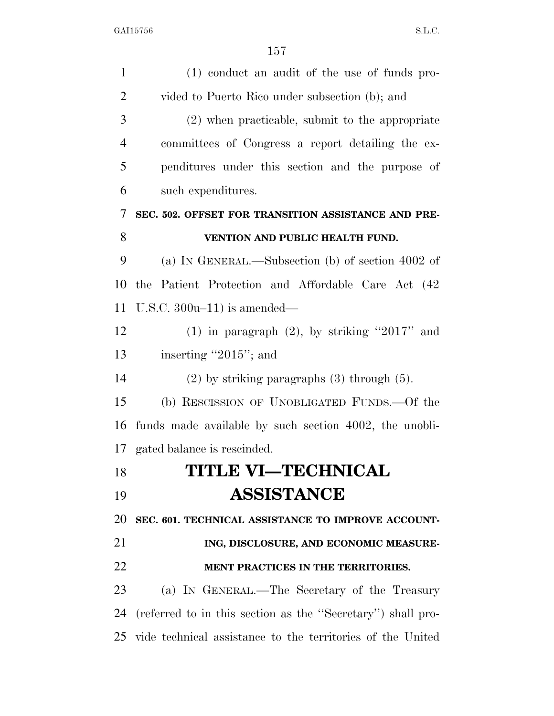| $\mathbf{1}$   | (1) conduct an audit of the use of funds pro-               |
|----------------|-------------------------------------------------------------|
| $\overline{2}$ | vided to Puerto Rico under subsection (b); and              |
| 3              | (2) when practicable, submit to the appropriate             |
| $\overline{4}$ | committees of Congress a report detailing the ex-           |
| 5              | penditures under this section and the purpose of            |
| 6              | such expenditures.                                          |
| 7              | SEC. 502. OFFSET FOR TRANSITION ASSISTANCE AND PRE-         |
| 8              | VENTION AND PUBLIC HEALTH FUND.                             |
| 9              | (a) IN GENERAL.—Subsection (b) of section 4002 of           |
| 10             | the Patient Protection and Affordable Care Act (42          |
| 11             | U.S.C. $300u-11$ ) is amended—                              |
| 12             | (1) in paragraph $(2)$ , by striking "2017" and             |
| 13             | inserting "2015"; and                                       |
| 14             | $(2)$ by striking paragraphs $(3)$ through $(5)$ .          |
| 15             | (b) RESCISSION OF UNOBLIGATED FUNDS.—Of the                 |
| 16             | funds made available by such section 4002, the unobli-      |
|                | 17 gated balance is rescinded.                              |
| 18             | <b>TITLE VI-TECHNICAL</b>                                   |
| 19             | <b>ASSISTANCE</b>                                           |
| 20             | SEC. 601. TECHNICAL ASSISTANCE TO IMPROVE ACCOUNT-          |
| 21             | ING, DISCLOSURE, AND ECONOMIC MEASURE-                      |
| 22             | MENT PRACTICES IN THE TERRITORIES.                          |
| 23             | (a) IN GENERAL.—The Secretary of the Treasury               |
| 24             | (referred to in this section as the "Secretary") shall pro- |
| 25             | vide technical assistance to the territories of the United  |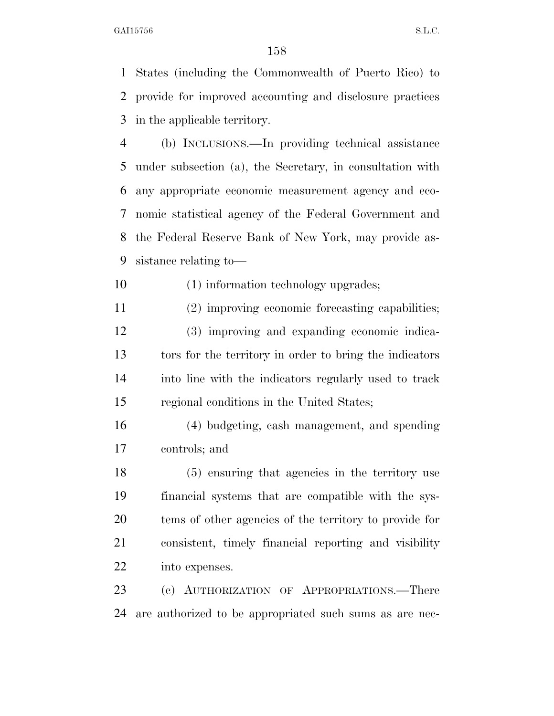States (including the Commonwealth of Puerto Rico) to provide for improved accounting and disclosure practices in the applicable territory.

 (b) INCLUSIONS.—In providing technical assistance under subsection (a), the Secretary, in consultation with any appropriate economic measurement agency and eco- nomic statistical agency of the Federal Government and the Federal Reserve Bank of New York, may provide as-sistance relating to—

(1) information technology upgrades;

 (2) improving economic forecasting capabilities; (3) improving and expanding economic indica- tors for the territory in order to bring the indicators into line with the indicators regularly used to track regional conditions in the United States;

 (4) budgeting, cash management, and spending controls; and

 (5) ensuring that agencies in the territory use financial systems that are compatible with the sys- tems of other agencies of the territory to provide for consistent, timely financial reporting and visibility into expenses.

 (c) AUTHORIZATION OF APPROPRIATIONS.—There are authorized to be appropriated such sums as are nec-